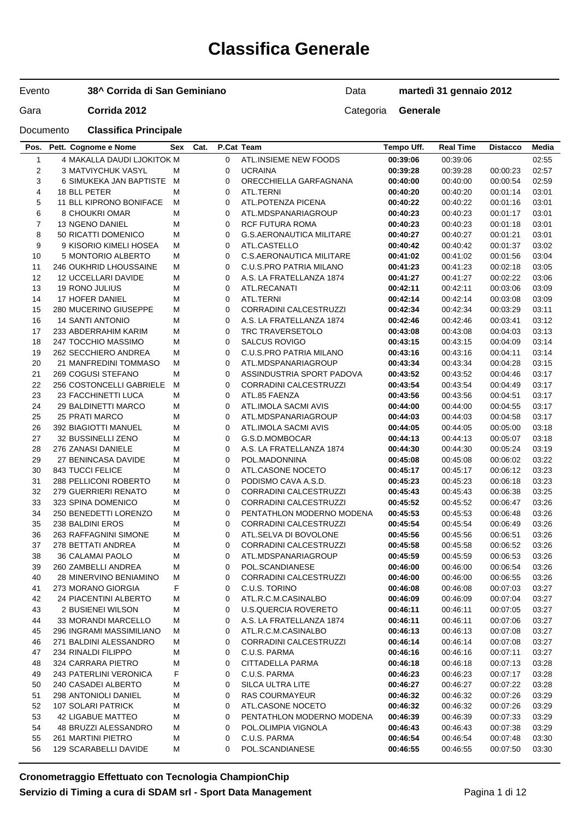# **Classifica Generale**

#### Evento **38^ Corrida di San Geminiano**

Data **martedì 31 gennaio 2012**

Gara **Corrida 2012** Categoria **Generale** 

| Pos.         | Pett. Cognome e Nome            |   | Sex Cat. | P.Cat Team  |                                 | Tempo Uff. | <b>Real Time</b> | <b>Distacco</b> | Media |
|--------------|---------------------------------|---|----------|-------------|---------------------------------|------------|------------------|-----------------|-------|
| $\mathbf{1}$ | 4 MAKALLA DAUDI LJOKITOK M      |   |          | $\Omega$    | ATL.INSIEME NEW FOODS           | 00:39:06   | 00:39:06         |                 | 02:55 |
| 2            | <b>3 MATVIYCHUK VASYL</b>       | М |          | $\mathbf 0$ | <b>UCRAINA</b>                  | 00:39:28   | 00:39:28         | 00:00:23        | 02:57 |
| 3            | 6 SIMUKEKA JAN BAPTISTE         | M |          | 0           | ORECCHIELLA GARFAGNANA          | 00:40:00   | 00:40:00         | 00:00:54        | 02:59 |
| 4            | 18 BLL PETER                    | М |          | 0           | ATL.TERNI                       | 00:40:20   | 00:40:20         | 00:01:14        | 03:01 |
| 5            | 11 BLL KIPRONO BONIFACE         | М |          | 0           | ATL.POTENZA PICENA              | 00:40:22   | 00:40:22         | 00:01:16        | 03:01 |
| 6            | 8 CHOUKRI OMAR                  | М |          | 0           | ATL.MDSPANARIAGROUP             | 00:40:23   | 00:40:23         | 00:01:17        | 03:01 |
| 7            | 13 NGENO DANIEL                 | М |          | 0           | RCF FUTURA ROMA                 | 00:40:23   | 00:40:23         | 00:01:18        | 03:01 |
| 8            | 50 RICATTI DOMENICO             | М |          | $\mathbf 0$ | <b>G.S.AERONAUTICA MILITARE</b> | 00:40:27   | 00:40:27         | 00:01:21        | 03:01 |
| 9            | 9 KISORIO KIMELI HOSEA          | М |          | 0           | ATL.CASTELLO                    | 00:40:42   | 00:40:42         | 00:01:37        | 03:02 |
| 10           | 5 MONTORIO ALBERTO              | М |          | 0           | <b>C.S.AERONAUTICA MILITARE</b> | 00:41:02   | 00:41:02         | 00:01:56        | 03:04 |
| 11           | 246 OUKHRID LHOUSSAINE          | М |          | 0           | C.U.S.PRO PATRIA MILANO         | 00:41:23   | 00:41:23         | 00:02:18        | 03:05 |
| 12           | <b>12 UCCELLARI DAVIDE</b>      | М |          | 0           | A.S. LA FRATELLANZA 1874        | 00:41:27   | 00:41:27         | 00:02:22        | 03:06 |
| 13           | <b>19 RONO JULIUS</b>           | M |          | 0           | ATL.RECANATI                    | 00:42:11   | 00:42:11         | 00:03:06        | 03:09 |
| 14           | 17 HOFER DANIEL                 | М |          | $\mathbf 0$ | ATL.TERNI                       | 00:42:14   | 00:42:14         | 00:03:08        | 03:09 |
| 15           | 280 MUCERINO GIUSEPPE           | M |          | 0           | <b>CORRADINI CALCESTRUZZI</b>   | 00:42:34   | 00:42:34         | 00:03:29        | 03:11 |
| 16           | <b>14 SANTI ANTONIO</b>         | M |          | 0           | A.S. LA FRATELLANZA 1874        | 00:42:46   | 00:42:46         | 00:03:41        | 03:12 |
| 17           | 233 ABDERRAHIM KARIM            | M |          | 0           | TRC TRAVERSETOLO                | 00:43:08   | 00:43:08         | 00:04:03        | 03:13 |
| 18           | 247 TOCCHIO MASSIMO             | М |          | 0           | <b>SALCUS ROVIGO</b>            | 00:43:15   | 00:43:15         | 00:04:09        | 03:14 |
| 19           | 262 SECCHIERO ANDREA            | М |          | 0           | C.U.S.PRO PATRIA MILANO         | 00:43:16   | 00:43:16         | 00:04:11        | 03:14 |
| 20           | 21 MANFREDINI TOMMASO           | М |          | $\mathbf 0$ | ATL.MDSPANARIAGROUP             | 00:43:34   | 00:43:34         | 00:04:28        | 03:15 |
| 21           | 269 COGUSI STEFANO              | М |          | 0           | ASSINDUSTRIA SPORT PADOVA       | 00:43:52   | 00:43:52         | 00:04:46        | 03:17 |
| 22           | <b>256 COSTONCELLI GABRIELE</b> | м |          | 0           | <b>CORRADINI CALCESTRUZZI</b>   | 00:43:54   | 00:43:54         | 00:04:49        | 03:17 |
| 23           | 23 FACCHINETTI LUCA             | М |          | 0           | ATL.85 FAENZA                   | 00:43:56   | 00:43:56         | 00:04:51        | 03:17 |
| 24           | 29 BALDINETTI MARCO             | М |          | 0           | ATL.IMOLA SACMI AVIS            | 00:44:00   | 00:44:00         | 00:04:55        | 03:17 |
| 25           | <b>25 PRATI MARCO</b>           | M |          | 0           | ATL.MDSPANARIAGROUP             | 00:44:03   | 00:44:03         | 00:04:58        | 03:17 |
| 26           | 392 BIAGIOTTI MANUEL            | M |          | $\mathbf 0$ | ATL.IMOLA SACMI AVIS            | 00:44:05   | 00:44:05         | 00:05:00        | 03:18 |
| 27           | 32 BUSSINELLI ZENO              | M |          | 0           | G.S.D.MOMBOCAR                  | 00:44:13   | 00:44:13         | 00:05:07        | 03:18 |
| 28           | 276 ZANASI DANIELE              | M |          | 0           | A.S. LA FRATELLANZA 1874        | 00:44:30   | 00:44:30         | 00:05:24        | 03:19 |
| 29           | 27 BENINCASA DAVIDE             | M |          | 0           | POL.MADONNINA                   | 00:45:08   | 00:45:08         | 00:06:02        | 03:22 |
| 30           | 843 TUCCI FELICE                | М |          | 0           | ATL.CASONE NOCETO               | 00:45:17   | 00:45:17         | 00:06:12        | 03:23 |
| 31           | 288 PELLICONI ROBERTO           | М |          | 0           | PODISMO CAVA A.S.D.             | 00:45:23   | 00:45:23         | 00:06:18        | 03:23 |
| 32           | 279 GUERRIERI RENATO            | М |          | $\mathbf 0$ | <b>CORRADINI CALCESTRUZZI</b>   | 00:45:43   | 00:45:43         | 00:06:38        | 03:25 |
| 33           | 323 SPINA DOMENICO              | М |          | 0           | <b>CORRADINI CALCESTRUZZI</b>   | 00:45:52   | 00:45:52         | 00:06:47        | 03:26 |
| 34           | 250 BENEDETTI LORENZO           | М |          | $\mathbf 0$ | PENTATHLON MODERNO MODENA       | 00:45:53   | 00:45:53         | 00:06:48        | 03:26 |
| 35           | 238 BALDINI EROS                | М |          | 0           | <b>CORRADINI CALCESTRUZZI</b>   | 00:45:54   | 00:45:54         | 00:06:49        | 03:26 |
| 36           | 263 RAFFAGNINI SIMONE           | М |          | 0           | ATL.SELVA DI BOVOLONE           | 00:45:56   | 00:45:56         | 00:06:51        | 03:26 |
| 37           | 278 BETTATI ANDREA              | M |          | 0           | <b>CORRADINI CALCESTRUZZI</b>   | 00:45:58   | 00:45:58         | 00:06:52        | 03:26 |
| 38           | 36 CALAMAI PAOLO                | М |          | 0           | ATL.MDSPANARIAGROUP             | 00:45:59   | 00:45:59         | 00:06:53        | 03:26 |
| 39           | 260 ZAMBELLI ANDREA             | М |          | 0           | POL.SCANDIANESE                 | 00:46:00   | 00:46:00         | 00:06:54        | 03:26 |
| 40           | <b>28 MINERVINO BENIAMINO</b>   | м |          | 0           | CORRADINI CALCESTRUZZI          | 00:46:00   | 00:46:00         | 00:06:55        | 03:26 |
| 41           | 273 MORANO GIORGIA              | F |          | 0           | C.U.S. TORINO                   | 00:46:08   | 00:46:08         | 00:07:03        | 03:27 |
| 42           | 24 PIACENTINI ALBERTO           | M |          | 0           | ATL.R.C.M.CASINALBO             | 00:46:09   | 00:46:09         | 00:07:04        | 03:27 |
| 43           | 2 BUSIENEI WILSON               | M |          | 0           | <b>U.S.QUERCIA ROVERETO</b>     | 00:46:11   | 00:46:11         | 00:07:05        | 03:27 |
| 44           | 33 MORANDI MARCELLO             | M |          | 0           | A.S. LA FRATELLANZA 1874        | 00:46:11   | 00:46:11         | 00:07:06        | 03:27 |
| 45           | 296 INGRAMI MASSIMILIANO        | M |          | 0           | ATL.R.C.M.CASINALBO             | 00:46:13   | 00:46:13         | 00:07:08        | 03:27 |
| 46           | 271 BALDINI ALESSANDRO          | М |          | 0           | CORRADINI CALCESTRUZZI          | 00:46:14   | 00:46:14         | 00:07:08        | 03:27 |
| 47           | 234 RINALDI FILIPPO             | M |          | 0           | C.U.S. PARMA                    | 00:46:16   | 00:46:16         | 00:07:11        | 03:27 |
| 48           | 324 CARRARA PIETRO              | M |          | 0           | CITTADELLA PARMA                | 00:46:18   | 00:46:18         | 00:07:13        | 03:28 |
| 49           | 243 PATERLINI VERONICA          | F |          | 0           | C.U.S. PARMA                    | 00:46:23   | 00:46:23         | 00:07:17        | 03:28 |
| 50           | 240 CASADEI ALBERTO             | M |          | 0           | SILCA ULTRA LITE                | 00:46:27   | 00:46:27         | 00:07:22        | 03:28 |
| 51           | 298 ANTONIOLI DANIEL            | М |          | 0           | <b>RAS COURMAYEUR</b>           | 00:46:32   | 00:46:32         | 00:07:26        | 03:29 |
| 52           | 107 SOLARI PATRICK              | M |          | 0           | ATL.CASONE NOCETO               | 00:46:32   | 00:46:32         | 00:07:26        | 03:29 |
| 53           | 42 LIGABUE MATTEO               | M |          | 0           | PENTATHLON MODERNO MODENA       | 00:46:39   | 00:46:39         | 00:07:33        | 03:29 |
| 54           | 48 BRUZZI ALESSANDRO            | M |          | 0           | POL.OLIMPIA VIGNOLA             | 00:46:43   | 00:46:43         | 00:07:38        | 03:29 |
| 55           | 261 MARTINI PIETRO              | М |          | 0           | C.U.S. PARMA                    | 00:46:54   | 00:46:54         | 00:07:48        | 03:30 |
| 56           | 129 SCARABELLI DAVIDE           | М |          | 0           | POL.SCANDIANESE                 | 00:46:55   | 00:46:55         | 00:07:50        | 03:30 |
|              |                                 |   |          |             |                                 |            |                  |                 |       |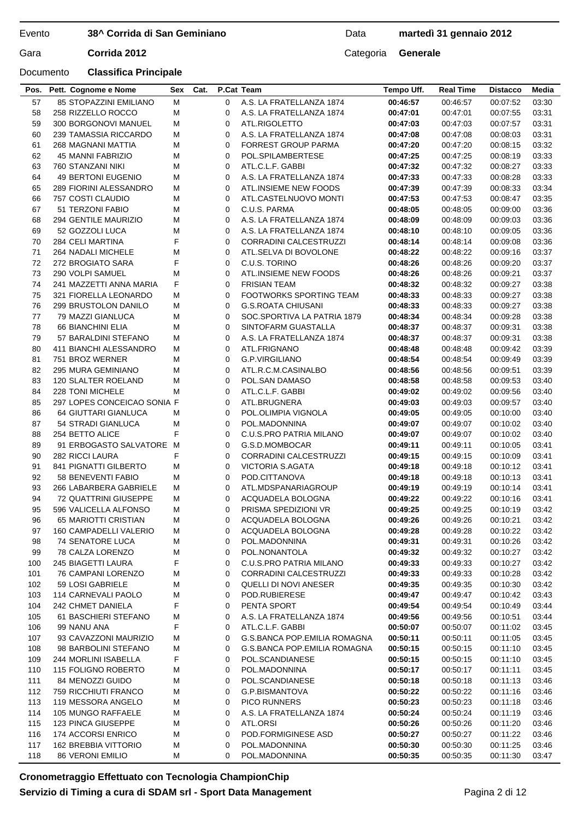## **38^ Corrida di San Geminiano**

## Data **martedì 31 gennaio 2012**

Documento **Classifica Principale**

## Gara **Corrida 2012** Categoria **Generale**

| Pos.       | Pett. Cognome e Nome                         | Sex    | Cat. | P.Cat Team       |                                                  | Tempo Uff.           | <b>Real Time</b>     | <b>Distacco</b>      | Media          |
|------------|----------------------------------------------|--------|------|------------------|--------------------------------------------------|----------------------|----------------------|----------------------|----------------|
| 57         | 85 STOPAZZINI EMILIANO                       | М      |      | $\mathbf 0$      | A.S. LA FRATELLANZA 1874                         | 00:46:57             | 00:46:57             | 00:07:52             | 03:30          |
| 58         | 258 RIZZELLO ROCCO                           | М      |      | $\Omega$         | A.S. LA FRATELLANZA 1874                         | 00:47:01             | 00:47:01             | 00:07:55             | 03:31          |
| 59         | 300 BORGONOVI MANUEL                         | М      |      | 0                | ATL.RIGOLETTO                                    | 00:47:03             | 00:47:03             | 00:07:57             | 03:31          |
| 60         | 239 TAMASSIA RICCARDO                        | М      |      | 0                | A.S. LA FRATELLANZA 1874                         | 00:47:08             | 00:47:08             | 00:08:03             | 03:31          |
| 61         | 268 MAGNANI MATTIA                           | М      |      | 0                | <b>FORREST GROUP PARMA</b>                       | 00:47:20             | 00:47:20             | 00:08:15             | 03:32          |
| 62         | 45 MANNI FABRIZIO                            | M      |      | 0                | POL.SPILAMBERTESE                                | 00:47:25             | 00:47:25             | 00:08:19             | 03:33          |
| 63         | 760 STANZANI NIKI                            | М      |      | 0                | ATL.C.L.F. GABBI                                 | 00:47:32             | 00:47:32             | 00:08:27             | 03:33          |
| 64         | 49 BERTONI EUGENIO                           | М      |      | 0                | A.S. LA FRATELLANZA 1874                         | 00:47:33             | 00:47:33             | 00:08:28             | 03:33          |
| 65         | 289 FIORINI ALESSANDRO                       | М      |      | 0                | ATL.INSIEME NEW FOODS                            | 00:47:39             | 00:47:39             | 00:08:33             | 03:34          |
| 66         | 757 COSTI CLAUDIO                            | М      |      | 0                | ATL.CASTELNUOVO MONTI                            | 00:47:53             | 00:47:53             | 00:08:47             | 03:35          |
| 67<br>68   | 51 TERZONI FABIO<br>294 GENTILE MAURIZIO     | М<br>М |      | $\mathbf 0$<br>0 | C.U.S. PARMA<br>A.S. LA FRATELLANZA 1874         | 00:48:05<br>00:48:09 | 00:48:05<br>00:48:09 | 00:09:00             | 03:36<br>03:36 |
| 69         | 52 GOZZOLI LUCA                              | М      |      | $\mathbf 0$      | A.S. LA FRATELLANZA 1874                         | 00:48:10             | 00:48:10             | 00:09:03<br>00:09:05 | 03:36          |
| 70         | 284 CELI MARTINA                             | F      |      | 0                | CORRADINI CALCESTRUZZI                           | 00:48:14             | 00:48:14             | 00:09:08             | 03:36          |
| 71         | 264 NADALI MICHELE                           | М      |      | 0                | ATL.SELVA DI BOVOLONE                            | 00:48:22             | 00:48:22             | 00:09:16             | 03:37          |
| 72         | 272 BROGIATO SARA                            | F      |      | 0                | C.U.S. TORINO                                    | 00:48:26             | 00:48:26             | 00:09:20             | 03:37          |
| 73         | 290 VOLPI SAMUEL                             | М      |      | $\mathbf 0$      | ATL.INSIEME NEW FOODS                            | 00:48:26             | 00:48:26             | 00:09:21             | 03:37          |
| 74         | 241 MAZZETTI ANNA MARIA                      | F      |      | $\mathbf 0$      | <b>FRISIAN TEAM</b>                              | 00:48:32             | 00:48:32             | 00:09:27             | 03:38          |
| 75         | 321 FIORELLA LEONARDO                        | М      |      | 0                | FOOTWORKS SPORTING TEAM                          | 00:48:33             | 00:48:33             | 00:09:27             | 03:38          |
| 76         | 299 BRUSTOLON DANILO                         | M      |      | 0                | <b>G.S.ROATA CHIUSANI</b>                        | 00:48:33             | 00:48:33             | 00:09:27             | 03:38          |
| 77         | 79 MAZZI GIANLUCA                            | М      |      | 0                | SOC.SPORTIVA LA PATRIA 1879                      | 00:48:34             | 00:48:34             | 00:09:28             | 03:38          |
| 78         | 66 BIANCHINI ELIA                            | М      |      | 0                | SINTOFARM GUASTALLA                              | 00:48:37             | 00:48:37             | 00:09:31             | 03:38          |
| 79         | 57 BARALDINI STEFANO                         | М      |      | $\mathbf 0$      | A.S. LA FRATELLANZA 1874                         | 00:48:37             | 00:48:37             | 00:09:31             | 03:38          |
| 80         | 411 BIANCHI ALESSANDRO                       | М      |      | $\mathbf 0$      | ATL.FRIGNANO                                     | 00:48:48             | 00:48:48             | 00:09:42             | 03:39          |
| 81         | 751 BROZ WERNER                              | М      |      | 0                | <b>G.P.VIRGILIANO</b>                            | 00:48:54             | 00:48:54             | 00:09:49             | 03:39          |
| 82         | 295 MURA GEMINIANO                           | M      |      | 0                | ATL.R.C.M.CASINALBO                              | 00:48:56             | 00:48:56             | 00:09:51             | 03:39          |
| 83         | 120 SLALTER ROELAND                          | М      |      | 0                | POL.SAN DAMASO                                   | 00:48:58             | 00:48:58             | 00:09:53             | 03:40          |
| 84         | 228 TONI MICHELE                             | М      |      | 0                | ATL.C.L.F. GABBI                                 | 00:49:02             | 00:49:02             | 00:09:56             | 03:40          |
| 85         | 297 LOPES CONCEICAO SONIA F                  |        |      | $\mathbf 0$      | ATL.BRUGNERA                                     | 00:49:03             | 00:49:03             | 00:09:57             | 03:40          |
| 86         | 64 GIUTTARI GIANLUCA                         | М      |      | $\mathbf 0$      | POL.OLIMPIA VIGNOLA                              | 00:49:05             | 00:49:05             | 00:10:00             | 03:40          |
| 87         | 54 STRADI GIANLUCA                           | M      |      | 0                | POL.MADONNINA                                    | 00:49:07             | 00:49:07             | 00:10:02             | 03:40          |
| 88         | 254 BETTO ALICE                              | F      |      | $\mathbf 0$      | C.U.S.PRO PATRIA MILANO                          | 00:49:07             | 00:49:07             | 00:10:02             | 03:40          |
| 89<br>90   | 91 ERBOGASTO SALVATORE M<br>282 RICCI LAURA  | F      |      | 0<br>0           | G.S.D.MOMBOCAR<br><b>CORRADINI CALCESTRUZZI</b>  | 00:49:11             | 00:49:11             | 00:10:05             | 03:41<br>03:41 |
| 91         | <b>841 PIGNATTI GILBERTO</b>                 | М      |      | $\mathbf 0$      | VICTORIA S.AGATA                                 | 00:49:15<br>00:49:18 | 00:49:15<br>00:49:18 | 00:10:09<br>00:10:12 | 03:41          |
| 92         | 58 BENEVENTI FABIO                           | М      |      | $\mathbf 0$      | POD.CITTANOVA                                    | 00:49:18             | 00:49:18             | 00:10:13             | 03:41          |
| 93         | 266 LABARBERA GABRIELE                       | M      |      | 0                | ATL.MDSPANARIAGROUP                              | 00:49:19             | 00:49:19             | 00:10:14             | 03:41          |
| 94         | 72 QUATTRINI GIUSEPPE                        | М      |      | 0                | ACQUADELA BOLOGNA                                | 00:49:22             | 00:49:22             | 00:10:16             | 03:41          |
| 95         | 596 VALICELLA ALFONSO                        | М      |      | 0                | PRISMA SPEDIZIONI VR                             | 00:49:25             | 00:49:25             | 00:10:19             | 03:42          |
| 96         | 65 MARIOTTI CRISTIAN                         | M      |      | 0                | ACQUADELA BOLOGNA                                | 00:49:26             | 00:49:26             | 00:10:21             | 03:42          |
| 97         | 160 CAMPADELLI VALERIO                       | M      |      | 0                | ACQUADELA BOLOGNA                                | 00:49:28             | 00:49:28             | 00:10:22             | 03:42          |
| 98         | 74 SENATORE LUCA                             | M      |      | 0                | POL.MADONNINA                                    | 00:49:31             | 00:49:31             | 00:10:26             | 03:42          |
| 99         | 78 CALZA LORENZO                             | M      |      | 0                | POL.NONANTOLA                                    | 00:49:32             | 00:49:32             | 00:10:27             | 03:42          |
| 100        | <b>245 BIAGETTI LAURA</b>                    | F      |      | 0                | C.U.S.PRO PATRIA MILANO                          | 00:49:33             | 00:49:33             | 00:10:27             | 03:42          |
| 101        | 76 CAMPANI LORENZO                           | M      |      | 0                | CORRADINI CALCESTRUZZI                           | 00:49:33             | 00:49:33             | 00:10:28             | 03:42          |
| 102        | 59 LOSI GABRIELE                             | M      |      | 0                | <b>QUELLI DI NOVI ANESER</b>                     | 00:49:35             | 00:49:35             | 00:10:30             | 03:42          |
| 103        | 114 CARNEVALI PAOLO                          | M      |      | 0                | POD.RUBIERESE                                    | 00:49:47             | 00:49:47             | 00:10:42             | 03:43          |
| 104        | 242 CHMET DANIELA                            | F      |      | 0                | PENTA SPORT                                      | 00:49:54             | 00:49:54             | 00:10:49             | 03:44          |
| 105        | 61 BASCHIERI STEFANO                         | M      |      | 0                | A.S. LA FRATELLANZA 1874                         | 00:49:56             | 00:49:56             | 00:10:51             | 03:44          |
| 106        | 99 NANU ANA                                  | F      |      | 0                | ATL.C.L.F. GABBI<br>G.S.BANCA POP.EMILIA ROMAGNA | 00:50:07             | 00:50:07             | 00:11:02             | 03:45          |
| 107        | 93 CAVAZZONI MAURIZIO                        | M      |      | 0                |                                                  | 00:50:11             | 00:50:11             | 00:11:05             | 03:45          |
| 108<br>109 | 98 BARBOLINI STEFANO<br>244 MORLINI ISABELLA | M<br>F |      | 0<br>0           | G.S.BANCA POP.EMILIA ROMAGNA<br>POL.SCANDIANESE  | 00:50:15             | 00:50:15<br>00:50:15 | 00:11:10             | 03:45<br>03:45 |
| 110        | 115 FOLIGNO ROBERTO                          | M      |      | 0                | POL.MADONNINA                                    | 00:50:15<br>00:50:17 | 00:50:17             | 00:11:10<br>00:11:11 | 03:45          |
| 111        | 84 MENOZZI GUIDO                             | M      |      | 0                | POL.SCANDIANESE                                  | 00:50:18             | 00:50:18             | 00:11:13             | 03:46          |
| 112        | 759 RICCHIUTI FRANCO                         | M      |      | 0                | G.P.BISMANTOVA                                   | 00:50:22             | 00:50:22             | 00:11:16             | 03:46          |
| 113        | 119 MESSORA ANGELO                           | M      |      | 0                | PICO RUNNERS                                     | 00:50:23             | 00:50:23             | 00:11:18             | 03:46          |
| 114        | 105 MUNGO RAFFAELE                           | M      |      | 0                | A.S. LA FRATELLANZA 1874                         | 00:50:24             | 00:50:24             | 00:11:19             | 03:46          |
| 115        | 123 PINCA GIUSEPPE                           | M      |      | 0                | ATL.ORSI                                         | 00:50:26             | 00:50:26             | 00:11:20             | 03:46          |
| 116        | 174 ACCORSI ENRICO                           | M      |      | 0                | POD.FORMIGINESE ASD                              | 00:50:27             | 00:50:27             | 00:11:22             | 03:46          |
| 117        | <b>162 BREBBIA VITTORIO</b>                  | M      |      | 0                | POL.MADONNINA                                    | 00:50:30             | 00:50:30             | 00:11:25             | 03:46          |
| 118        | <b>86 VERONI EMILIO</b>                      | M      |      | 0                | POL.MADONNINA                                    | 00:50:35             | 00:50:35             | 00:11:30             | 03:47          |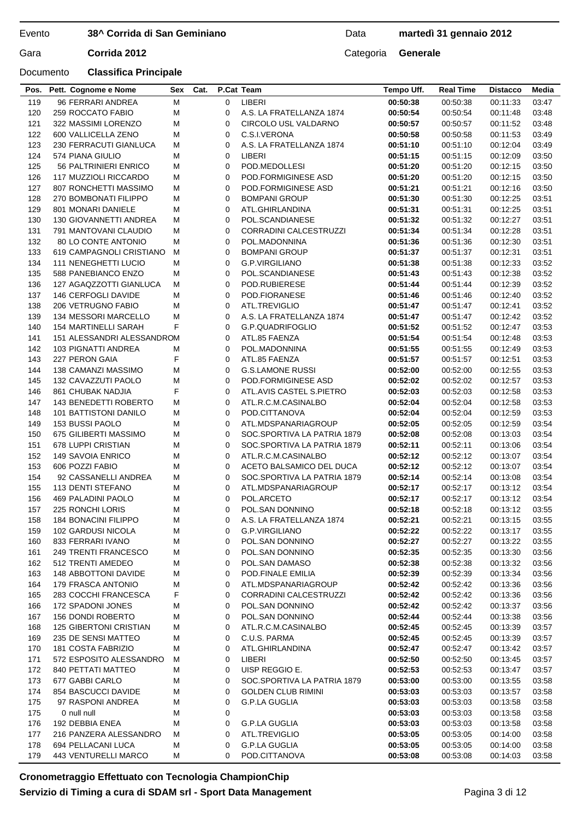## **38^ Corrida di San Geminiano**

Data **martedì 31 gennaio 2012**

| Gara | Corrida 2012 | Categoria Generale |  |
|------|--------------|--------------------|--|

| Pos.       | Pett. Cognome e Nome                              | Sex    | Cat. |             | P.Cat Team                               | Tempo Uff.           | <b>Real Time</b>     | <b>Distacco</b>      | Media          |
|------------|---------------------------------------------------|--------|------|-------------|------------------------------------------|----------------------|----------------------|----------------------|----------------|
| 119        | 96 FERRARI ANDREA                                 | M      |      | $\mathbf 0$ | LIBERI                                   | 00:50:38             | 00:50:38             | 00:11:33             | 03:47          |
| 120        | 259 ROCCATO FABIO                                 | М      |      | 0           | A.S. LA FRATELLANZA 1874                 | 00:50:54             | 00:50:54             | 00:11:48             | 03:48          |
| 121        | 322 MASSIMI LORENZO                               | M      |      | 0           | CIRCOLO USL VALDARNO                     | 00:50:57             | 00:50:57             | 00:11:52             | 03:48          |
| 122        | 600 VALLICELLA ZENO                               | M      |      | 0           | C.S.I.VERONA                             | 00:50:58             | 00:50:58             | 00:11:53             | 03:49          |
| 123        | 230 FERRACUTI GIANLUCA                            | M      |      | 0           | A.S. LA FRATELLANZA 1874                 | 00:51:10             | 00:51:10             | 00:12:04             | 03:49          |
| 124        | 574 PIANA GIULIO                                  | M      |      | 0           | LIBERI                                   | 00:51:15             | 00:51:15             | 00:12:09             | 03:50          |
| 125        | 56 PALTRINIERI ENRICO                             | M      |      | $\mathbf 0$ | POD.MEDOLLESI                            | 00:51:20             | 00:51:20             | 00:12:15             | 03:50          |
| 126        | 117 MUZZIOLI RICCARDO                             | M      |      | 0           | POD.FORMIGINESE ASD                      | 00:51:20             | 00:51:20             | 00:12:15             | 03:50          |
| 127        | 807 RONCHETTI MASSIMO                             | M      |      | 0           | POD.FORMIGINESE ASD                      | 00:51:21             | 00:51:21             | 00:12:16             | 03:50          |
| 128        | 270 BOMBONATI FILIPPO                             | M      |      | 0           | <b>BOMPANI GROUP</b>                     | 00:51:30             | 00:51:30             | 00:12:25             | 03:51          |
| 129        | 801 MONARI DANIELE                                | M      |      | 0           | ATL.GHIRLANDINA                          | 00:51:31             | 00:51:31             | 00:12:25             | 03:51          |
| 130        | 130 GIOVANNETTI ANDREA                            | M      |      | 0           | POL.SCANDIANESE                          | 00:51:32             | 00:51:32             | 00:12:27             | 03:51          |
| 131        | 791 MANTOVANI CLAUDIO                             | м      |      | $\mathbf 0$ | <b>CORRADINI CALCESTRUZZI</b>            | 00:51:34             | 00:51:34             | 00:12:28             | 03:51          |
| 132        | 80 LO CONTE ANTONIO                               | M      |      | 0           | POL.MADONNINA                            | 00:51:36             | 00:51:36             | 00:12:30             | 03:51          |
| 133        | 619 CAMPAGNOLI CRISTIANO                          | M      |      | 0           | <b>BOMPANI GROUP</b>                     | 00:51:37             | 00:51:37             | 00:12:31             | 03:51          |
| 134        | <b>111 NENEGHETTI LUCIO</b>                       | M      |      | 0           | G.P.VIRGILIANO                           | 00:51:38             | 00:51:38             | 00:12:33             | 03:52          |
| 135        | 588 PANEBIANCO ENZO                               | M      |      | 0           | POL.SCANDIANESE                          | 00:51:43             | 00:51:43             | 00:12:38             | 03:52          |
| 136        | 127 AGAQZZOTTI GIANLUCA                           | M      |      | 0           | POD.RUBIERESE                            | 00:51:44             | 00:51:44             | 00:12:39             | 03:52          |
| 137        | <b>146 CERFOGLI DAVIDE</b>                        | М      |      | 0           | POD.FIORANESE                            | 00:51:46             | 00:51:46             | 00:12:40             | 03:52          |
| 138        | 206 VETRUGNO FABIO                                | M      |      | 0           | ATL.TREVIGLIO                            | 00:51:47             | 00:51:47             | 00:12:41             | 03:52          |
| 139        | 134 MESSORI MARCELLO                              | M      |      | 0           | A.S. LA FRATELLANZA 1874                 | 00:51:47             | 00:51:47             | 00:12:42             | 03:52          |
| 140        | <b>154 MARTINELLI SARAH</b>                       | F      |      | 0           | G.P.QUADRIFOGLIO                         | 00:51:52             | 00:51:52             | 00:12:47             | 03:53          |
| 141        | 151 ALESSANDRI ALESSANDROM                        |        |      | 0           | ATL.85 FAENZA                            | 00:51:54             | 00:51:54             | 00:12:48             | 03:53          |
| 142        | 103 PIGNATTI ANDREA                               | M<br>F |      | 0<br>0      | POL.MADONNINA                            | 00:51:55             | 00:51:55             | 00:12:49             | 03:53          |
| 143<br>144 | 227 PERON GAIA                                    | M      |      | 0           | ATL.85 FAENZA<br><b>G.S.LAMONE RUSSI</b> | 00:51:57             | 00:51:57             | 00:12:51             | 03:53          |
| 145        | <b>138 CAMANZI MASSIMO</b><br>132 CAVAZZUTI PAOLO | M      |      | 0           | POD.FORMIGINESE ASD                      | 00:52:00<br>00:52:02 | 00:52:00<br>00:52:02 | 00:12:55<br>00:12:57 | 03:53<br>03:53 |
| 146        | 861 CHUBAK NADJIA                                 | F      |      | 0           | ATL.AVIS CASTEL S.PIETRO                 | 00:52:03             | 00:52:03             | 00:12:58             | 03:53          |
| 147        | 143 BENEDETTI ROBERTO                             | M      |      | 0           | ATL.R.C.M.CASINALBO                      | 00:52:04             | 00:52:04             | 00:12:58             | 03:53          |
| 148        | 101 BATTISTONI DANILO                             | M      |      | 0           | POD.CITTANOVA                            | 00:52:04             | 00:52:04             | 00:12:59             | 03:53          |
| 149        | 153 BUSSI PAOLO                                   | M      |      | 0           | ATL.MDSPANARIAGROUP                      | 00:52:05             | 00:52:05             | 00:12:59             | 03:54          |
| 150        | 675 GILIBERTI MASSIMO                             | M      |      | 0           | SOC.SPORTIVA LA PATRIA 1879              | 00:52:08             | 00:52:08             | 00:13:03             | 03:54          |
| 151        | 678 LUPPI CRISTIAN                                | M      |      | 0           | SOC.SPORTIVA LA PATRIA 1879              | 00:52:11             | 00:52:11             | 00:13:06             | 03:54          |
| 152        | 149 SAVOIA ENRICO                                 | M      |      | 0           | ATL.R.C.M.CASINALBO                      | 00:52:12             | 00:52:12             | 00:13:07             | 03:54          |
| 153        | 606 POZZI FABIO                                   | M      |      | 0           | ACETO BALSAMICO DEL DUCA                 | 00:52:12             | 00:52:12             | 00:13:07             | 03:54          |
| 154        | 92 CASSANELLI ANDREA                              | M      |      | 0           | SOC.SPORTIVA LA PATRIA 1879              | 00:52:14             | 00:52:14             | 00:13:08             | 03:54          |
| 155        | 113 DENTI STEFANO                                 | M      |      | 0           | ATL.MDSPANARIAGROUP                      | 00:52:17             | 00:52:17             | 00:13:12             | 03:54          |
| 156        | <b>469 PALADINI PAOLO</b>                         | M      |      | 0           | POL.ARCETO                               | 00:52:17             | 00:52:17             | 00:13:12             | 03:54          |
| 157        | 225 RONCHI LORIS                                  | M      |      | 0           | POL.SAN DONNINO                          | 00:52:18             | 00:52:18             | 00:13:12             | 03:55          |
| 158        | 184 BONACINI FILIPPO                              | M      |      | 0           | A.S. LA FRATELLANZA 1874                 | 00:52:21             | 00:52:21             | 00:13:15 03:55       |                |
| 159        | 102 GARDUSI NICOLA                                | M      |      | 0           | G.P.VIRGILIANO                           | 00:52:22             | 00:52:22             | 00:13:17             | 03:55          |
| 160        | 833 FERRARI IVANO                                 | M      |      | 0           | POL.SAN DONNINO                          | 00:52:27             | 00:52:27             | 00:13:22             | 03:55          |
| 161        | 249 TRENTI FRANCESCO                              | M      |      | 0           | POL.SAN DONNINO                          | 00:52:35             | 00:52:35             | 00:13:30             | 03:56          |
| 162        | 512 TRENTI AMEDEO                                 | M      |      | 0           | POL.SAN DAMASO                           | 00:52:38             | 00:52:38             | 00:13:32             | 03:56          |
| 163        | 148 ABBOTTONI DAVIDE                              | M      |      | 0           | POD.FINALE EMILIA                        | 00:52:39             | 00:52:39             | 00:13:34             | 03:56          |
| 164        | 179 FRASCA ANTONIO                                | M      |      | 0           | ATL.MDSPANARIAGROUP                      | 00:52:42             | 00:52:42             | 00:13:36             | 03:56          |
| 165        | 283 COCCHI FRANCESCA                              | F      |      | 0           | CORRADINI CALCESTRUZZI                   | 00:52:42             | 00:52:42             | 00:13:36             | 03:56          |
| 166        | 172 SPADONI JONES                                 | M      |      | 0           | POL.SAN DONNINO                          | 00:52:42             | 00:52:42             | 00:13:37             | 03:56          |
| 167        | <b>156 DONDI ROBERTO</b>                          | M      |      | 0           | POL.SAN DONNINO                          | 00:52:44             | 00:52:44             | 00:13:38             | 03:56          |
| 168        | <b>125 GIBERTONI CRISTIAN</b>                     | M      |      | 0           | ATL.R.C.M.CASINALBO                      | 00:52:45             | 00:52:45             | 00:13:39             | 03:57          |
| 169        | 235 DE SENSI MATTEO                               | M      |      | 0           | C.U.S. PARMA                             | 00:52:45             | 00:52:45             | 00:13:39             | 03:57          |
| 170        | 181 COSTA FABRIZIO                                | M      |      | 0           | ATL.GHIRLANDINA                          | 00:52:47             | 00:52:47             | 00:13:42             | 03:57          |
| 171        | 572 ESPOSITO ALESSANDRO                           | м      |      | 0           | LIBERI                                   | 00:52:50             | 00:52:50             | 00:13:45             | 03:57          |
| 172        | 840 PETTATI MATTEO                                | M      |      | 0           | UISP REGGIO E.                           | 00:52:53             | 00:52:53             | 00:13:47             | 03:57          |
| 173        | 677 GABBI CARLO                                   | M      |      | 0           | SOC.SPORTIVA LA PATRIA 1879              | 00:53:00             | 00:53:00             | 00:13:55             | 03:58          |
| 174        | 854 BASCUCCI DAVIDE                               | M      |      | 0           | <b>GOLDEN CLUB RIMINI</b>                | 00:53:03             | 00:53:03             | 00:13:57             | 03:58          |
| 175        | 97 RASPONI ANDREA                                 | M      |      | 0           | <b>G.P.LA GUGLIA</b>                     | 00:53:03             | 00:53:03             | 00:13:58             | 03:58          |
| 175        | 0 null null                                       | M      |      | 0           |                                          | 00:53:03             | 00:53:03             | 00:13:58             | 03:58          |
| 176        | 192 DEBBIA ENEA                                   | M      |      | 0           | G.P.LA GUGLIA                            | 00:53:03             | 00:53:03             | 00:13:58             | 03:58          |
| 177        | 216 PANZERA ALESSANDRO                            | M      |      | 0           | ATL.TREVIGLIO                            | 00:53:05             | 00:53:05             | 00:14:00             | 03:58          |
| 178        | 694 PELLACANI LUCA                                | M      |      | 0           | G.P.LA GUGLIA                            | 00:53:05             | 00:53:05             | 00:14:00             | 03:58          |
| 179        | 443 VENTURELLI MARCO                              | M      |      | 0           | POD.CITTANOVA                            | 00:53:08             | 00:53:08             | 00:14:03             | 03:58          |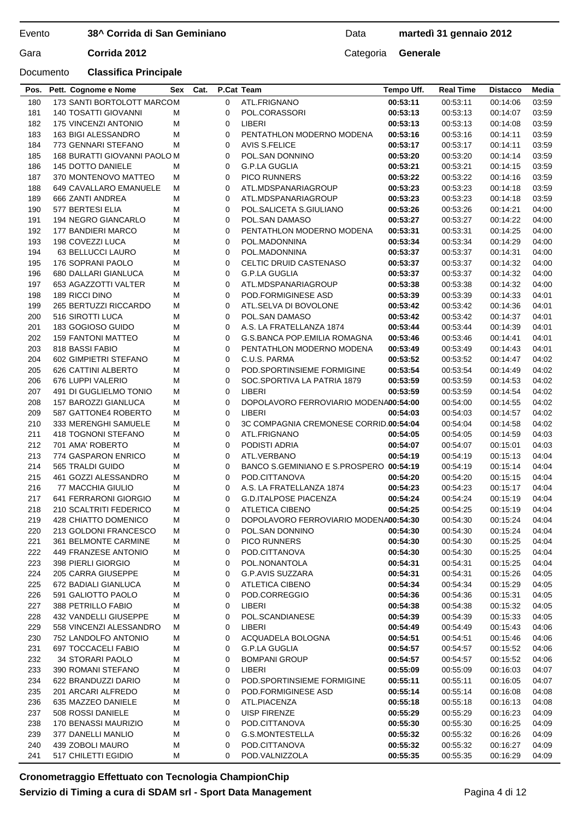## **38^ Corrida di San Geminiano**

## Data **martedì 31 gennaio 2012**

Gara **Corrida 2012** Categoria **Generale** 

## Documento **Classifica Principale**

| 180 | 173 SANTI BORTOLOTT MARCOM   |   | 0           | ATL.FRIGNANO                            | 00:53:11 | 00:53:11 | 00:14:06 | 03:59 |
|-----|------------------------------|---|-------------|-----------------------------------------|----------|----------|----------|-------|
| 181 | <b>140 TOSATTI GIOVANNI</b>  | м | 0           | POL.CORASSORI                           | 00:53:13 | 00:53:13 | 00:14:07 | 03:59 |
| 182 | <b>175 VINCENZI ANTONIO</b>  | М | 0           | LIBERI                                  | 00:53:13 | 00:53:13 | 00:14:08 | 03:59 |
| 183 | <b>163 BIGI ALESSANDRO</b>   | М | 0           | PENTATHLON MODERNO MODENA               | 00:53:16 | 00:53:16 | 00:14:11 | 03.59 |
| 184 | 773 GENNARI STEFANO          | М | 0           | <b>AVIS S.FELICE</b>                    | 00:53:17 | 00:53:17 | 00:14:11 | 03.59 |
| 185 | 168 BURATTI GIOVANNI PAOLO M |   | 0           | POL.SAN DONNINO                         | 00:53:20 | 00:53:20 | 00:14:14 | 03:59 |
| 186 | 145 DOTTO DANIELE            | м | 0           | G.P.LA GUGLIA                           | 00:53:21 | 00:53:21 | 00:14:15 | 03:59 |
| 187 | 370 MONTENOVO MATTEO         | м | 0           | <b>PICO RUNNERS</b>                     | 00:53:22 | 00:53:22 | 00:14:16 | 03:59 |
|     |                              |   |             |                                         |          |          |          |       |
| 188 | 649 CAVALLARO EMANUELE       | М | 0           | ATL.MDSPANARIAGROUP                     | 00:53:23 | 00:53:23 | 00:14:18 | 03:59 |
| 189 | 666 ZANTI ANDREA             | М | 0           | ATL.MDSPANARIAGROUP                     | 00:53:23 | 00:53:23 | 00:14:18 | 03.59 |
| 190 | 577 BERTESI ELIA             | М | 0           | POL.SALICETA S.GIULIANO                 | 00:53:26 | 00:53:26 | 00:14:21 | 04:00 |
| 191 | 194 NEGRO GIANCARLO          | М | 0           | POL.SAN DAMASO                          | 00:53:27 | 00:53:27 | 00:14:22 | 04:00 |
| 192 | 177 BANDIERI MARCO           | М | 0           | PENTATHLON MODERNO MODENA               | 00:53:31 | 00:53:31 | 00:14:25 | 04:00 |
| 193 | 198 COVEZZI LUCA             | М | 0           | POL.MADONNINA                           | 00:53:34 | 00:53:34 | 00:14:29 | 04:00 |
| 194 | 63 BELLUCCI LAURO            | М | 0           | POL.MADONNINA                           | 00:53:37 | 00:53:37 | 00:14:31 | 04:00 |
| 195 | 176 SOPRANI PAOLO            | М | 0           | CELTIC DRUID CASTENASO                  | 00:53:37 | 00:53:37 | 00:14:32 | 04:00 |
| 196 | 680 DALLARI GIANLUCA         | М | 0           | <b>G.P.LA GUGLIA</b>                    | 00:53:37 | 00:53:37 | 00:14:32 | 04:00 |
| 197 | 653 AGAZZOTTI VALTER         | М | 0           | ATL.MDSPANARIAGROUP                     | 00:53:38 | 00:53:38 | 00:14:32 | 04:00 |
| 198 | 189 RICCI DINO               | М | 0           | POD.FORMIGINESE ASD                     | 00:53:39 | 00:53:39 | 00:14:33 | 04:01 |
| 199 | 265 BERTUZZI RICCARDO        | М | 0           | ATL.SELVA DI BOVOLONE                   | 00:53:42 | 00:53:42 | 00:14:36 | 04:01 |
|     |                              |   | 0           |                                         |          |          |          |       |
| 200 | 516 SIROTTI LUCA             | М |             | POL.SAN DAMASO                          | 00:53:42 | 00:53:42 | 00:14:37 | 04:01 |
| 201 | 183 GOGIOSO GUIDO            | М | 0           | A.S. LA FRATELLANZA 1874                | 00:53:44 | 00:53:44 | 00:14:39 | 04:01 |
| 202 | <b>159 FANTONI MATTEO</b>    | M | 0           | G.S.BANCA POP.EMILIA ROMAGNA            | 00:53:46 | 00:53:46 | 00:14:41 | 04:01 |
| 203 | 818 BASSI FABIO              | М | 0           | PENTATHLON MODERNO MODENA               | 00:53:49 | 00:53:49 | 00:14:43 | 04:01 |
| 204 | 602 GIMPIETRI STEFANO        | М | 0           | C.U.S. PARMA                            | 00:53:52 | 00:53:52 | 00:14:47 | 04:02 |
| 205 | 626 CATTINI ALBERTO          | М | 0           | POD.SPORTINSIEME FORMIGINE              | 00:53:54 | 00:53:54 | 00:14:49 | 04:02 |
| 206 | 676 LUPPI VALERIO            | М | 0           | SOC.SPORTIVA LA PATRIA 1879             | 00:53:59 | 00:53:59 | 00:14:53 | 04:02 |
| 207 | 491 DI GUGLIELMO TONIO       | М | 0           | LIBERI                                  | 00:53:59 | 00:53:59 | 00:14:54 | 04:02 |
| 208 | 157 BAROZZI GIANLUCA         | М | $\mathbf 0$ | DOPOLAVORO FERROVIARIO MODENA00:54:00   |          | 00:54:00 | 00:14:55 | 04:02 |
| 209 | 587 GATTONE4 ROBERTO         | М | 0           | LIBERI                                  | 00:54:03 | 00:54:03 | 00:14:57 | 04:02 |
| 210 | 333 MERENGHI SAMUELE         | М | 0           | 3C COMPAGNIA CREMONESE CORRID.00:54:04  |          | 00:54:04 | 00:14:58 | 04:02 |
| 211 | 418 TOGNONI STEFANO          | М | 0           | ATL.FRIGNANO                            | 00:54:05 | 00:54:05 | 00:14:59 | 04:03 |
| 212 | 701 AMA' ROBERTO             | М | 0           | PODISTI ADRIA                           | 00:54:07 | 00:54:07 | 00:15:01 | 04:03 |
| 213 | 774 GASPARON ENRICO          | М | 0           | ATL.VERBANO                             | 00:54:19 | 00:54:19 | 00:15:13 | 04:04 |
|     |                              |   | 0           |                                         |          |          |          |       |
| 214 | 565 TRALDI GUIDO             | М |             | BANCO S.GEMINIANO E S.PROSPERO 00:54:19 |          | 00:54:19 | 00:15:14 | 04:04 |
| 215 | 461 GOZZI ALESSANDRO         | М | 0           | POD.CITTANOVA                           | 00:54:20 | 00:54:20 | 00:15:15 | 04:04 |
| 216 | 77 MACCHIA GIULIO            | М | 0           | A.S. LA FRATELLANZA 1874                | 00:54:23 | 00:54:23 | 00:15:17 | 04:04 |
| 217 | 641 FERRARONI GIORGIO        | М | 0           | <b>G.D.ITALPOSE PIACENZA</b>            | 00:54:24 | 00:54:24 | 00:15:19 | 04:04 |
| 218 | 210 SCALTRITI FEDERICO       | М | 0           | ATLETICA CIBENO                         | 00:54:25 | 00:54:25 | 00:15:19 | 04:04 |
| 219 | 428 CHIATTO DOMENICO         | М | 0           | DOPOLAVORO FERROVIARIO MODENA00:54:30   |          | 00:54:30 | 00:15:24 | 04:04 |
| 220 | 213 GOLDONI FRANCESCO        | М | $\Omega$    | POL.SAN DONNINO                         | 00:54:30 | 00:54:30 | 00:15:24 | 04:04 |
| 221 | 361 BELMONTE CARMINE         | М | 0           | <b>PICO RUNNERS</b>                     | 00:54:30 | 00:54:30 | 00:15:25 | 04:04 |
| 222 | 449 FRANZESE ANTONIO         | М | 0           | POD.CITTANOVA                           | 00:54:30 | 00:54:30 | 00:15:25 | 04:04 |
| 223 | 398 PIERLI GIORGIO           | M | 0           | POL.NONANTOLA                           | 00:54:31 | 00:54:31 | 00:15:25 | 04:04 |
| 224 | 205 CARRA GIUSEPPE           | М | 0           | G.P.AVIS SUZZARA                        | 00:54:31 | 00:54:31 | 00:15:26 | 04:05 |
| 225 | 672 BADIALI GIANLUCA         | M | 0           | <b>ATLETICA CIBENO</b>                  | 00:54:34 | 00:54:34 | 00:15:29 | 04:05 |
| 226 | 591 GALIOTTO PAOLO           | M | 0           | POD.CORREGGIO                           | 00:54:36 | 00:54:36 | 00:15:31 | 04:05 |
| 227 | 388 PETRILLO FABIO           | M | 0           | LIBERI                                  | 00:54:38 | 00:54:38 | 00:15:32 | 04:05 |
| 228 | 432 VANDELLI GIUSEPPE        | М | 0           | POL.SCANDIANESE                         | 00:54:39 | 00:54:39 | 00:15:33 | 04:05 |
| 229 | 558 VINCENZI ALESSANDRO      | М | 0           | LIBERI                                  | 00:54:49 | 00:54:49 | 00:15:43 | 04:06 |
| 230 | 752 LANDOLFO ANTONIO         | М | 0           | ACQUADELA BOLOGNA                       | 00:54:51 | 00:54:51 | 00:15:46 | 04:06 |
| 231 | 697 TOCCACELI FABIO          | M | 0           | <b>G.P.LA GUGLIA</b>                    | 00:54:57 | 00:54:57 | 00:15:52 | 04:06 |
| 232 | 34 STORARI PAOLO             | M | 0           | <b>BOMPANI GROUP</b>                    | 00:54:57 | 00:54:57 | 00:15:52 | 04:06 |
| 233 | 390 ROMANI STEFANO           | M | 0           | LIBERI                                  | 00:55:09 | 00:55:09 | 00:16:03 | 04:07 |
| 234 | 622 BRANDUZZI DARIO          |   | 0           | POD SPORTINSIEME FORMIGINE              | 00:55:11 | 00:55:11 |          |       |
|     |                              | М |             |                                         |          |          | 00:16:05 | 04:07 |
| 235 | 201 ARCARI ALFREDO           | M | 0           | POD.FORMIGINESE ASD                     | 00:55:14 | 00:55:14 | 00:16:08 | 04:08 |
| 236 | 635 MAZZEO DANIELE           | M | 0           | ATL.PIACENZA                            | 00:55:18 | 00:55:18 | 00:16:13 | 04:08 |
| 237 | 508 ROSSI DANIELE            | M | 0           | <b>UISP FIRENZE</b>                     | 00:55:29 | 00:55:29 | 00:16:23 | 04:09 |
| 238 | 170 BENASSI MAURIZIO         | M | 0           | POD.CITTANOVA                           | 00:55:30 | 00:55:30 | 00:16:25 | 04:09 |
| 239 | 377 DANELLI MANLIO           | M | 0           | G.S.MONTESTELLA                         | 00:55:32 | 00:55:32 | 00:16:26 | 04:09 |
| 240 | 439 ZOBOLI MAURO             | M | 0           | POD.CITTANOVA                           | 00:55:32 | 00:55:32 | 00:16:27 | 04:09 |
| 241 | 517 CHILETTI EGIDIO          | М | 0           | POD.VALNIZZOLA                          | 00:55:35 | 00:55:35 | 00:16:29 | 04:09 |
|     |                              |   |             |                                         |          |          |          |       |

**Pos. Pett. Cognome e Nome Sex Cat. P.Cat Team Tempo Uff. Real Time Distacco Media**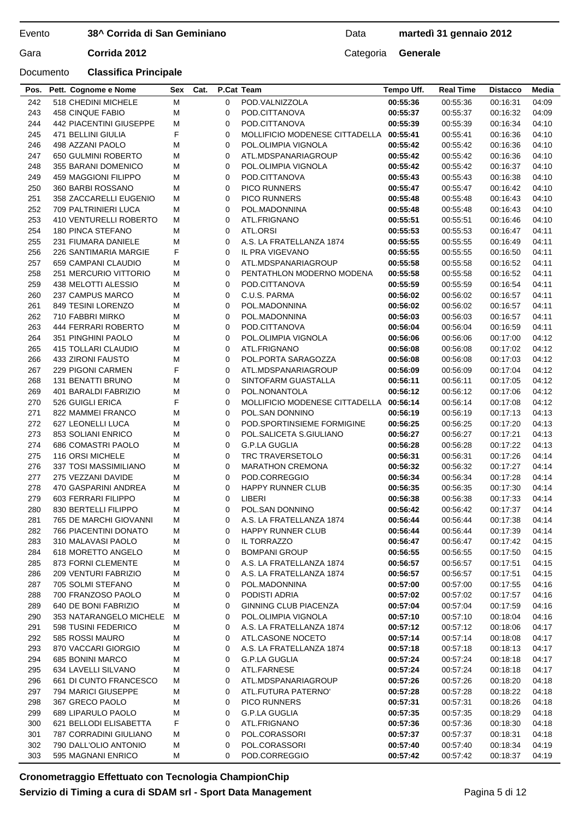## **38^ Corrida di San Geminiano**

## Data **martedì 31 gennaio 2012**

Gara **Corrida 2012** Categoria **Generale** 

| Pos. | Pett. Cognome e Nome    | Sex | Cat. |             | P.Cat Team                              | Tempo Uff. | <b>Real Time</b> | <b>Distacco</b> | Media |
|------|-------------------------|-----|------|-------------|-----------------------------------------|------------|------------------|-----------------|-------|
| 242  | 518 CHEDINI MICHELE     | M   |      | 0           | POD.VALNIZZOLA                          | 00:55:36   | 00:55:36         | 00:16:31        | 04:09 |
| 243  | <b>458 CINQUE FABIO</b> | M   |      | 0           | POD.CITTANOVA                           | 00:55:37   | 00:55:37         | 00:16:32        | 04:09 |
| 244  | 442 PIACENTINI GIUSEPPE | М   |      | 0           | POD.CITTANOVA                           | 00:55:39   | 00:55:39         | 00:16:34        | 04:10 |
| 245  | 471 BELLINI GIULIA      | F   |      | 0           | MOLLIFICIO MODENESE CITTADELLA 00:55:41 |            | 00:55:41         | 00:16:36        | 04:10 |
| 246  | 498 AZZANI PAOLO        | M   |      | 0           | POL.OLIMPIA VIGNOLA                     | 00:55:42   | 00:55:42         | 00:16:36        | 04:10 |
| 247  | 650 GULMINI ROBERTO     | M   |      | 0           | ATL.MDSPANARIAGROUP                     | 00:55:42   | 00:55:42         | 00:16:36        | 04:10 |
| 248  | 355 BARANI DOMENICO     | М   |      | 0           | POL.OLIMPIA VIGNOLA                     | 00:55:42   | 00:55:42         | 00:16:37        | 04:10 |
| 249  | 459 MAGGIONI FILIPPO    | М   |      | 0           | POD.CITTANOVA                           | 00:55:43   | 00:55:43         | 00:16:38        | 04:10 |
| 250  | 360 BARBI ROSSANO       | М   |      | $\mathbf 0$ | <b>PICO RUNNERS</b>                     | 00:55:47   | 00:55:47         | 00:16:42        | 04:10 |
| 251  | 358 ZACCARELLI EUGENIO  | М   |      | 0           | <b>PICO RUNNERS</b>                     | 00:55:48   | 00:55:48         | 00:16:43        | 04:10 |
| 252  | 709 PALTRINIERI LUCA    | М   |      | $\mathbf 0$ | POL.MADONNINA                           | 00:55:48   | 00:55:48         | 00:16:43        | 04:10 |
| 253  | 410 VENTURELLI ROBERTO  | М   |      | 0           | ATL.FRIGNANO                            | 00:55:51   | 00:55:51         | 00:16:46        | 04:10 |
| 254  | 180 PINCA STEFANO       | М   |      | 0           | ATL.ORSI                                | 00:55:53   | 00:55:53         | 00:16:47        | 04:11 |
| 255  | 231 FIUMARA DANIELE     | M   |      | 0           | A.S. LA FRATELLANZA 1874                | 00:55:55   | 00:55:55         | 00:16:49        | 04:11 |
| 256  | 226 SANTIMARIA MARGIE   | F   |      | $\mathbf 0$ | IL PRA VIGEVANO                         | 00:55:55   | 00:55:55         | 00:16:50        | 04:11 |
| 257  | 659 CAMPANI CLAUDIO     | M   |      | 0           | ATL.MDSPANARIAGROUP                     | 00:55:58   | 00:55:58         | 00:16:52        | 04:11 |
| 258  | 251 MERCURIO VITTORIO   | M   |      | 0           | PENTATHLON MODERNO MODENA               | 00:55:58   | 00:55:58         | 00:16:52        | 04:11 |
| 259  | 438 MELOTTI ALESSIO     | М   |      | 0           | POD.CITTANOVA                           | 00:55:59   | 00:55:59         | 00:16:54        | 04:11 |
| 260  | 237 CAMPUS MARCO        | М   |      | 0           | C.U.S. PARMA                            | 00:56:02   | 00:56:02         |                 | 04:11 |
|      |                         |     |      |             |                                         |            |                  | 00:16:57        |       |
| 261  | 849 TESINI LORENZO      | М   |      | 0           | POL.MADONNINA                           | 00:56:02   | 00:56:02         | 00:16:57        | 04:11 |
| 262  | 710 FABBRI MIRKO        | М   |      | $\mathbf 0$ | POL.MADONNINA                           | 00:56:03   | 00:56:03         | 00:16:57        | 04:11 |
| 263  | 444 FERRARI ROBERTO     | М   |      | 0           | POD.CITTANOVA                           | 00:56:04   | 00:56:04         | 00:16:59        | 04:11 |
| 264  | 351 PINGHINI PAOLO      | М   |      | $\mathbf 0$ | POL.OLIMPIA VIGNOLA                     | 00:56:06   | 00:56:06         | 00:17:00        | 04:12 |
| 265  | 415 TOLLARI CLAUDIO     | М   |      | 0           | ATL.FRIGNANO                            | 00:56:08   | 00:56:08         | 00:17:02        | 04:12 |
| 266  | 433 ZIRONI FAUSTO       | M   |      | 0           | POL.PORTA SARAGOZZA                     | 00:56:08   | 00:56:08         | 00:17:03        | 04:12 |
| 267  | 229 PIGONI CARMEN       | F   |      | 0           | ATL.MDSPANARIAGROUP                     | 00:56:09   | 00:56:09         | 00:17:04        | 04:12 |
| 268  | 131 BENATTI BRUNO       | M   |      | $\mathbf 0$ | SINTOFARM GUASTALLA                     | 00:56:11   | 00:56:11         | 00:17:05        | 04:12 |
| 269  | 401 BARALDI FABRIZIO    | M   |      | 0           | POL.NONANTOLA                           | 00:56:12   | 00:56:12         | 00:17:06        | 04:12 |
| 270  | 526 GUIGLI ERICA        | F   |      | 0           | MOLLIFICIO MODENESE CITTADELLA          | 00:56:14   | 00:56:14         | 00:17:08        | 04:12 |
| 271  | 822 MAMMEI FRANCO       | M   |      | 0           | POL.SAN DONNINO                         | 00:56:19   | 00:56:19         | 00:17:13        | 04:13 |
| 272  | 627 LEONELLI LUCA       | M   |      | 0           | POD SPORTINSIEME FORMIGINE              | 00:56:25   | 00:56:25         | 00:17:20        | 04:13 |
| 273  | 853 SOLIANI ENRICO      | M   |      | 0           | POL.SALICETA S.GIULIANO                 | 00:56:27   | 00:56:27         | 00:17:21        | 04:13 |
| 274  | 686 COMASTRI PAOLO      | М   |      | $\mathbf 0$ | <b>G.P.LA GUGLIA</b>                    | 00:56:28   | 00:56:28         | 00:17:22        | 04:13 |
| 275  | 116 ORSI MICHELE        | М   |      | 0           | TRC TRAVERSETOLO                        | 00:56:31   | 00:56:31         | 00:17:26        | 04:14 |
| 276  | 337 TOSI MASSIMILIANO   | М   |      | $\mathbf 0$ | <b>MARATHON CREMONA</b>                 | 00:56:32   | 00:56:32         | 00:17:27        | 04:14 |
| 277  | 275 VEZZANI DAVIDE      | М   |      | 0           | POD.CORREGGIO                           | 00:56:34   | 00:56:34         | 00:17:28        | 04:14 |
| 278  | 470 GASPARINI ANDREA    | M   |      | 0           | <b>HAPPY RUNNER CLUB</b>                | 00:56:35   | 00:56:35         | 00:17:30        | 04:14 |
| 279  | 603 FERRARI FILIPPO     | М   |      | 0           | LIBERI                                  | 00:56:38   | 00:56:38         | 00:17:33        | 04:14 |
| 280  | 830 BERTELLI FILIPPO    | М   |      | $\mathbf 0$ | POL.SAN DONNINO                         | 00:56:42   | 00:56:42         | 00:17:37        | 04:14 |
| 281  | 765 DE MARCHI GIOVANNI  | м   |      | 0           | A.S. LA FRATELLANZA 1874                | 00:56:44   | 00:56:44         | 00:17:38        | 04:14 |
| 282  | 766 PIACENTINI DONATO   | M   |      | 0           | HAPPY RUNNER CLUB                       | 00:56:44   | 00:56:44         | 00:17:39        | 04:14 |
| 283  | 310 MALAVASI PAOLO      | M   |      | 0           | IL TORRAZZO                             | 00:56:47   | 00:56:47         | 00:17:42        | 04:15 |
| 284  | 618 MORETTO ANGELO      | M   |      | 0           | <b>BOMPANI GROUP</b>                    | 00:56:55   | 00:56:55         | 00:17:50        | 04:15 |
| 285  | 873 FORNI CLEMENTE      | M   |      | 0           | A.S. LA FRATELLANZA 1874                | 00:56:57   | 00:56:57         | 00:17:51        | 04:15 |
| 286  | 209 VENTURI FABRIZIO    | M   |      | 0           | A.S. LA FRATELLANZA 1874                | 00:56:57   | 00:56:57         | 00:17:51        | 04:15 |
| 287  | 705 SOLMI STEFANO       | М   |      | 0           | POL.MADONNINA                           | 00:57:00   | 00:57:00         | 00:17:55        | 04:16 |
| 288  | 700 FRANZOSO PAOLO      | М   |      | 0           | PODISTI ADRIA                           | 00:57:02   | 00:57:02         | 00:17:57        | 04:16 |
| 289  | 640 DE BONI FABRIZIO    | М   |      | 0           | <b>GINNING CLUB PIACENZA</b>            | 00:57:04   | 00:57:04         | 00:17:59        | 04:16 |
| 290  | 353 NATARANGELO MICHELE | M   |      | 0           | POL.OLIMPIA VIGNOLA                     | 00:57:10   | 00:57:10         | 00:18:04        | 04:16 |
| 291  | 598 TUSINI FEDERICO     | М   |      | 0           | A.S. LA FRATELLANZA 1874                | 00:57:12   | 00:57:12         | 00:18:06        | 04:17 |
| 292  | 585 ROSSI MAURO         | М   |      | 0           | ATL.CASONE NOCETO                       | 00:57:14   | 00:57:14         | 00:18:08        | 04:17 |
| 293  | 870 VACCARI GIORGIO     | M   |      | 0           | A.S. LA FRATELLANZA 1874                | 00:57:18   | 00:57:18         | 00:18:13        | 04:17 |
| 294  | 685 BONINI MARCO        | М   |      | 0           | G.P.LA GUGLIA                           | 00:57:24   | 00:57:24         | 00:18:18        | 04:17 |
| 295  | 634 LAVELLI SILVANO     | М   |      | 0           | ATL.FARNESE                             | 00:57:24   | 00:57:24         | 00:18:18        | 04:17 |
| 296  | 661 DI CUNTO FRANCESCO  | M   |      | 0           | ATL.MDSPANARIAGROUP                     | 00:57:26   | 00:57:26         | 00:18:20        | 04:18 |
| 297  | 794 MARICI GIUSEPPE     | М   |      | 0           | ATL.FUTURA PATERNO'                     | 00:57:28   | 00:57:28         | 00:18:22        | 04:18 |
| 298  | 367 GRECO PAOLO         | M   |      | 0           | <b>PICO RUNNERS</b>                     | 00:57:31   | 00:57:31         | 00:18:26        | 04:18 |
| 299  | 689 LIPARULO PAOLO      | M   |      | 0           | G.P.LA GUGLIA                           | 00:57:35   | 00:57:35         | 00:18:29        | 04:18 |
| 300  | 621 BELLODI ELISABETTA  | F   |      | 0           | ATL.FRIGNANO                            | 00:57:36   | 00:57:36         | 00:18:30        | 04:18 |
| 301  | 787 CORRADINI GIULIANO  | М   |      | 0           | POL.CORASSORI                           | 00:57:37   | 00:57:37         | 00:18:31        | 04:18 |
| 302  | 790 DALL'OLIO ANTONIO   | M   |      | 0           | POL.CORASSORI                           | 00:57:40   | 00:57:40         | 00:18:34        | 04:19 |
| 303  | 595 MAGNANI ENRICO      | М   |      | 0           | POD.CORREGGIO                           | 00:57:42   | 00:57:42         | 00:18:37        | 04:19 |
|      |                         |     |      |             |                                         |            |                  |                 |       |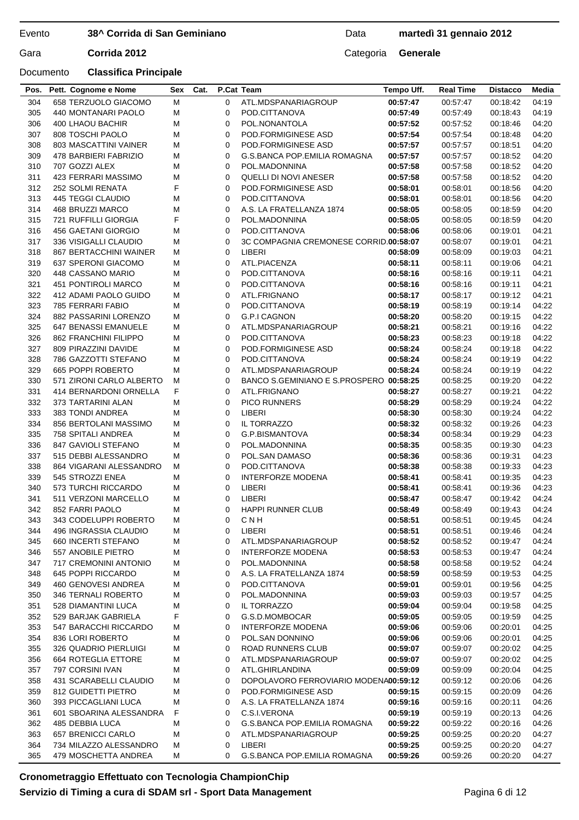## **38^ Corrida di San Geminiano**

## Data **martedì 31 gennaio 2012**

Gara **Corrida 2012** Categoria **Generale** 

| 00:57:47<br>304<br>658 TERZUOLO GIACOMO<br>M<br>ATL.MDSPANARIAGROUP<br>00:57:47<br>04:19<br>0<br>00:18:42<br>305<br>M<br>0<br>00:57:49<br>00:57:49<br>04:19<br>440 MONTANARI PAOLO<br>POD.CITTANOVA<br>00:18:43<br>M<br>0<br>00:57:52<br>04:20<br>306<br>400 LHAOU BACHIR<br>POL.NONANTOLA<br>00:57:52<br>00:18:46<br>M<br>0<br>00:57:54<br>04:20<br>307<br>808 TOSCHI PAOLO<br>POD.FORMIGINESE ASD<br>00:57:54<br>00:18:48<br>04:20<br>308<br>803 MASCATTINI VAINER<br>М<br>0<br>POD.FORMIGINESE ASD<br>00:57:57<br>00:57:57<br>00:18:51<br>М<br>309<br>478 BARBIERI FABRIZIO<br>0<br><b>G.S.BANCA POP.EMILIA ROMAGNA</b><br>00:57:57<br>00:57:57<br>04:20<br>00:18:52<br>M<br>310<br>707 GOZZI ALEX<br>0<br>POL.MADONNINA<br>00:57:58<br>00:57:58<br>00:18:52<br>04:20<br>М<br>04:20<br>311<br>423 FERRARI MASSIMO<br>0<br>QUELLI DI NOVI ANESER<br>00:57:58<br>00:57:58<br>00:18:52<br>F<br>0<br>04:20<br>312<br>252 SOLMI RENATA<br>POD.FORMIGINESE ASD<br>00:58:01<br>00:58:01<br>00:18:56<br>313<br>445 TEGGI CLAUDIO<br>М<br>0<br>POD.CITTANOVA<br>00:58:01<br>00:58:01<br>00:18:56<br>04:20<br>314<br>М<br>04:20<br>468 BRUZZI MARCO<br>0<br>A.S. LA FRATELLANZA 1874<br>00:58:05<br>00:58:05<br>00:18:59<br>F<br>04:20<br>315<br>721 RUFFILLI GIORGIA<br>0<br>POL.MADONNINA<br>00:58:05<br>00:58:05<br>00:18:59<br>М<br>316<br>456 GAETANI GIORGIO<br>0<br>POD.CITTANOVA<br>00:58:06<br>00:58:06<br>00:19:01<br>04:21<br>М<br>0<br>00:58:07<br>04:21<br>317<br>336 VISIGALLI CLAUDIO<br>3C COMPAGNIA CREMONESE CORRID.00:58:07<br>00:19:01<br>$\mathbf 0$<br>LIBERI<br>04:21<br>318<br>867 BERTACCHINI WAINER<br>M<br>00:58:09<br>00:58:09<br>00:19:03<br>M<br>0<br>ATL.PIACENZA<br>319<br>637 SPERONI GIACOMO<br>00:58:11<br>00:58:11<br>00:19:06<br>04:21<br>320<br>448 CASSANO MARIO<br>М<br>0<br>04:21<br>POD.CITTANOVA<br>00:58:16<br>00:58:16<br>00:19:11<br>M<br>04:21<br>321<br>451 PONTIROLI MARCO<br>0<br>POD.CITTANOVA<br>00:58:16<br>00:58:16<br>00:19:11<br>322<br>04:21<br>412 ADAMI PAOLO GUIDO<br>M<br>0<br>ATL.FRIGNANO<br>00:58:17<br>00:58:17<br>00:19:12<br>323<br>M<br>00:58:19<br>04:22<br>785 FERRARI FABIO<br>0<br>POD.CITTANOVA<br>00:58:19<br>00:19:14<br>324<br>0<br>04:22<br>882 PASSARINI LORENZO<br>М<br><b>G.P.I CAGNON</b><br>00:58:20<br>00:58:20<br>00:19:15<br>325<br>647 BENASSI EMANUELE<br>M<br>0<br>ATL.MDSPANARIAGROUP<br>00:58:21<br>00:58:21<br>00:19:16<br>04:22<br>326<br>$\mathbf 0$<br>04:22<br>862 FRANCHINI FILIPPO<br>М<br>POD.CITTANOVA<br>00:58:23<br>00:58:23<br>00:19:18<br>327<br>809 PIRAZZINI DAVIDE<br>М<br>0<br>POD.FORMIGINESE ASD<br>00:58:24<br>00:58:24<br>04:22<br>00:19:18<br>M<br>04:22<br>328<br>786 GAZZOTTI STEFANO<br>0<br>POD.CITTANOVA<br>00:58:24<br>00:58:24<br>00:19:19<br>329<br>665 POPPI ROBERTO<br>M<br>00:58:24<br>00:58:24<br>04:22<br>0<br>ATL.MDSPANARIAGROUP<br>00:19:19<br>04:22<br>330<br>571 ZIRONI CARLO ALBERTO<br>M<br>0<br>BANCO S.GEMINIANO E S.PROSPERO 00:58:25<br>00:58:25<br>00:19:20<br>F<br>04:22<br>331<br>414 BERNARDONI ORNELLA<br>0<br>ATL.FRIGNANO<br>00:58:27<br>00:58:27<br>00:19:21<br>332<br>$\mathbf 0$<br>00:58:29<br>04:22<br>373 TARTARINI ALAN<br>М<br><b>PICO RUNNERS</b><br>00:58:29<br>00:19:24<br>04:22<br>333<br>383 TONDI ANDREA<br>М<br>0<br>LIBERI<br>00:58:30<br>00:58:30<br>00:19:24<br>334<br>856 BERTOLANI MASSIMO<br>M<br>0<br>IL TORRAZZO<br>00:58:32<br>00:58:32<br>00:19:26<br>04:23<br>М<br>04:23<br>335<br>758 SPITALI ANDREA<br>0<br>G.P.BISMANTOVA<br>00:58:34<br>00:58:34<br>00:19:29<br>336<br>847 GAVIOLI STEFANO<br>М<br>0<br>00:58:35<br>00:58:35<br>04:23<br>POL.MADONNINA<br>00:19:30<br>337<br>515 DEBBI ALESSANDRO<br>M<br>0<br>POL.SAN DAMASO<br>00:58:36<br>00:58:36<br>00:19:31<br>04:23<br>338<br>04:23<br>864 VIGARANI ALESSANDRO<br>М<br>0<br>POD.CITTANOVA<br>00:58:38<br>00:58:38<br>00:19:33<br>339<br>545 STROZZI ENEA<br>М<br>0<br><b>INTERFORZE MODENA</b><br>00:58:41<br>00:58:41<br>04:23<br>00:19:35<br>340<br>573 TURCHI RICCARDO<br>M<br>0<br>LIBERI<br>00:58:41<br>00:58:41<br>00:19:36<br>04:23<br>341<br>511 VERZONI MARCELLO<br>0<br>LIBERI<br>04:24<br>М<br>00:58:47<br>00:58:47<br>00:19:42<br>342<br>M<br><b>HAPPI RUNNER CLUB</b><br>04:24<br>852 FARRI PAOLO<br>0<br>00:58:49<br>00:58:49<br>00:19:43<br>343<br>343 CODELUPPLROBERTO<br>CNH<br>00:58:51<br>00:58:51<br>04:24<br>М<br>$\Omega$<br>00:19:45<br>496 INGRASSIA CLAUDIO<br>00:58:51<br>04:24<br>344<br>0<br>LIBERI<br>00:58:51<br>00:19:46<br>M<br>345<br>М<br>660 INCERTI STEFANO<br>0<br>ATL.MDSPANARIAGROUP<br>00:58:52<br>00:58:52<br>04:24<br>00:19:47<br>346<br>M<br><b>INTERFORZE MODENA</b><br>557 ANOBILE PIETRO<br>0<br>00:58:53<br>00:58:53<br>00:19:47<br>04:24<br>347<br>717 CREMONINI ANTONIO<br>М<br>00:58:58<br>04:24<br>0<br>POL.MADONNINA<br>00:58:58<br>00:19:52<br>348<br>М<br>645 POPPI RICCARDO<br>0<br>A.S. LA FRATELLANZA 1874<br>00:58:59<br>00:58:59<br>00:19:53<br>04:25<br>349<br>М<br>00:59:01<br>00:59:01<br>460 GENOVESI ANDREA<br>0<br>POD.CITTANOVA<br>00:19:56<br>04:25<br>350<br>346 TERNALI ROBERTO<br>М<br>00:59:03<br>04:25<br>0<br>POL.MADONNINA<br>00:59:03<br>00:19:57<br>М<br>IL TORRAZZO<br>351<br>528 DIAMANTINI LUCA<br>0<br>00:59:04<br>00:59:04<br>00:19:58<br>04:25<br>F<br>352<br>529 BARJAK GABRIELA<br>G.S.D.MOMBOCAR<br>00:59:05<br>00:59:05<br>04:25<br>0<br>00:19:59<br>353<br>00:59:06<br>547 BARACCHI RICCARDO<br>М<br>0<br><b>INTERFORZE MODENA</b><br>00:59:06<br>00:20:01<br>04:25<br>354<br>836 LORI ROBERTO<br>М<br>0<br>POL.SAN DONNINO<br>00:59:06<br>00:59:06<br>00:20:01<br>04:25<br>355<br>326 QUADRIO PIERLUIGI<br>0<br>ROAD RUNNERS CLUB<br>00:59:07<br>00:59:07<br>М<br>00:20:02<br>04:25<br>356<br>00:59:07<br>664 ROTEGLIA ETTORE<br>М<br>0<br>ATL.MDSPANARIAGROUP<br>00:59:07<br>00:20:02<br>04:25<br>357<br>797 CORSINI IVAN<br>М<br>0<br>ATL.GHIRLANDINA<br>00:59:09<br>00:59:09<br>00:20:04<br>04:25<br>358<br>431 SCARABELLI CLAUDIO<br>M<br>DOPOLAVORO FERROVIARIO MODENA00:59:12<br>00:59:12<br>0<br>00:20:06<br>04:26<br>359<br>812 GUIDETTI PIETRO<br>М<br>00:59:15<br>04:26<br>0<br>POD.FORMIGINESE ASD<br>00:59:15<br>00:20:09<br>М<br>00:59:16<br>360<br>393 PICCAGLIANI LUCA<br>0<br>A.S. LA FRATELLANZA 1874<br>00:59:16<br>00:20:11<br>04:26<br>F<br>361<br>601 SBOARINA ALESSANDRA<br>0<br>C.S.I.VERONA<br>00:59:19<br>00:59:19<br>00:20:13<br>04:26<br>362<br>485 DEBBIA LUCA<br>G.S.BANCA POP.EMILIA ROMAGNA<br>00:59:22<br>М<br>0<br>00:59:22<br>00:20:16<br>04:26<br>363<br>657 BRENICCI CARLO<br>M<br>ATL.MDSPANARIAGROUP<br>00:59:25<br>00:59:25<br>00:20:20<br>04:27<br>0<br>364<br>734 MILAZZO ALESSANDRO<br>LIBERI<br>00:59:25<br>00:59:25<br>М<br>0<br>00:20:20<br>04:27<br>479 MOSCHETTA ANDREA<br>G.S.BANCA POP.EMILIA ROMAGNA<br>365<br>М<br>0<br>00:59:26<br>00:59:26<br>00:20:20<br>04:27 | Pos. | Pett. Cognome e Nome | Sex | Cat. | P.Cat Team | Tempo Uff. | <b>Real Time</b> | <b>Distacco</b> | Media |
|-------------------------------------------------------------------------------------------------------------------------------------------------------------------------------------------------------------------------------------------------------------------------------------------------------------------------------------------------------------------------------------------------------------------------------------------------------------------------------------------------------------------------------------------------------------------------------------------------------------------------------------------------------------------------------------------------------------------------------------------------------------------------------------------------------------------------------------------------------------------------------------------------------------------------------------------------------------------------------------------------------------------------------------------------------------------------------------------------------------------------------------------------------------------------------------------------------------------------------------------------------------------------------------------------------------------------------------------------------------------------------------------------------------------------------------------------------------------------------------------------------------------------------------------------------------------------------------------------------------------------------------------------------------------------------------------------------------------------------------------------------------------------------------------------------------------------------------------------------------------------------------------------------------------------------------------------------------------------------------------------------------------------------------------------------------------------------------------------------------------------------------------------------------------------------------------------------------------------------------------------------------------------------------------------------------------------------------------------------------------------------------------------------------------------------------------------------------------------------------------------------------------------------------------------------------------------------------------------------------------------------------------------------------------------------------------------------------------------------------------------------------------------------------------------------------------------------------------------------------------------------------------------------------------------------------------------------------------------------------------------------------------------------------------------------------------------------------------------------------------------------------------------------------------------------------------------------------------------------------------------------------------------------------------------------------------------------------------------------------------------------------------------------------------------------------------------------------------------------------------------------------------------------------------------------------------------------------------------------------------------------------------------------------------------------------------------------------------------------------------------------------------------------------------------------------------------------------------------------------------------------------------------------------------------------------------------------------------------------------------------------------------------------------------------------------------------------------------------------------------------------------------------------------------------------------------------------------------------------------------------------------------------------------------------------------------------------------------------------------------------------------------------------------------------------------------------------------------------------------------------------------------------------------------------------------------------------------------------------------------------------------------------------------------------------------------------------------------------------------------------------------------------------------------------------------------------------------------------------------------------------------------------------------------------------------------------------------------------------------------------------------------------------------------------------------------------------------------------------------------------------------------------------------------------------------------------------------------------------------------------------------------------------------------------------------------------------------------------------------------------------------------------------------------------------------------------------------------------------------------------------------------------------------------------------------------------------------------------------------------------------------------------------------------------------------------------------------------------------------------------------------------------------------------------------------------------------------------------------------------------------------------------------------------------------------------------------------------------------------------------------------------------------------------------------------------------------------------------------------------------------------------------------------------------------------------------------------------------------------------------------------------------------------------------------------------------------------------------------------------------------------------------------------------------------------------------------------------------------------------------------------------------------------------------------------------------------------------------------------------------------------------------------------------------------------------------------------------------------------------------------------------------------------------------------------------------------------------|------|----------------------|-----|------|------------|------------|------------------|-----------------|-------|
|                                                                                                                                                                                                                                                                                                                                                                                                                                                                                                                                                                                                                                                                                                                                                                                                                                                                                                                                                                                                                                                                                                                                                                                                                                                                                                                                                                                                                                                                                                                                                                                                                                                                                                                                                                                                                                                                                                                                                                                                                                                                                                                                                                                                                                                                                                                                                                                                                                                                                                                                                                                                                                                                                                                                                                                                                                                                                                                                                                                                                                                                                                                                                                                                                                                                                                                                                                                                                                                                                                                                                                                                                                                                                                                                                                                                                                                                                                                                                                                                                                                                                                                                                                                                                                                                                                                                                                                                                                                                                                                                                                                                                                                                                                                                                                                                                                                                                                                                                                                                                                                                                                                                                                                                                                                                                                                                                                                                                                                                                                                                                                                                                                                                                                                                                                                                                                                                                                                                                                                                                                                                                                                                                                                                                                                                                                                                                                                                                                                                                                                                                                                                                                                                                                                                                                                                                                           |      |                      |     |      |            |            |                  |                 |       |
|                                                                                                                                                                                                                                                                                                                                                                                                                                                                                                                                                                                                                                                                                                                                                                                                                                                                                                                                                                                                                                                                                                                                                                                                                                                                                                                                                                                                                                                                                                                                                                                                                                                                                                                                                                                                                                                                                                                                                                                                                                                                                                                                                                                                                                                                                                                                                                                                                                                                                                                                                                                                                                                                                                                                                                                                                                                                                                                                                                                                                                                                                                                                                                                                                                                                                                                                                                                                                                                                                                                                                                                                                                                                                                                                                                                                                                                                                                                                                                                                                                                                                                                                                                                                                                                                                                                                                                                                                                                                                                                                                                                                                                                                                                                                                                                                                                                                                                                                                                                                                                                                                                                                                                                                                                                                                                                                                                                                                                                                                                                                                                                                                                                                                                                                                                                                                                                                                                                                                                                                                                                                                                                                                                                                                                                                                                                                                                                                                                                                                                                                                                                                                                                                                                                                                                                                                                           |      |                      |     |      |            |            |                  |                 |       |
|                                                                                                                                                                                                                                                                                                                                                                                                                                                                                                                                                                                                                                                                                                                                                                                                                                                                                                                                                                                                                                                                                                                                                                                                                                                                                                                                                                                                                                                                                                                                                                                                                                                                                                                                                                                                                                                                                                                                                                                                                                                                                                                                                                                                                                                                                                                                                                                                                                                                                                                                                                                                                                                                                                                                                                                                                                                                                                                                                                                                                                                                                                                                                                                                                                                                                                                                                                                                                                                                                                                                                                                                                                                                                                                                                                                                                                                                                                                                                                                                                                                                                                                                                                                                                                                                                                                                                                                                                                                                                                                                                                                                                                                                                                                                                                                                                                                                                                                                                                                                                                                                                                                                                                                                                                                                                                                                                                                                                                                                                                                                                                                                                                                                                                                                                                                                                                                                                                                                                                                                                                                                                                                                                                                                                                                                                                                                                                                                                                                                                                                                                                                                                                                                                                                                                                                                                                           |      |                      |     |      |            |            |                  |                 |       |
|                                                                                                                                                                                                                                                                                                                                                                                                                                                                                                                                                                                                                                                                                                                                                                                                                                                                                                                                                                                                                                                                                                                                                                                                                                                                                                                                                                                                                                                                                                                                                                                                                                                                                                                                                                                                                                                                                                                                                                                                                                                                                                                                                                                                                                                                                                                                                                                                                                                                                                                                                                                                                                                                                                                                                                                                                                                                                                                                                                                                                                                                                                                                                                                                                                                                                                                                                                                                                                                                                                                                                                                                                                                                                                                                                                                                                                                                                                                                                                                                                                                                                                                                                                                                                                                                                                                                                                                                                                                                                                                                                                                                                                                                                                                                                                                                                                                                                                                                                                                                                                                                                                                                                                                                                                                                                                                                                                                                                                                                                                                                                                                                                                                                                                                                                                                                                                                                                                                                                                                                                                                                                                                                                                                                                                                                                                                                                                                                                                                                                                                                                                                                                                                                                                                                                                                                                                           |      |                      |     |      |            |            |                  |                 |       |
|                                                                                                                                                                                                                                                                                                                                                                                                                                                                                                                                                                                                                                                                                                                                                                                                                                                                                                                                                                                                                                                                                                                                                                                                                                                                                                                                                                                                                                                                                                                                                                                                                                                                                                                                                                                                                                                                                                                                                                                                                                                                                                                                                                                                                                                                                                                                                                                                                                                                                                                                                                                                                                                                                                                                                                                                                                                                                                                                                                                                                                                                                                                                                                                                                                                                                                                                                                                                                                                                                                                                                                                                                                                                                                                                                                                                                                                                                                                                                                                                                                                                                                                                                                                                                                                                                                                                                                                                                                                                                                                                                                                                                                                                                                                                                                                                                                                                                                                                                                                                                                                                                                                                                                                                                                                                                                                                                                                                                                                                                                                                                                                                                                                                                                                                                                                                                                                                                                                                                                                                                                                                                                                                                                                                                                                                                                                                                                                                                                                                                                                                                                                                                                                                                                                                                                                                                                           |      |                      |     |      |            |            |                  |                 |       |
|                                                                                                                                                                                                                                                                                                                                                                                                                                                                                                                                                                                                                                                                                                                                                                                                                                                                                                                                                                                                                                                                                                                                                                                                                                                                                                                                                                                                                                                                                                                                                                                                                                                                                                                                                                                                                                                                                                                                                                                                                                                                                                                                                                                                                                                                                                                                                                                                                                                                                                                                                                                                                                                                                                                                                                                                                                                                                                                                                                                                                                                                                                                                                                                                                                                                                                                                                                                                                                                                                                                                                                                                                                                                                                                                                                                                                                                                                                                                                                                                                                                                                                                                                                                                                                                                                                                                                                                                                                                                                                                                                                                                                                                                                                                                                                                                                                                                                                                                                                                                                                                                                                                                                                                                                                                                                                                                                                                                                                                                                                                                                                                                                                                                                                                                                                                                                                                                                                                                                                                                                                                                                                                                                                                                                                                                                                                                                                                                                                                                                                                                                                                                                                                                                                                                                                                                                                           |      |                      |     |      |            |            |                  |                 |       |
|                                                                                                                                                                                                                                                                                                                                                                                                                                                                                                                                                                                                                                                                                                                                                                                                                                                                                                                                                                                                                                                                                                                                                                                                                                                                                                                                                                                                                                                                                                                                                                                                                                                                                                                                                                                                                                                                                                                                                                                                                                                                                                                                                                                                                                                                                                                                                                                                                                                                                                                                                                                                                                                                                                                                                                                                                                                                                                                                                                                                                                                                                                                                                                                                                                                                                                                                                                                                                                                                                                                                                                                                                                                                                                                                                                                                                                                                                                                                                                                                                                                                                                                                                                                                                                                                                                                                                                                                                                                                                                                                                                                                                                                                                                                                                                                                                                                                                                                                                                                                                                                                                                                                                                                                                                                                                                                                                                                                                                                                                                                                                                                                                                                                                                                                                                                                                                                                                                                                                                                                                                                                                                                                                                                                                                                                                                                                                                                                                                                                                                                                                                                                                                                                                                                                                                                                                                           |      |                      |     |      |            |            |                  |                 |       |
|                                                                                                                                                                                                                                                                                                                                                                                                                                                                                                                                                                                                                                                                                                                                                                                                                                                                                                                                                                                                                                                                                                                                                                                                                                                                                                                                                                                                                                                                                                                                                                                                                                                                                                                                                                                                                                                                                                                                                                                                                                                                                                                                                                                                                                                                                                                                                                                                                                                                                                                                                                                                                                                                                                                                                                                                                                                                                                                                                                                                                                                                                                                                                                                                                                                                                                                                                                                                                                                                                                                                                                                                                                                                                                                                                                                                                                                                                                                                                                                                                                                                                                                                                                                                                                                                                                                                                                                                                                                                                                                                                                                                                                                                                                                                                                                                                                                                                                                                                                                                                                                                                                                                                                                                                                                                                                                                                                                                                                                                                                                                                                                                                                                                                                                                                                                                                                                                                                                                                                                                                                                                                                                                                                                                                                                                                                                                                                                                                                                                                                                                                                                                                                                                                                                                                                                                                                           |      |                      |     |      |            |            |                  |                 |       |
|                                                                                                                                                                                                                                                                                                                                                                                                                                                                                                                                                                                                                                                                                                                                                                                                                                                                                                                                                                                                                                                                                                                                                                                                                                                                                                                                                                                                                                                                                                                                                                                                                                                                                                                                                                                                                                                                                                                                                                                                                                                                                                                                                                                                                                                                                                                                                                                                                                                                                                                                                                                                                                                                                                                                                                                                                                                                                                                                                                                                                                                                                                                                                                                                                                                                                                                                                                                                                                                                                                                                                                                                                                                                                                                                                                                                                                                                                                                                                                                                                                                                                                                                                                                                                                                                                                                                                                                                                                                                                                                                                                                                                                                                                                                                                                                                                                                                                                                                                                                                                                                                                                                                                                                                                                                                                                                                                                                                                                                                                                                                                                                                                                                                                                                                                                                                                                                                                                                                                                                                                                                                                                                                                                                                                                                                                                                                                                                                                                                                                                                                                                                                                                                                                                                                                                                                                                           |      |                      |     |      |            |            |                  |                 |       |
|                                                                                                                                                                                                                                                                                                                                                                                                                                                                                                                                                                                                                                                                                                                                                                                                                                                                                                                                                                                                                                                                                                                                                                                                                                                                                                                                                                                                                                                                                                                                                                                                                                                                                                                                                                                                                                                                                                                                                                                                                                                                                                                                                                                                                                                                                                                                                                                                                                                                                                                                                                                                                                                                                                                                                                                                                                                                                                                                                                                                                                                                                                                                                                                                                                                                                                                                                                                                                                                                                                                                                                                                                                                                                                                                                                                                                                                                                                                                                                                                                                                                                                                                                                                                                                                                                                                                                                                                                                                                                                                                                                                                                                                                                                                                                                                                                                                                                                                                                                                                                                                                                                                                                                                                                                                                                                                                                                                                                                                                                                                                                                                                                                                                                                                                                                                                                                                                                                                                                                                                                                                                                                                                                                                                                                                                                                                                                                                                                                                                                                                                                                                                                                                                                                                                                                                                                                           |      |                      |     |      |            |            |                  |                 |       |
|                                                                                                                                                                                                                                                                                                                                                                                                                                                                                                                                                                                                                                                                                                                                                                                                                                                                                                                                                                                                                                                                                                                                                                                                                                                                                                                                                                                                                                                                                                                                                                                                                                                                                                                                                                                                                                                                                                                                                                                                                                                                                                                                                                                                                                                                                                                                                                                                                                                                                                                                                                                                                                                                                                                                                                                                                                                                                                                                                                                                                                                                                                                                                                                                                                                                                                                                                                                                                                                                                                                                                                                                                                                                                                                                                                                                                                                                                                                                                                                                                                                                                                                                                                                                                                                                                                                                                                                                                                                                                                                                                                                                                                                                                                                                                                                                                                                                                                                                                                                                                                                                                                                                                                                                                                                                                                                                                                                                                                                                                                                                                                                                                                                                                                                                                                                                                                                                                                                                                                                                                                                                                                                                                                                                                                                                                                                                                                                                                                                                                                                                                                                                                                                                                                                                                                                                                                           |      |                      |     |      |            |            |                  |                 |       |
|                                                                                                                                                                                                                                                                                                                                                                                                                                                                                                                                                                                                                                                                                                                                                                                                                                                                                                                                                                                                                                                                                                                                                                                                                                                                                                                                                                                                                                                                                                                                                                                                                                                                                                                                                                                                                                                                                                                                                                                                                                                                                                                                                                                                                                                                                                                                                                                                                                                                                                                                                                                                                                                                                                                                                                                                                                                                                                                                                                                                                                                                                                                                                                                                                                                                                                                                                                                                                                                                                                                                                                                                                                                                                                                                                                                                                                                                                                                                                                                                                                                                                                                                                                                                                                                                                                                                                                                                                                                                                                                                                                                                                                                                                                                                                                                                                                                                                                                                                                                                                                                                                                                                                                                                                                                                                                                                                                                                                                                                                                                                                                                                                                                                                                                                                                                                                                                                                                                                                                                                                                                                                                                                                                                                                                                                                                                                                                                                                                                                                                                                                                                                                                                                                                                                                                                                                                           |      |                      |     |      |            |            |                  |                 |       |
|                                                                                                                                                                                                                                                                                                                                                                                                                                                                                                                                                                                                                                                                                                                                                                                                                                                                                                                                                                                                                                                                                                                                                                                                                                                                                                                                                                                                                                                                                                                                                                                                                                                                                                                                                                                                                                                                                                                                                                                                                                                                                                                                                                                                                                                                                                                                                                                                                                                                                                                                                                                                                                                                                                                                                                                                                                                                                                                                                                                                                                                                                                                                                                                                                                                                                                                                                                                                                                                                                                                                                                                                                                                                                                                                                                                                                                                                                                                                                                                                                                                                                                                                                                                                                                                                                                                                                                                                                                                                                                                                                                                                                                                                                                                                                                                                                                                                                                                                                                                                                                                                                                                                                                                                                                                                                                                                                                                                                                                                                                                                                                                                                                                                                                                                                                                                                                                                                                                                                                                                                                                                                                                                                                                                                                                                                                                                                                                                                                                                                                                                                                                                                                                                                                                                                                                                                                           |      |                      |     |      |            |            |                  |                 |       |
|                                                                                                                                                                                                                                                                                                                                                                                                                                                                                                                                                                                                                                                                                                                                                                                                                                                                                                                                                                                                                                                                                                                                                                                                                                                                                                                                                                                                                                                                                                                                                                                                                                                                                                                                                                                                                                                                                                                                                                                                                                                                                                                                                                                                                                                                                                                                                                                                                                                                                                                                                                                                                                                                                                                                                                                                                                                                                                                                                                                                                                                                                                                                                                                                                                                                                                                                                                                                                                                                                                                                                                                                                                                                                                                                                                                                                                                                                                                                                                                                                                                                                                                                                                                                                                                                                                                                                                                                                                                                                                                                                                                                                                                                                                                                                                                                                                                                                                                                                                                                                                                                                                                                                                                                                                                                                                                                                                                                                                                                                                                                                                                                                                                                                                                                                                                                                                                                                                                                                                                                                                                                                                                                                                                                                                                                                                                                                                                                                                                                                                                                                                                                                                                                                                                                                                                                                                           |      |                      |     |      |            |            |                  |                 |       |
|                                                                                                                                                                                                                                                                                                                                                                                                                                                                                                                                                                                                                                                                                                                                                                                                                                                                                                                                                                                                                                                                                                                                                                                                                                                                                                                                                                                                                                                                                                                                                                                                                                                                                                                                                                                                                                                                                                                                                                                                                                                                                                                                                                                                                                                                                                                                                                                                                                                                                                                                                                                                                                                                                                                                                                                                                                                                                                                                                                                                                                                                                                                                                                                                                                                                                                                                                                                                                                                                                                                                                                                                                                                                                                                                                                                                                                                                                                                                                                                                                                                                                                                                                                                                                                                                                                                                                                                                                                                                                                                                                                                                                                                                                                                                                                                                                                                                                                                                                                                                                                                                                                                                                                                                                                                                                                                                                                                                                                                                                                                                                                                                                                                                                                                                                                                                                                                                                                                                                                                                                                                                                                                                                                                                                                                                                                                                                                                                                                                                                                                                                                                                                                                                                                                                                                                                                                           |      |                      |     |      |            |            |                  |                 |       |
|                                                                                                                                                                                                                                                                                                                                                                                                                                                                                                                                                                                                                                                                                                                                                                                                                                                                                                                                                                                                                                                                                                                                                                                                                                                                                                                                                                                                                                                                                                                                                                                                                                                                                                                                                                                                                                                                                                                                                                                                                                                                                                                                                                                                                                                                                                                                                                                                                                                                                                                                                                                                                                                                                                                                                                                                                                                                                                                                                                                                                                                                                                                                                                                                                                                                                                                                                                                                                                                                                                                                                                                                                                                                                                                                                                                                                                                                                                                                                                                                                                                                                                                                                                                                                                                                                                                                                                                                                                                                                                                                                                                                                                                                                                                                                                                                                                                                                                                                                                                                                                                                                                                                                                                                                                                                                                                                                                                                                                                                                                                                                                                                                                                                                                                                                                                                                                                                                                                                                                                                                                                                                                                                                                                                                                                                                                                                                                                                                                                                                                                                                                                                                                                                                                                                                                                                                                           |      |                      |     |      |            |            |                  |                 |       |
|                                                                                                                                                                                                                                                                                                                                                                                                                                                                                                                                                                                                                                                                                                                                                                                                                                                                                                                                                                                                                                                                                                                                                                                                                                                                                                                                                                                                                                                                                                                                                                                                                                                                                                                                                                                                                                                                                                                                                                                                                                                                                                                                                                                                                                                                                                                                                                                                                                                                                                                                                                                                                                                                                                                                                                                                                                                                                                                                                                                                                                                                                                                                                                                                                                                                                                                                                                                                                                                                                                                                                                                                                                                                                                                                                                                                                                                                                                                                                                                                                                                                                                                                                                                                                                                                                                                                                                                                                                                                                                                                                                                                                                                                                                                                                                                                                                                                                                                                                                                                                                                                                                                                                                                                                                                                                                                                                                                                                                                                                                                                                                                                                                                                                                                                                                                                                                                                                                                                                                                                                                                                                                                                                                                                                                                                                                                                                                                                                                                                                                                                                                                                                                                                                                                                                                                                                                           |      |                      |     |      |            |            |                  |                 |       |
|                                                                                                                                                                                                                                                                                                                                                                                                                                                                                                                                                                                                                                                                                                                                                                                                                                                                                                                                                                                                                                                                                                                                                                                                                                                                                                                                                                                                                                                                                                                                                                                                                                                                                                                                                                                                                                                                                                                                                                                                                                                                                                                                                                                                                                                                                                                                                                                                                                                                                                                                                                                                                                                                                                                                                                                                                                                                                                                                                                                                                                                                                                                                                                                                                                                                                                                                                                                                                                                                                                                                                                                                                                                                                                                                                                                                                                                                                                                                                                                                                                                                                                                                                                                                                                                                                                                                                                                                                                                                                                                                                                                                                                                                                                                                                                                                                                                                                                                                                                                                                                                                                                                                                                                                                                                                                                                                                                                                                                                                                                                                                                                                                                                                                                                                                                                                                                                                                                                                                                                                                                                                                                                                                                                                                                                                                                                                                                                                                                                                                                                                                                                                                                                                                                                                                                                                                                           |      |                      |     |      |            |            |                  |                 |       |
|                                                                                                                                                                                                                                                                                                                                                                                                                                                                                                                                                                                                                                                                                                                                                                                                                                                                                                                                                                                                                                                                                                                                                                                                                                                                                                                                                                                                                                                                                                                                                                                                                                                                                                                                                                                                                                                                                                                                                                                                                                                                                                                                                                                                                                                                                                                                                                                                                                                                                                                                                                                                                                                                                                                                                                                                                                                                                                                                                                                                                                                                                                                                                                                                                                                                                                                                                                                                                                                                                                                                                                                                                                                                                                                                                                                                                                                                                                                                                                                                                                                                                                                                                                                                                                                                                                                                                                                                                                                                                                                                                                                                                                                                                                                                                                                                                                                                                                                                                                                                                                                                                                                                                                                                                                                                                                                                                                                                                                                                                                                                                                                                                                                                                                                                                                                                                                                                                                                                                                                                                                                                                                                                                                                                                                                                                                                                                                                                                                                                                                                                                                                                                                                                                                                                                                                                                                           |      |                      |     |      |            |            |                  |                 |       |
|                                                                                                                                                                                                                                                                                                                                                                                                                                                                                                                                                                                                                                                                                                                                                                                                                                                                                                                                                                                                                                                                                                                                                                                                                                                                                                                                                                                                                                                                                                                                                                                                                                                                                                                                                                                                                                                                                                                                                                                                                                                                                                                                                                                                                                                                                                                                                                                                                                                                                                                                                                                                                                                                                                                                                                                                                                                                                                                                                                                                                                                                                                                                                                                                                                                                                                                                                                                                                                                                                                                                                                                                                                                                                                                                                                                                                                                                                                                                                                                                                                                                                                                                                                                                                                                                                                                                                                                                                                                                                                                                                                                                                                                                                                                                                                                                                                                                                                                                                                                                                                                                                                                                                                                                                                                                                                                                                                                                                                                                                                                                                                                                                                                                                                                                                                                                                                                                                                                                                                                                                                                                                                                                                                                                                                                                                                                                                                                                                                                                                                                                                                                                                                                                                                                                                                                                                                           |      |                      |     |      |            |            |                  |                 |       |
|                                                                                                                                                                                                                                                                                                                                                                                                                                                                                                                                                                                                                                                                                                                                                                                                                                                                                                                                                                                                                                                                                                                                                                                                                                                                                                                                                                                                                                                                                                                                                                                                                                                                                                                                                                                                                                                                                                                                                                                                                                                                                                                                                                                                                                                                                                                                                                                                                                                                                                                                                                                                                                                                                                                                                                                                                                                                                                                                                                                                                                                                                                                                                                                                                                                                                                                                                                                                                                                                                                                                                                                                                                                                                                                                                                                                                                                                                                                                                                                                                                                                                                                                                                                                                                                                                                                                                                                                                                                                                                                                                                                                                                                                                                                                                                                                                                                                                                                                                                                                                                                                                                                                                                                                                                                                                                                                                                                                                                                                                                                                                                                                                                                                                                                                                                                                                                                                                                                                                                                                                                                                                                                                                                                                                                                                                                                                                                                                                                                                                                                                                                                                                                                                                                                                                                                                                                           |      |                      |     |      |            |            |                  |                 |       |
|                                                                                                                                                                                                                                                                                                                                                                                                                                                                                                                                                                                                                                                                                                                                                                                                                                                                                                                                                                                                                                                                                                                                                                                                                                                                                                                                                                                                                                                                                                                                                                                                                                                                                                                                                                                                                                                                                                                                                                                                                                                                                                                                                                                                                                                                                                                                                                                                                                                                                                                                                                                                                                                                                                                                                                                                                                                                                                                                                                                                                                                                                                                                                                                                                                                                                                                                                                                                                                                                                                                                                                                                                                                                                                                                                                                                                                                                                                                                                                                                                                                                                                                                                                                                                                                                                                                                                                                                                                                                                                                                                                                                                                                                                                                                                                                                                                                                                                                                                                                                                                                                                                                                                                                                                                                                                                                                                                                                                                                                                                                                                                                                                                                                                                                                                                                                                                                                                                                                                                                                                                                                                                                                                                                                                                                                                                                                                                                                                                                                                                                                                                                                                                                                                                                                                                                                                                           |      |                      |     |      |            |            |                  |                 |       |
|                                                                                                                                                                                                                                                                                                                                                                                                                                                                                                                                                                                                                                                                                                                                                                                                                                                                                                                                                                                                                                                                                                                                                                                                                                                                                                                                                                                                                                                                                                                                                                                                                                                                                                                                                                                                                                                                                                                                                                                                                                                                                                                                                                                                                                                                                                                                                                                                                                                                                                                                                                                                                                                                                                                                                                                                                                                                                                                                                                                                                                                                                                                                                                                                                                                                                                                                                                                                                                                                                                                                                                                                                                                                                                                                                                                                                                                                                                                                                                                                                                                                                                                                                                                                                                                                                                                                                                                                                                                                                                                                                                                                                                                                                                                                                                                                                                                                                                                                                                                                                                                                                                                                                                                                                                                                                                                                                                                                                                                                                                                                                                                                                                                                                                                                                                                                                                                                                                                                                                                                                                                                                                                                                                                                                                                                                                                                                                                                                                                                                                                                                                                                                                                                                                                                                                                                                                           |      |                      |     |      |            |            |                  |                 |       |
|                                                                                                                                                                                                                                                                                                                                                                                                                                                                                                                                                                                                                                                                                                                                                                                                                                                                                                                                                                                                                                                                                                                                                                                                                                                                                                                                                                                                                                                                                                                                                                                                                                                                                                                                                                                                                                                                                                                                                                                                                                                                                                                                                                                                                                                                                                                                                                                                                                                                                                                                                                                                                                                                                                                                                                                                                                                                                                                                                                                                                                                                                                                                                                                                                                                                                                                                                                                                                                                                                                                                                                                                                                                                                                                                                                                                                                                                                                                                                                                                                                                                                                                                                                                                                                                                                                                                                                                                                                                                                                                                                                                                                                                                                                                                                                                                                                                                                                                                                                                                                                                                                                                                                                                                                                                                                                                                                                                                                                                                                                                                                                                                                                                                                                                                                                                                                                                                                                                                                                                                                                                                                                                                                                                                                                                                                                                                                                                                                                                                                                                                                                                                                                                                                                                                                                                                                                           |      |                      |     |      |            |            |                  |                 |       |
|                                                                                                                                                                                                                                                                                                                                                                                                                                                                                                                                                                                                                                                                                                                                                                                                                                                                                                                                                                                                                                                                                                                                                                                                                                                                                                                                                                                                                                                                                                                                                                                                                                                                                                                                                                                                                                                                                                                                                                                                                                                                                                                                                                                                                                                                                                                                                                                                                                                                                                                                                                                                                                                                                                                                                                                                                                                                                                                                                                                                                                                                                                                                                                                                                                                                                                                                                                                                                                                                                                                                                                                                                                                                                                                                                                                                                                                                                                                                                                                                                                                                                                                                                                                                                                                                                                                                                                                                                                                                                                                                                                                                                                                                                                                                                                                                                                                                                                                                                                                                                                                                                                                                                                                                                                                                                                                                                                                                                                                                                                                                                                                                                                                                                                                                                                                                                                                                                                                                                                                                                                                                                                                                                                                                                                                                                                                                                                                                                                                                                                                                                                                                                                                                                                                                                                                                                                           |      |                      |     |      |            |            |                  |                 |       |
|                                                                                                                                                                                                                                                                                                                                                                                                                                                                                                                                                                                                                                                                                                                                                                                                                                                                                                                                                                                                                                                                                                                                                                                                                                                                                                                                                                                                                                                                                                                                                                                                                                                                                                                                                                                                                                                                                                                                                                                                                                                                                                                                                                                                                                                                                                                                                                                                                                                                                                                                                                                                                                                                                                                                                                                                                                                                                                                                                                                                                                                                                                                                                                                                                                                                                                                                                                                                                                                                                                                                                                                                                                                                                                                                                                                                                                                                                                                                                                                                                                                                                                                                                                                                                                                                                                                                                                                                                                                                                                                                                                                                                                                                                                                                                                                                                                                                                                                                                                                                                                                                                                                                                                                                                                                                                                                                                                                                                                                                                                                                                                                                                                                                                                                                                                                                                                                                                                                                                                                                                                                                                                                                                                                                                                                                                                                                                                                                                                                                                                                                                                                                                                                                                                                                                                                                                                           |      |                      |     |      |            |            |                  |                 |       |
|                                                                                                                                                                                                                                                                                                                                                                                                                                                                                                                                                                                                                                                                                                                                                                                                                                                                                                                                                                                                                                                                                                                                                                                                                                                                                                                                                                                                                                                                                                                                                                                                                                                                                                                                                                                                                                                                                                                                                                                                                                                                                                                                                                                                                                                                                                                                                                                                                                                                                                                                                                                                                                                                                                                                                                                                                                                                                                                                                                                                                                                                                                                                                                                                                                                                                                                                                                                                                                                                                                                                                                                                                                                                                                                                                                                                                                                                                                                                                                                                                                                                                                                                                                                                                                                                                                                                                                                                                                                                                                                                                                                                                                                                                                                                                                                                                                                                                                                                                                                                                                                                                                                                                                                                                                                                                                                                                                                                                                                                                                                                                                                                                                                                                                                                                                                                                                                                                                                                                                                                                                                                                                                                                                                                                                                                                                                                                                                                                                                                                                                                                                                                                                                                                                                                                                                                                                           |      |                      |     |      |            |            |                  |                 |       |
|                                                                                                                                                                                                                                                                                                                                                                                                                                                                                                                                                                                                                                                                                                                                                                                                                                                                                                                                                                                                                                                                                                                                                                                                                                                                                                                                                                                                                                                                                                                                                                                                                                                                                                                                                                                                                                                                                                                                                                                                                                                                                                                                                                                                                                                                                                                                                                                                                                                                                                                                                                                                                                                                                                                                                                                                                                                                                                                                                                                                                                                                                                                                                                                                                                                                                                                                                                                                                                                                                                                                                                                                                                                                                                                                                                                                                                                                                                                                                                                                                                                                                                                                                                                                                                                                                                                                                                                                                                                                                                                                                                                                                                                                                                                                                                                                                                                                                                                                                                                                                                                                                                                                                                                                                                                                                                                                                                                                                                                                                                                                                                                                                                                                                                                                                                                                                                                                                                                                                                                                                                                                                                                                                                                                                                                                                                                                                                                                                                                                                                                                                                                                                                                                                                                                                                                                                                           |      |                      |     |      |            |            |                  |                 |       |
|                                                                                                                                                                                                                                                                                                                                                                                                                                                                                                                                                                                                                                                                                                                                                                                                                                                                                                                                                                                                                                                                                                                                                                                                                                                                                                                                                                                                                                                                                                                                                                                                                                                                                                                                                                                                                                                                                                                                                                                                                                                                                                                                                                                                                                                                                                                                                                                                                                                                                                                                                                                                                                                                                                                                                                                                                                                                                                                                                                                                                                                                                                                                                                                                                                                                                                                                                                                                                                                                                                                                                                                                                                                                                                                                                                                                                                                                                                                                                                                                                                                                                                                                                                                                                                                                                                                                                                                                                                                                                                                                                                                                                                                                                                                                                                                                                                                                                                                                                                                                                                                                                                                                                                                                                                                                                                                                                                                                                                                                                                                                                                                                                                                                                                                                                                                                                                                                                                                                                                                                                                                                                                                                                                                                                                                                                                                                                                                                                                                                                                                                                                                                                                                                                                                                                                                                                                           |      |                      |     |      |            |            |                  |                 |       |
|                                                                                                                                                                                                                                                                                                                                                                                                                                                                                                                                                                                                                                                                                                                                                                                                                                                                                                                                                                                                                                                                                                                                                                                                                                                                                                                                                                                                                                                                                                                                                                                                                                                                                                                                                                                                                                                                                                                                                                                                                                                                                                                                                                                                                                                                                                                                                                                                                                                                                                                                                                                                                                                                                                                                                                                                                                                                                                                                                                                                                                                                                                                                                                                                                                                                                                                                                                                                                                                                                                                                                                                                                                                                                                                                                                                                                                                                                                                                                                                                                                                                                                                                                                                                                                                                                                                                                                                                                                                                                                                                                                                                                                                                                                                                                                                                                                                                                                                                                                                                                                                                                                                                                                                                                                                                                                                                                                                                                                                                                                                                                                                                                                                                                                                                                                                                                                                                                                                                                                                                                                                                                                                                                                                                                                                                                                                                                                                                                                                                                                                                                                                                                                                                                                                                                                                                                                           |      |                      |     |      |            |            |                  |                 |       |
|                                                                                                                                                                                                                                                                                                                                                                                                                                                                                                                                                                                                                                                                                                                                                                                                                                                                                                                                                                                                                                                                                                                                                                                                                                                                                                                                                                                                                                                                                                                                                                                                                                                                                                                                                                                                                                                                                                                                                                                                                                                                                                                                                                                                                                                                                                                                                                                                                                                                                                                                                                                                                                                                                                                                                                                                                                                                                                                                                                                                                                                                                                                                                                                                                                                                                                                                                                                                                                                                                                                                                                                                                                                                                                                                                                                                                                                                                                                                                                                                                                                                                                                                                                                                                                                                                                                                                                                                                                                                                                                                                                                                                                                                                                                                                                                                                                                                                                                                                                                                                                                                                                                                                                                                                                                                                                                                                                                                                                                                                                                                                                                                                                                                                                                                                                                                                                                                                                                                                                                                                                                                                                                                                                                                                                                                                                                                                                                                                                                                                                                                                                                                                                                                                                                                                                                                                                           |      |                      |     |      |            |            |                  |                 |       |
|                                                                                                                                                                                                                                                                                                                                                                                                                                                                                                                                                                                                                                                                                                                                                                                                                                                                                                                                                                                                                                                                                                                                                                                                                                                                                                                                                                                                                                                                                                                                                                                                                                                                                                                                                                                                                                                                                                                                                                                                                                                                                                                                                                                                                                                                                                                                                                                                                                                                                                                                                                                                                                                                                                                                                                                                                                                                                                                                                                                                                                                                                                                                                                                                                                                                                                                                                                                                                                                                                                                                                                                                                                                                                                                                                                                                                                                                                                                                                                                                                                                                                                                                                                                                                                                                                                                                                                                                                                                                                                                                                                                                                                                                                                                                                                                                                                                                                                                                                                                                                                                                                                                                                                                                                                                                                                                                                                                                                                                                                                                                                                                                                                                                                                                                                                                                                                                                                                                                                                                                                                                                                                                                                                                                                                                                                                                                                                                                                                                                                                                                                                                                                                                                                                                                                                                                                                           |      |                      |     |      |            |            |                  |                 |       |
|                                                                                                                                                                                                                                                                                                                                                                                                                                                                                                                                                                                                                                                                                                                                                                                                                                                                                                                                                                                                                                                                                                                                                                                                                                                                                                                                                                                                                                                                                                                                                                                                                                                                                                                                                                                                                                                                                                                                                                                                                                                                                                                                                                                                                                                                                                                                                                                                                                                                                                                                                                                                                                                                                                                                                                                                                                                                                                                                                                                                                                                                                                                                                                                                                                                                                                                                                                                                                                                                                                                                                                                                                                                                                                                                                                                                                                                                                                                                                                                                                                                                                                                                                                                                                                                                                                                                                                                                                                                                                                                                                                                                                                                                                                                                                                                                                                                                                                                                                                                                                                                                                                                                                                                                                                                                                                                                                                                                                                                                                                                                                                                                                                                                                                                                                                                                                                                                                                                                                                                                                                                                                                                                                                                                                                                                                                                                                                                                                                                                                                                                                                                                                                                                                                                                                                                                                                           |      |                      |     |      |            |            |                  |                 |       |
|                                                                                                                                                                                                                                                                                                                                                                                                                                                                                                                                                                                                                                                                                                                                                                                                                                                                                                                                                                                                                                                                                                                                                                                                                                                                                                                                                                                                                                                                                                                                                                                                                                                                                                                                                                                                                                                                                                                                                                                                                                                                                                                                                                                                                                                                                                                                                                                                                                                                                                                                                                                                                                                                                                                                                                                                                                                                                                                                                                                                                                                                                                                                                                                                                                                                                                                                                                                                                                                                                                                                                                                                                                                                                                                                                                                                                                                                                                                                                                                                                                                                                                                                                                                                                                                                                                                                                                                                                                                                                                                                                                                                                                                                                                                                                                                                                                                                                                                                                                                                                                                                                                                                                                                                                                                                                                                                                                                                                                                                                                                                                                                                                                                                                                                                                                                                                                                                                                                                                                                                                                                                                                                                                                                                                                                                                                                                                                                                                                                                                                                                                                                                                                                                                                                                                                                                                                           |      |                      |     |      |            |            |                  |                 |       |
|                                                                                                                                                                                                                                                                                                                                                                                                                                                                                                                                                                                                                                                                                                                                                                                                                                                                                                                                                                                                                                                                                                                                                                                                                                                                                                                                                                                                                                                                                                                                                                                                                                                                                                                                                                                                                                                                                                                                                                                                                                                                                                                                                                                                                                                                                                                                                                                                                                                                                                                                                                                                                                                                                                                                                                                                                                                                                                                                                                                                                                                                                                                                                                                                                                                                                                                                                                                                                                                                                                                                                                                                                                                                                                                                                                                                                                                                                                                                                                                                                                                                                                                                                                                                                                                                                                                                                                                                                                                                                                                                                                                                                                                                                                                                                                                                                                                                                                                                                                                                                                                                                                                                                                                                                                                                                                                                                                                                                                                                                                                                                                                                                                                                                                                                                                                                                                                                                                                                                                                                                                                                                                                                                                                                                                                                                                                                                                                                                                                                                                                                                                                                                                                                                                                                                                                                                                           |      |                      |     |      |            |            |                  |                 |       |
|                                                                                                                                                                                                                                                                                                                                                                                                                                                                                                                                                                                                                                                                                                                                                                                                                                                                                                                                                                                                                                                                                                                                                                                                                                                                                                                                                                                                                                                                                                                                                                                                                                                                                                                                                                                                                                                                                                                                                                                                                                                                                                                                                                                                                                                                                                                                                                                                                                                                                                                                                                                                                                                                                                                                                                                                                                                                                                                                                                                                                                                                                                                                                                                                                                                                                                                                                                                                                                                                                                                                                                                                                                                                                                                                                                                                                                                                                                                                                                                                                                                                                                                                                                                                                                                                                                                                                                                                                                                                                                                                                                                                                                                                                                                                                                                                                                                                                                                                                                                                                                                                                                                                                                                                                                                                                                                                                                                                                                                                                                                                                                                                                                                                                                                                                                                                                                                                                                                                                                                                                                                                                                                                                                                                                                                                                                                                                                                                                                                                                                                                                                                                                                                                                                                                                                                                                                           |      |                      |     |      |            |            |                  |                 |       |
|                                                                                                                                                                                                                                                                                                                                                                                                                                                                                                                                                                                                                                                                                                                                                                                                                                                                                                                                                                                                                                                                                                                                                                                                                                                                                                                                                                                                                                                                                                                                                                                                                                                                                                                                                                                                                                                                                                                                                                                                                                                                                                                                                                                                                                                                                                                                                                                                                                                                                                                                                                                                                                                                                                                                                                                                                                                                                                                                                                                                                                                                                                                                                                                                                                                                                                                                                                                                                                                                                                                                                                                                                                                                                                                                                                                                                                                                                                                                                                                                                                                                                                                                                                                                                                                                                                                                                                                                                                                                                                                                                                                                                                                                                                                                                                                                                                                                                                                                                                                                                                                                                                                                                                                                                                                                                                                                                                                                                                                                                                                                                                                                                                                                                                                                                                                                                                                                                                                                                                                                                                                                                                                                                                                                                                                                                                                                                                                                                                                                                                                                                                                                                                                                                                                                                                                                                                           |      |                      |     |      |            |            |                  |                 |       |
|                                                                                                                                                                                                                                                                                                                                                                                                                                                                                                                                                                                                                                                                                                                                                                                                                                                                                                                                                                                                                                                                                                                                                                                                                                                                                                                                                                                                                                                                                                                                                                                                                                                                                                                                                                                                                                                                                                                                                                                                                                                                                                                                                                                                                                                                                                                                                                                                                                                                                                                                                                                                                                                                                                                                                                                                                                                                                                                                                                                                                                                                                                                                                                                                                                                                                                                                                                                                                                                                                                                                                                                                                                                                                                                                                                                                                                                                                                                                                                                                                                                                                                                                                                                                                                                                                                                                                                                                                                                                                                                                                                                                                                                                                                                                                                                                                                                                                                                                                                                                                                                                                                                                                                                                                                                                                                                                                                                                                                                                                                                                                                                                                                                                                                                                                                                                                                                                                                                                                                                                                                                                                                                                                                                                                                                                                                                                                                                                                                                                                                                                                                                                                                                                                                                                                                                                                                           |      |                      |     |      |            |            |                  |                 |       |
|                                                                                                                                                                                                                                                                                                                                                                                                                                                                                                                                                                                                                                                                                                                                                                                                                                                                                                                                                                                                                                                                                                                                                                                                                                                                                                                                                                                                                                                                                                                                                                                                                                                                                                                                                                                                                                                                                                                                                                                                                                                                                                                                                                                                                                                                                                                                                                                                                                                                                                                                                                                                                                                                                                                                                                                                                                                                                                                                                                                                                                                                                                                                                                                                                                                                                                                                                                                                                                                                                                                                                                                                                                                                                                                                                                                                                                                                                                                                                                                                                                                                                                                                                                                                                                                                                                                                                                                                                                                                                                                                                                                                                                                                                                                                                                                                                                                                                                                                                                                                                                                                                                                                                                                                                                                                                                                                                                                                                                                                                                                                                                                                                                                                                                                                                                                                                                                                                                                                                                                                                                                                                                                                                                                                                                                                                                                                                                                                                                                                                                                                                                                                                                                                                                                                                                                                                                           |      |                      |     |      |            |            |                  |                 |       |
|                                                                                                                                                                                                                                                                                                                                                                                                                                                                                                                                                                                                                                                                                                                                                                                                                                                                                                                                                                                                                                                                                                                                                                                                                                                                                                                                                                                                                                                                                                                                                                                                                                                                                                                                                                                                                                                                                                                                                                                                                                                                                                                                                                                                                                                                                                                                                                                                                                                                                                                                                                                                                                                                                                                                                                                                                                                                                                                                                                                                                                                                                                                                                                                                                                                                                                                                                                                                                                                                                                                                                                                                                                                                                                                                                                                                                                                                                                                                                                                                                                                                                                                                                                                                                                                                                                                                                                                                                                                                                                                                                                                                                                                                                                                                                                                                                                                                                                                                                                                                                                                                                                                                                                                                                                                                                                                                                                                                                                                                                                                                                                                                                                                                                                                                                                                                                                                                                                                                                                                                                                                                                                                                                                                                                                                                                                                                                                                                                                                                                                                                                                                                                                                                                                                                                                                                                                           |      |                      |     |      |            |            |                  |                 |       |
|                                                                                                                                                                                                                                                                                                                                                                                                                                                                                                                                                                                                                                                                                                                                                                                                                                                                                                                                                                                                                                                                                                                                                                                                                                                                                                                                                                                                                                                                                                                                                                                                                                                                                                                                                                                                                                                                                                                                                                                                                                                                                                                                                                                                                                                                                                                                                                                                                                                                                                                                                                                                                                                                                                                                                                                                                                                                                                                                                                                                                                                                                                                                                                                                                                                                                                                                                                                                                                                                                                                                                                                                                                                                                                                                                                                                                                                                                                                                                                                                                                                                                                                                                                                                                                                                                                                                                                                                                                                                                                                                                                                                                                                                                                                                                                                                                                                                                                                                                                                                                                                                                                                                                                                                                                                                                                                                                                                                                                                                                                                                                                                                                                                                                                                                                                                                                                                                                                                                                                                                                                                                                                                                                                                                                                                                                                                                                                                                                                                                                                                                                                                                                                                                                                                                                                                                                                           |      |                      |     |      |            |            |                  |                 |       |
|                                                                                                                                                                                                                                                                                                                                                                                                                                                                                                                                                                                                                                                                                                                                                                                                                                                                                                                                                                                                                                                                                                                                                                                                                                                                                                                                                                                                                                                                                                                                                                                                                                                                                                                                                                                                                                                                                                                                                                                                                                                                                                                                                                                                                                                                                                                                                                                                                                                                                                                                                                                                                                                                                                                                                                                                                                                                                                                                                                                                                                                                                                                                                                                                                                                                                                                                                                                                                                                                                                                                                                                                                                                                                                                                                                                                                                                                                                                                                                                                                                                                                                                                                                                                                                                                                                                                                                                                                                                                                                                                                                                                                                                                                                                                                                                                                                                                                                                                                                                                                                                                                                                                                                                                                                                                                                                                                                                                                                                                                                                                                                                                                                                                                                                                                                                                                                                                                                                                                                                                                                                                                                                                                                                                                                                                                                                                                                                                                                                                                                                                                                                                                                                                                                                                                                                                                                           |      |                      |     |      |            |            |                  |                 |       |
|                                                                                                                                                                                                                                                                                                                                                                                                                                                                                                                                                                                                                                                                                                                                                                                                                                                                                                                                                                                                                                                                                                                                                                                                                                                                                                                                                                                                                                                                                                                                                                                                                                                                                                                                                                                                                                                                                                                                                                                                                                                                                                                                                                                                                                                                                                                                                                                                                                                                                                                                                                                                                                                                                                                                                                                                                                                                                                                                                                                                                                                                                                                                                                                                                                                                                                                                                                                                                                                                                                                                                                                                                                                                                                                                                                                                                                                                                                                                                                                                                                                                                                                                                                                                                                                                                                                                                                                                                                                                                                                                                                                                                                                                                                                                                                                                                                                                                                                                                                                                                                                                                                                                                                                                                                                                                                                                                                                                                                                                                                                                                                                                                                                                                                                                                                                                                                                                                                                                                                                                                                                                                                                                                                                                                                                                                                                                                                                                                                                                                                                                                                                                                                                                                                                                                                                                                                           |      |                      |     |      |            |            |                  |                 |       |
|                                                                                                                                                                                                                                                                                                                                                                                                                                                                                                                                                                                                                                                                                                                                                                                                                                                                                                                                                                                                                                                                                                                                                                                                                                                                                                                                                                                                                                                                                                                                                                                                                                                                                                                                                                                                                                                                                                                                                                                                                                                                                                                                                                                                                                                                                                                                                                                                                                                                                                                                                                                                                                                                                                                                                                                                                                                                                                                                                                                                                                                                                                                                                                                                                                                                                                                                                                                                                                                                                                                                                                                                                                                                                                                                                                                                                                                                                                                                                                                                                                                                                                                                                                                                                                                                                                                                                                                                                                                                                                                                                                                                                                                                                                                                                                                                                                                                                                                                                                                                                                                                                                                                                                                                                                                                                                                                                                                                                                                                                                                                                                                                                                                                                                                                                                                                                                                                                                                                                                                                                                                                                                                                                                                                                                                                                                                                                                                                                                                                                                                                                                                                                                                                                                                                                                                                                                           |      |                      |     |      |            |            |                  |                 |       |
|                                                                                                                                                                                                                                                                                                                                                                                                                                                                                                                                                                                                                                                                                                                                                                                                                                                                                                                                                                                                                                                                                                                                                                                                                                                                                                                                                                                                                                                                                                                                                                                                                                                                                                                                                                                                                                                                                                                                                                                                                                                                                                                                                                                                                                                                                                                                                                                                                                                                                                                                                                                                                                                                                                                                                                                                                                                                                                                                                                                                                                                                                                                                                                                                                                                                                                                                                                                                                                                                                                                                                                                                                                                                                                                                                                                                                                                                                                                                                                                                                                                                                                                                                                                                                                                                                                                                                                                                                                                                                                                                                                                                                                                                                                                                                                                                                                                                                                                                                                                                                                                                                                                                                                                                                                                                                                                                                                                                                                                                                                                                                                                                                                                                                                                                                                                                                                                                                                                                                                                                                                                                                                                                                                                                                                                                                                                                                                                                                                                                                                                                                                                                                                                                                                                                                                                                                                           |      |                      |     |      |            |            |                  |                 |       |
|                                                                                                                                                                                                                                                                                                                                                                                                                                                                                                                                                                                                                                                                                                                                                                                                                                                                                                                                                                                                                                                                                                                                                                                                                                                                                                                                                                                                                                                                                                                                                                                                                                                                                                                                                                                                                                                                                                                                                                                                                                                                                                                                                                                                                                                                                                                                                                                                                                                                                                                                                                                                                                                                                                                                                                                                                                                                                                                                                                                                                                                                                                                                                                                                                                                                                                                                                                                                                                                                                                                                                                                                                                                                                                                                                                                                                                                                                                                                                                                                                                                                                                                                                                                                                                                                                                                                                                                                                                                                                                                                                                                                                                                                                                                                                                                                                                                                                                                                                                                                                                                                                                                                                                                                                                                                                                                                                                                                                                                                                                                                                                                                                                                                                                                                                                                                                                                                                                                                                                                                                                                                                                                                                                                                                                                                                                                                                                                                                                                                                                                                                                                                                                                                                                                                                                                                                                           |      |                      |     |      |            |            |                  |                 |       |
|                                                                                                                                                                                                                                                                                                                                                                                                                                                                                                                                                                                                                                                                                                                                                                                                                                                                                                                                                                                                                                                                                                                                                                                                                                                                                                                                                                                                                                                                                                                                                                                                                                                                                                                                                                                                                                                                                                                                                                                                                                                                                                                                                                                                                                                                                                                                                                                                                                                                                                                                                                                                                                                                                                                                                                                                                                                                                                                                                                                                                                                                                                                                                                                                                                                                                                                                                                                                                                                                                                                                                                                                                                                                                                                                                                                                                                                                                                                                                                                                                                                                                                                                                                                                                                                                                                                                                                                                                                                                                                                                                                                                                                                                                                                                                                                                                                                                                                                                                                                                                                                                                                                                                                                                                                                                                                                                                                                                                                                                                                                                                                                                                                                                                                                                                                                                                                                                                                                                                                                                                                                                                                                                                                                                                                                                                                                                                                                                                                                                                                                                                                                                                                                                                                                                                                                                                                           |      |                      |     |      |            |            |                  |                 |       |
|                                                                                                                                                                                                                                                                                                                                                                                                                                                                                                                                                                                                                                                                                                                                                                                                                                                                                                                                                                                                                                                                                                                                                                                                                                                                                                                                                                                                                                                                                                                                                                                                                                                                                                                                                                                                                                                                                                                                                                                                                                                                                                                                                                                                                                                                                                                                                                                                                                                                                                                                                                                                                                                                                                                                                                                                                                                                                                                                                                                                                                                                                                                                                                                                                                                                                                                                                                                                                                                                                                                                                                                                                                                                                                                                                                                                                                                                                                                                                                                                                                                                                                                                                                                                                                                                                                                                                                                                                                                                                                                                                                                                                                                                                                                                                                                                                                                                                                                                                                                                                                                                                                                                                                                                                                                                                                                                                                                                                                                                                                                                                                                                                                                                                                                                                                                                                                                                                                                                                                                                                                                                                                                                                                                                                                                                                                                                                                                                                                                                                                                                                                                                                                                                                                                                                                                                                                           |      |                      |     |      |            |            |                  |                 |       |
|                                                                                                                                                                                                                                                                                                                                                                                                                                                                                                                                                                                                                                                                                                                                                                                                                                                                                                                                                                                                                                                                                                                                                                                                                                                                                                                                                                                                                                                                                                                                                                                                                                                                                                                                                                                                                                                                                                                                                                                                                                                                                                                                                                                                                                                                                                                                                                                                                                                                                                                                                                                                                                                                                                                                                                                                                                                                                                                                                                                                                                                                                                                                                                                                                                                                                                                                                                                                                                                                                                                                                                                                                                                                                                                                                                                                                                                                                                                                                                                                                                                                                                                                                                                                                                                                                                                                                                                                                                                                                                                                                                                                                                                                                                                                                                                                                                                                                                                                                                                                                                                                                                                                                                                                                                                                                                                                                                                                                                                                                                                                                                                                                                                                                                                                                                                                                                                                                                                                                                                                                                                                                                                                                                                                                                                                                                                                                                                                                                                                                                                                                                                                                                                                                                                                                                                                                                           |      |                      |     |      |            |            |                  |                 |       |
|                                                                                                                                                                                                                                                                                                                                                                                                                                                                                                                                                                                                                                                                                                                                                                                                                                                                                                                                                                                                                                                                                                                                                                                                                                                                                                                                                                                                                                                                                                                                                                                                                                                                                                                                                                                                                                                                                                                                                                                                                                                                                                                                                                                                                                                                                                                                                                                                                                                                                                                                                                                                                                                                                                                                                                                                                                                                                                                                                                                                                                                                                                                                                                                                                                                                                                                                                                                                                                                                                                                                                                                                                                                                                                                                                                                                                                                                                                                                                                                                                                                                                                                                                                                                                                                                                                                                                                                                                                                                                                                                                                                                                                                                                                                                                                                                                                                                                                                                                                                                                                                                                                                                                                                                                                                                                                                                                                                                                                                                                                                                                                                                                                                                                                                                                                                                                                                                                                                                                                                                                                                                                                                                                                                                                                                                                                                                                                                                                                                                                                                                                                                                                                                                                                                                                                                                                                           |      |                      |     |      |            |            |                  |                 |       |
|                                                                                                                                                                                                                                                                                                                                                                                                                                                                                                                                                                                                                                                                                                                                                                                                                                                                                                                                                                                                                                                                                                                                                                                                                                                                                                                                                                                                                                                                                                                                                                                                                                                                                                                                                                                                                                                                                                                                                                                                                                                                                                                                                                                                                                                                                                                                                                                                                                                                                                                                                                                                                                                                                                                                                                                                                                                                                                                                                                                                                                                                                                                                                                                                                                                                                                                                                                                                                                                                                                                                                                                                                                                                                                                                                                                                                                                                                                                                                                                                                                                                                                                                                                                                                                                                                                                                                                                                                                                                                                                                                                                                                                                                                                                                                                                                                                                                                                                                                                                                                                                                                                                                                                                                                                                                                                                                                                                                                                                                                                                                                                                                                                                                                                                                                                                                                                                                                                                                                                                                                                                                                                                                                                                                                                                                                                                                                                                                                                                                                                                                                                                                                                                                                                                                                                                                                                           |      |                      |     |      |            |            |                  |                 |       |
|                                                                                                                                                                                                                                                                                                                                                                                                                                                                                                                                                                                                                                                                                                                                                                                                                                                                                                                                                                                                                                                                                                                                                                                                                                                                                                                                                                                                                                                                                                                                                                                                                                                                                                                                                                                                                                                                                                                                                                                                                                                                                                                                                                                                                                                                                                                                                                                                                                                                                                                                                                                                                                                                                                                                                                                                                                                                                                                                                                                                                                                                                                                                                                                                                                                                                                                                                                                                                                                                                                                                                                                                                                                                                                                                                                                                                                                                                                                                                                                                                                                                                                                                                                                                                                                                                                                                                                                                                                                                                                                                                                                                                                                                                                                                                                                                                                                                                                                                                                                                                                                                                                                                                                                                                                                                                                                                                                                                                                                                                                                                                                                                                                                                                                                                                                                                                                                                                                                                                                                                                                                                                                                                                                                                                                                                                                                                                                                                                                                                                                                                                                                                                                                                                                                                                                                                                                           |      |                      |     |      |            |            |                  |                 |       |
|                                                                                                                                                                                                                                                                                                                                                                                                                                                                                                                                                                                                                                                                                                                                                                                                                                                                                                                                                                                                                                                                                                                                                                                                                                                                                                                                                                                                                                                                                                                                                                                                                                                                                                                                                                                                                                                                                                                                                                                                                                                                                                                                                                                                                                                                                                                                                                                                                                                                                                                                                                                                                                                                                                                                                                                                                                                                                                                                                                                                                                                                                                                                                                                                                                                                                                                                                                                                                                                                                                                                                                                                                                                                                                                                                                                                                                                                                                                                                                                                                                                                                                                                                                                                                                                                                                                                                                                                                                                                                                                                                                                                                                                                                                                                                                                                                                                                                                                                                                                                                                                                                                                                                                                                                                                                                                                                                                                                                                                                                                                                                                                                                                                                                                                                                                                                                                                                                                                                                                                                                                                                                                                                                                                                                                                                                                                                                                                                                                                                                                                                                                                                                                                                                                                                                                                                                                           |      |                      |     |      |            |            |                  |                 |       |
|                                                                                                                                                                                                                                                                                                                                                                                                                                                                                                                                                                                                                                                                                                                                                                                                                                                                                                                                                                                                                                                                                                                                                                                                                                                                                                                                                                                                                                                                                                                                                                                                                                                                                                                                                                                                                                                                                                                                                                                                                                                                                                                                                                                                                                                                                                                                                                                                                                                                                                                                                                                                                                                                                                                                                                                                                                                                                                                                                                                                                                                                                                                                                                                                                                                                                                                                                                                                                                                                                                                                                                                                                                                                                                                                                                                                                                                                                                                                                                                                                                                                                                                                                                                                                                                                                                                                                                                                                                                                                                                                                                                                                                                                                                                                                                                                                                                                                                                                                                                                                                                                                                                                                                                                                                                                                                                                                                                                                                                                                                                                                                                                                                                                                                                                                                                                                                                                                                                                                                                                                                                                                                                                                                                                                                                                                                                                                                                                                                                                                                                                                                                                                                                                                                                                                                                                                                           |      |                      |     |      |            |            |                  |                 |       |
|                                                                                                                                                                                                                                                                                                                                                                                                                                                                                                                                                                                                                                                                                                                                                                                                                                                                                                                                                                                                                                                                                                                                                                                                                                                                                                                                                                                                                                                                                                                                                                                                                                                                                                                                                                                                                                                                                                                                                                                                                                                                                                                                                                                                                                                                                                                                                                                                                                                                                                                                                                                                                                                                                                                                                                                                                                                                                                                                                                                                                                                                                                                                                                                                                                                                                                                                                                                                                                                                                                                                                                                                                                                                                                                                                                                                                                                                                                                                                                                                                                                                                                                                                                                                                                                                                                                                                                                                                                                                                                                                                                                                                                                                                                                                                                                                                                                                                                                                                                                                                                                                                                                                                                                                                                                                                                                                                                                                                                                                                                                                                                                                                                                                                                                                                                                                                                                                                                                                                                                                                                                                                                                                                                                                                                                                                                                                                                                                                                                                                                                                                                                                                                                                                                                                                                                                                                           |      |                      |     |      |            |            |                  |                 |       |
|                                                                                                                                                                                                                                                                                                                                                                                                                                                                                                                                                                                                                                                                                                                                                                                                                                                                                                                                                                                                                                                                                                                                                                                                                                                                                                                                                                                                                                                                                                                                                                                                                                                                                                                                                                                                                                                                                                                                                                                                                                                                                                                                                                                                                                                                                                                                                                                                                                                                                                                                                                                                                                                                                                                                                                                                                                                                                                                                                                                                                                                                                                                                                                                                                                                                                                                                                                                                                                                                                                                                                                                                                                                                                                                                                                                                                                                                                                                                                                                                                                                                                                                                                                                                                                                                                                                                                                                                                                                                                                                                                                                                                                                                                                                                                                                                                                                                                                                                                                                                                                                                                                                                                                                                                                                                                                                                                                                                                                                                                                                                                                                                                                                                                                                                                                                                                                                                                                                                                                                                                                                                                                                                                                                                                                                                                                                                                                                                                                                                                                                                                                                                                                                                                                                                                                                                                                           |      |                      |     |      |            |            |                  |                 |       |
|                                                                                                                                                                                                                                                                                                                                                                                                                                                                                                                                                                                                                                                                                                                                                                                                                                                                                                                                                                                                                                                                                                                                                                                                                                                                                                                                                                                                                                                                                                                                                                                                                                                                                                                                                                                                                                                                                                                                                                                                                                                                                                                                                                                                                                                                                                                                                                                                                                                                                                                                                                                                                                                                                                                                                                                                                                                                                                                                                                                                                                                                                                                                                                                                                                                                                                                                                                                                                                                                                                                                                                                                                                                                                                                                                                                                                                                                                                                                                                                                                                                                                                                                                                                                                                                                                                                                                                                                                                                                                                                                                                                                                                                                                                                                                                                                                                                                                                                                                                                                                                                                                                                                                                                                                                                                                                                                                                                                                                                                                                                                                                                                                                                                                                                                                                                                                                                                                                                                                                                                                                                                                                                                                                                                                                                                                                                                                                                                                                                                                                                                                                                                                                                                                                                                                                                                                                           |      |                      |     |      |            |            |                  |                 |       |
|                                                                                                                                                                                                                                                                                                                                                                                                                                                                                                                                                                                                                                                                                                                                                                                                                                                                                                                                                                                                                                                                                                                                                                                                                                                                                                                                                                                                                                                                                                                                                                                                                                                                                                                                                                                                                                                                                                                                                                                                                                                                                                                                                                                                                                                                                                                                                                                                                                                                                                                                                                                                                                                                                                                                                                                                                                                                                                                                                                                                                                                                                                                                                                                                                                                                                                                                                                                                                                                                                                                                                                                                                                                                                                                                                                                                                                                                                                                                                                                                                                                                                                                                                                                                                                                                                                                                                                                                                                                                                                                                                                                                                                                                                                                                                                                                                                                                                                                                                                                                                                                                                                                                                                                                                                                                                                                                                                                                                                                                                                                                                                                                                                                                                                                                                                                                                                                                                                                                                                                                                                                                                                                                                                                                                                                                                                                                                                                                                                                                                                                                                                                                                                                                                                                                                                                                                                           |      |                      |     |      |            |            |                  |                 |       |
|                                                                                                                                                                                                                                                                                                                                                                                                                                                                                                                                                                                                                                                                                                                                                                                                                                                                                                                                                                                                                                                                                                                                                                                                                                                                                                                                                                                                                                                                                                                                                                                                                                                                                                                                                                                                                                                                                                                                                                                                                                                                                                                                                                                                                                                                                                                                                                                                                                                                                                                                                                                                                                                                                                                                                                                                                                                                                                                                                                                                                                                                                                                                                                                                                                                                                                                                                                                                                                                                                                                                                                                                                                                                                                                                                                                                                                                                                                                                                                                                                                                                                                                                                                                                                                                                                                                                                                                                                                                                                                                                                                                                                                                                                                                                                                                                                                                                                                                                                                                                                                                                                                                                                                                                                                                                                                                                                                                                                                                                                                                                                                                                                                                                                                                                                                                                                                                                                                                                                                                                                                                                                                                                                                                                                                                                                                                                                                                                                                                                                                                                                                                                                                                                                                                                                                                                                                           |      |                      |     |      |            |            |                  |                 |       |
|                                                                                                                                                                                                                                                                                                                                                                                                                                                                                                                                                                                                                                                                                                                                                                                                                                                                                                                                                                                                                                                                                                                                                                                                                                                                                                                                                                                                                                                                                                                                                                                                                                                                                                                                                                                                                                                                                                                                                                                                                                                                                                                                                                                                                                                                                                                                                                                                                                                                                                                                                                                                                                                                                                                                                                                                                                                                                                                                                                                                                                                                                                                                                                                                                                                                                                                                                                                                                                                                                                                                                                                                                                                                                                                                                                                                                                                                                                                                                                                                                                                                                                                                                                                                                                                                                                                                                                                                                                                                                                                                                                                                                                                                                                                                                                                                                                                                                                                                                                                                                                                                                                                                                                                                                                                                                                                                                                                                                                                                                                                                                                                                                                                                                                                                                                                                                                                                                                                                                                                                                                                                                                                                                                                                                                                                                                                                                                                                                                                                                                                                                                                                                                                                                                                                                                                                                                           |      |                      |     |      |            |            |                  |                 |       |
|                                                                                                                                                                                                                                                                                                                                                                                                                                                                                                                                                                                                                                                                                                                                                                                                                                                                                                                                                                                                                                                                                                                                                                                                                                                                                                                                                                                                                                                                                                                                                                                                                                                                                                                                                                                                                                                                                                                                                                                                                                                                                                                                                                                                                                                                                                                                                                                                                                                                                                                                                                                                                                                                                                                                                                                                                                                                                                                                                                                                                                                                                                                                                                                                                                                                                                                                                                                                                                                                                                                                                                                                                                                                                                                                                                                                                                                                                                                                                                                                                                                                                                                                                                                                                                                                                                                                                                                                                                                                                                                                                                                                                                                                                                                                                                                                                                                                                                                                                                                                                                                                                                                                                                                                                                                                                                                                                                                                                                                                                                                                                                                                                                                                                                                                                                                                                                                                                                                                                                                                                                                                                                                                                                                                                                                                                                                                                                                                                                                                                                                                                                                                                                                                                                                                                                                                                                           |      |                      |     |      |            |            |                  |                 |       |
|                                                                                                                                                                                                                                                                                                                                                                                                                                                                                                                                                                                                                                                                                                                                                                                                                                                                                                                                                                                                                                                                                                                                                                                                                                                                                                                                                                                                                                                                                                                                                                                                                                                                                                                                                                                                                                                                                                                                                                                                                                                                                                                                                                                                                                                                                                                                                                                                                                                                                                                                                                                                                                                                                                                                                                                                                                                                                                                                                                                                                                                                                                                                                                                                                                                                                                                                                                                                                                                                                                                                                                                                                                                                                                                                                                                                                                                                                                                                                                                                                                                                                                                                                                                                                                                                                                                                                                                                                                                                                                                                                                                                                                                                                                                                                                                                                                                                                                                                                                                                                                                                                                                                                                                                                                                                                                                                                                                                                                                                                                                                                                                                                                                                                                                                                                                                                                                                                                                                                                                                                                                                                                                                                                                                                                                                                                                                                                                                                                                                                                                                                                                                                                                                                                                                                                                                                                           |      |                      |     |      |            |            |                  |                 |       |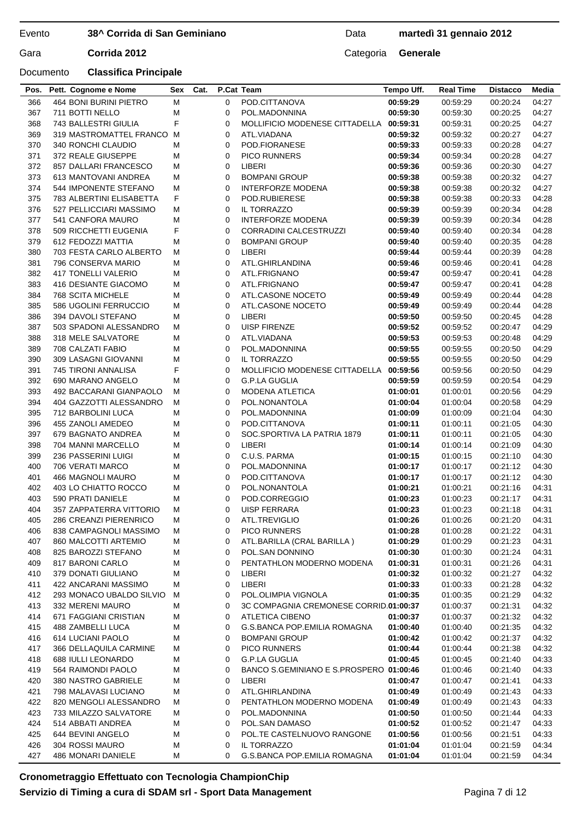## **38^ Corrida di San Geminiano**

## Data **martedì 31 gennaio 2012**

Gara **Corrida 2012** Categoria **Generale** 

## Documento **Classifica Principale**

| 366 | 464 BONI BURINI PIETRO    | M | 0           | POD.CITTANOVA                           | 00:59:29 | 00:59:29 | 00:20:24 | 04:27 |
|-----|---------------------------|---|-------------|-----------------------------------------|----------|----------|----------|-------|
| 367 | 711 BOTTI NELLO           | М | 0           | POL.MADONNINA                           | 00:59:30 | 00:59:30 | 00:20:25 | 04:27 |
| 368 | 743 BALLESTRI GIULIA      | F | 0           | MOLLIFICIO MODENESE CITTADELLA 00:59:31 |          | 00:59:31 | 00:20:25 | 04:27 |
| 369 | 319 MASTROMATTEL FRANCO M |   | $\mathbf 0$ | ATL.VIADANA                             | 00:59:32 | 00:59:32 | 00:20:27 | 04:27 |
| 370 | 340 RONCHI CLAUDIO        | M | $\mathbf 0$ | POD.FIORANESE                           | 00:59:33 | 00:59:33 | 00:20:28 | 04:27 |
| 371 | 372 REALE GIUSEPPE        | М | $\mathbf 0$ | PICO RUNNERS                            | 00:59:34 | 00:59:34 | 00:20:28 | 04:27 |
| 372 | 857 DALLARI FRANCESCO     | М | $\mathbf 0$ | LIBERI                                  | 00:59:36 | 00:59:36 | 00:20:30 | 04:27 |
| 373 | 613 MANTOVANI ANDREA      | М | 0           | <b>BOMPANI GROUP</b>                    | 00:59:38 | 00:59:38 | 00:20:32 | 04:27 |
| 374 | 544 IMPONENTE STEFANO     | М | 0           | <b>INTERFORZE MODENA</b>                | 00:59:38 | 00:59:38 | 00:20:32 | 04:27 |
| 375 | 783 ALBERTINI ELISABETTA  | F | 0           | POD.RUBIERESE                           | 00:59:38 | 00:59:38 | 00:20:33 | 04:28 |
| 376 | 527 PELLICCIARI MASSIMO   | М | $\mathbf 0$ | IL TORRAZZO                             | 00:59:39 | 00:59:39 | 00:20:34 | 04:28 |
|     |                           |   | $\mathbf 0$ | <b>INTERFORZE MODENA</b>                |          |          |          |       |
| 377 | 541 CANFORA MAURO         | M |             |                                         | 00:59:39 | 00:59:39 | 00:20:34 | 04:28 |
| 378 | 509 RICCHETTI EUGENIA     | F | $\mathbf 0$ | <b>CORRADINI CALCESTRUZZI</b>           | 00:59:40 | 00:59:40 | 00:20:34 | 04:28 |
| 379 | 612 FEDOZZI MATTIA        | М | 0           | <b>BOMPANI GROUP</b>                    | 00:59:40 | 00:59:40 | 00:20:35 | 04:28 |
| 380 | 703 FESTA CARLO ALBERTO   | M | 0           | LIBERI                                  | 00:59:44 | 00:59:44 | 00:20:39 | 04:28 |
| 381 | 796 CONSERVA MARIO        | М | 0           | ATL.GHIRLANDINA                         | 00:59:46 | 00:59:46 | 00:20:41 | 04:28 |
| 382 | 417 TONELLI VALERIO       | М | 0           | ATL.FRIGNANO                            | 00:59:47 | 00:59:47 | 00:20:41 | 04:28 |
| 383 | 416 DESIANTE GIACOMO      | М | $\mathbf 0$ | ATL.FRIGNANO                            | 00:59:47 | 00:59:47 | 00:20:41 | 04:28 |
| 384 | <b>768 SCITA MICHELE</b>  | М | $\mathbf 0$ | ATL.CASONE NOCETO                       | 00:59:49 | 00:59:49 | 00:20:44 | 04:28 |
| 385 | 586 UGOLINI FERRUCCIO     | М | 0           | ATL.CASONE NOCETO                       | 00:59:49 | 00:59:49 | 00:20:44 | 04:28 |
| 386 | 394 DAVOLI STEFANO        | М | 0           | LIBERI                                  | 00:59:50 | 00:59:50 | 00:20:45 | 04:28 |
| 387 | 503 SPADONI ALESSANDRO    | м | 0           | <b>UISP FIRENZE</b>                     | 00:59:52 | 00:59:52 | 00:20:47 | 04:29 |
| 388 | 318 MELE SALVATORE        | М | 0           | ATL.VIADANA                             | 00:59:53 | 00:59:53 | 00:20:48 | 04:29 |
| 389 | 708 CALZATI FABIO         | M | $\mathbf 0$ | POL.MADONNINA                           | 00:59:55 | 00:59:55 | 00:20:50 | 04:29 |
| 390 | 309 LASAGNI GIOVANNI      | М | $\mathbf 0$ | IL TORRAZZO                             | 00:59:55 | 00:59:55 | 00:20:50 | 04:29 |
| 391 | 745 TIRONI ANNALISA       | F | 0           | MOLLIFICIO MODENESE CITTADELLA          | 00:59:56 | 00:59:56 | 00:20:50 | 04:29 |
| 392 | 690 MARANO ANGELO         | М | 0           | <b>G.P.LA GUGLIA</b>                    | 00:59:59 | 00:59:59 | 00:20:54 | 04:29 |
| 393 | 492 BACCARANI GIANPAOLO   | м | 0           | <b>MODENA ATLETICA</b>                  | 01:00:01 | 01:00:01 | 00:20:56 | 04:29 |
| 394 | 404 GAZZOTTI ALESSANDRO   | M | 0           | POL.NONANTOLA                           | 01:00:04 | 01:00:04 | 00:20:58 | 04:29 |
|     |                           |   |             |                                         |          |          |          |       |
| 395 | 712 BARBOLINI LUCA        | М | $\mathbf 0$ | POL.MADONNINA                           | 01:00:09 | 01:00:09 | 00:21:04 | 04:30 |
| 396 | 455 ZANOLI AMEDEO         | M | $\mathbf 0$ | POD.CITTANOVA                           | 01:00:11 | 01:00:11 | 00:21:05 | 04:30 |
| 397 | 679 BAGNATO ANDREA        | M | $\mathbf 0$ | SOC.SPORTIVA LA PATRIA 1879             | 01:00:11 | 01:00:11 | 00:21:05 | 04:30 |
| 398 | 704 MANNI MARCELLO        | М | 0           | LIBERI                                  | 01:00:14 | 01:00:14 | 00:21:09 | 04:30 |
| 399 | 236 PASSERINI LUIGI       | М | 0           | C.U.S. PARMA                            | 01:00:15 | 01:00:15 | 00:21:10 | 04:30 |
| 400 | 706 VERATI MARCO          | М | 0           | POL.MADONNINA                           | 01:00:17 | 01:00:17 | 00:21:12 | 04:30 |
| 401 | 466 MAGNOLI MAURO         | М | $\mathbf 0$ | POD.CITTANOVA                           | 01:00:17 | 01:00:17 | 00:21:12 | 04:30 |
| 402 | 403 LO CHIATTO ROCCO      | М | $\mathbf 0$ | POL.NONANTOLA                           | 01:00:21 | 01:00:21 | 00:21:16 | 04:31 |
| 403 | 590 PRATI DANIELE         | M | 0           | POD.CORREGGIO                           | 01:00:23 | 01:00:23 | 00:21:17 | 04:31 |
| 404 | 357 ZAPPATERRA VITTORIO   | М | 0           | <b>UISP FERRARA</b>                     | 01:00:23 | 01:00:23 | 00:21:18 | 04:31 |
| 405 | 286 CREANZI PIERENRICO    | М | 0           | ATL.TREVIGLIO                           | 01:00:26 | 01:00:26 | 00:21:20 | 04:31 |
| 406 | 838 CAMPAGNOLI MASSIMO    | М | 0           | <b>PICO RUNNERS</b>                     | 01:00:28 | 01:00:28 | 00:21:22 | 04:31 |
| 407 | 860 MALCOTTI ARTEMIO      | M | 0           | ATL.BARILLA (CRAL BARILLA)              | 01:00:29 | 01:00:29 | 00:21:23 | 04:31 |
| 408 | 825 BAROZZI STEFANO       | М | 0           | POL.SAN DONNINO                         | 01:00:30 | 01:00:30 | 00:21:24 | 04:31 |
| 409 | 817 BARONI CARLO          | M | 0           | PENTATHLON MODERNO MODENA               | 01:00:31 | 01:00:31 | 00:21:26 | 04:31 |
| 410 | 379 DONATI GIULIANO       | M | 0           | LIBERI                                  | 01:00:32 | 01:00:32 | 00:21:27 | 04:32 |
| 411 | 422 ANCARANI MASSIMO      | M | 0           | LIBERI                                  | 01:00:33 | 01:00:33 | 00:21:28 | 04:32 |
| 412 | 293 MONACO UBALDO SILVIO  | м | 0           | POL.OLIMPIA VIGNOLA                     | 01:00:35 | 01:00:35 | 00:21:29 | 04:32 |
| 413 |                           | M | 0           | 3C COMPAGNIA CREMONESE CORRID.01:00:37  |          |          |          |       |
|     | 332 MERENI MAURO          |   |             |                                         |          | 01:00:37 | 00:21:31 | 04:32 |
| 414 | 671 FAGGIANI CRISTIAN     | M | 0           | ATLETICA CIBENO                         | 01:00:37 | 01:00:37 | 00:21:32 | 04:32 |
| 415 | 488 ZAMBELLI LUCA         | M | 0           | G.S.BANCA POP.EMILIA ROMAGNA            | 01:00:40 | 01:00:40 | 00:21:35 | 04:32 |
| 416 | 614 LUCIANI PAOLO         | M | 0           | <b>BOMPANI GROUP</b>                    | 01:00:42 | 01:00:42 | 00:21:37 | 04:32 |
| 417 | 366 DELLAQUILA CARMINE    | M | 0           | PICO RUNNERS                            | 01:00:44 | 01:00:44 | 00:21:38 | 04:32 |
| 418 | 688 IULLI LEONARDO        | M | 0           | <b>G.P.LA GUGLIA</b>                    | 01:00:45 | 01:00:45 | 00:21:40 | 04:33 |
| 419 | 564 RAIMONDI PAOLO        | M | 0           | BANCO S.GEMINIANO E S.PROSPERO 01:00:46 |          | 01:00:46 | 00:21:40 | 04:33 |
| 420 | 380 NASTRO GABRIELE       | M | 0           | LIBERI                                  | 01:00:47 | 01:00:47 | 00:21:41 | 04:33 |
| 421 | 798 MALAVASI LUCIANO      | M | 0           | ATL.GHIRLANDINA                         | 01:00:49 | 01:00:49 | 00:21:43 | 04:33 |
| 422 | 820 MENGOLI ALESSANDRO    | M | 0           | PENTATHLON MODERNO MODENA               | 01:00:49 | 01:00:49 | 00:21:43 | 04:33 |
| 423 | 733 MILAZZO SALVATORE     | M | 0           | POL.MADONNINA                           | 01:00:50 | 01:00:50 | 00:21:44 | 04:33 |
| 424 | 514 ABBATI ANDREA         | M | 0           | POL.SAN DAMASO                          | 01:00:52 | 01:00:52 | 00:21:47 | 04:33 |
| 425 | 644 BEVINI ANGELO         | M | 0           | POL.TE CASTELNUOVO RANGONE              | 01:00:56 | 01:00:56 | 00:21:51 | 04:33 |
| 426 | 304 ROSSI MAURO           | M | 0           | IL TORRAZZO                             | 01:01:04 | 01:01:04 | 00:21:59 | 04:34 |
| 427 | 486 MONARI DANIELE        | M | 0           | G.S.BANCA POP.EMILIA ROMAGNA            | 01:01:04 | 01:01:04 | 00:21:59 | 04:34 |
|     |                           |   |             |                                         |          |          |          |       |

**Pos. Pett. Cognome e Nome Sex Cat. P.Cat Team Tempo Uff. Real Time Distacco Media**

## **Cronometraggio Effettuato con Tecnologia ChampionChip Servizio di Timing a cura di SDAM srl - Sport Data Management**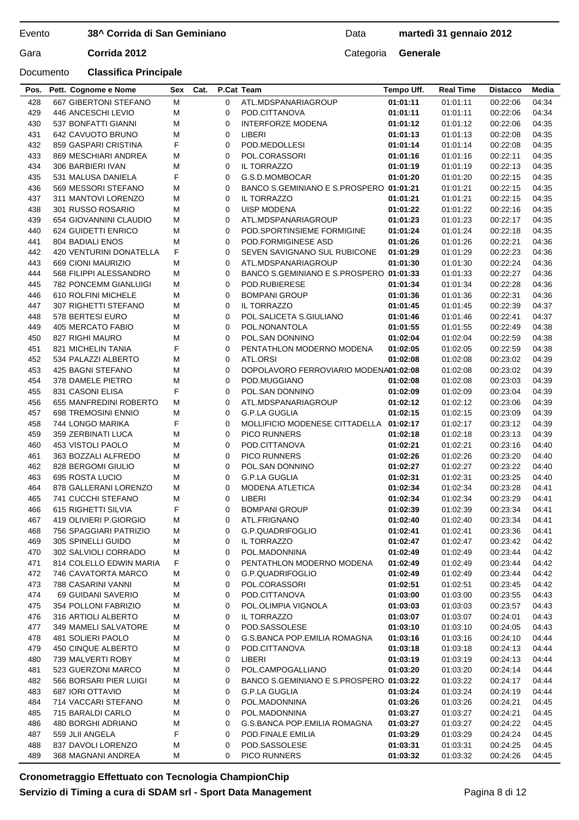## **38^ Corrida di San Geminiano**

## Data **martedì 31 gennaio 2012**

Gara **Corrida 2012** Categoria **Generale** 

## Documento **Classifica Principale**

| 428        | 667 GIBERTONI STEFANO                          | М      | 0           | ATL.MDSPANARIAGROUP                     | 01:01:11             | 01:01:11             | 00:22:06             | 04:34          |
|------------|------------------------------------------------|--------|-------------|-----------------------------------------|----------------------|----------------------|----------------------|----------------|
| 429        | 446 ANCESCHI LEVIO                             | М      | 0           | POD.CITTANOVA                           | 01:01:11             | 01:01:11             | 00:22:06             | 04:34          |
| 430        | 537 BONFATTI GIANNI                            | M      | 0           | INTERFORZE MODENA                       | 01:01:12             | 01:01:12             | 00:22:06             | 04:35          |
| 431        | 642 CAVUOTO BRUNO                              | М      | 0           | LIBERI                                  | 01:01:13             | 01:01:13             | 00:22:08             | 04:35          |
| 432        | 859 GASPARI CRISTINA                           | F      | $\mathbf 0$ | POD.MEDOLLESI                           | 01:01:14             | 01:01:14             | 00:22:08             | 04:35          |
| 433        | 869 MESCHIARI ANDREA                           | М      | $\mathbf 0$ | POL.CORASSORI                           | 01:01:16             | 01:01:16             | 00:22:11             | 04:35          |
| 434        | 306 BARBIERI IVAN                              | М      | 0           | IL TORRAZZO                             | 01:01:19             | 01:01:19             | 00:22:13             | 04:35          |
| 435        | 531 MALUSA DANIELA                             | F      | 0           | G.S.D.MOMBOCAR                          | 01:01:20             | 01:01:20             | 00:22:15             | 04:35          |
| 436        | 569 MESSORI STEFANO                            | М      | 0           | BANCO S.GEMINIANO E S.PROSPERO 01:01:21 |                      | 01:01:21             | 00:22:15             | 04:35          |
| 437        | 311 MANTOVI LORENZO                            | М      | 0           | <b>IL TORRAZZO</b>                      | 01:01:21             | 01:01:21             | 00:22:15             | 04:35          |
| 438        | 301 RUSSO ROSARIO                              | M      | 0           | <b>UISP MODENA</b>                      | 01:01:22             | 01:01:22             | 00:22:16             | 04:35          |
| 439        | 654 GIOVANNINI CLAUDIO                         | М      | $\mathbf 0$ | ATL.MDSPANARIAGROUP                     | 01:01:23             | 01:01:23             | 00:22:17             | 04:35          |
| 440        | 624 GUIDETTI ENRICO                            | М      | 0           | POD SPORTINSIEME FORMIGINE              | 01:01:24             | 01:01:24             | 00:22:18             | 04:35          |
| 441        | <b>804 BADIALI ENOS</b>                        | M      | 0           | POD.FORMIGINESE ASD                     | 01:01:26             | 01:01:26             | 00:22:21             | 04:36          |
| 442        | 420 VENTURINI DONATELLA                        | F      | 0           | SEVEN SAVIGNANO SUL RUBICONE            | 01:01:29             | 01:01:29             | 00:22:23             | 04:36          |
| 443        | 669 CIONI MAURIZIO                             | М      | 0           | ATL.MDSPANARIAGROUP                     | 01:01:30             | 01:01:30             | 00:22:24             | 04:36          |
| 444        | 568 FILIPPI ALESSANDRO                         | М      | 0           | BANCO S.GEMINIANO E S.PROSPERO 01:01:33 |                      | 01:01:33             | 00:22:27             | 04:36          |
| 445        | <b>782 PONCEMM GIANLUIGI</b>                   | М      | $\mathbf 0$ | POD.RUBIERESE                           | 01:01:34             | 01:01:34             | 00:22:28             | 04:36          |
| 446        | 610 ROLFINI MICHELE                            | М      | 0           | <b>BOMPANI GROUP</b>                    | 01:01:36             | 01:01:36             | 00:22:31             | 04:36          |
| 447        | 307 RIGHETTI STEFANO                           | М      | 0           | IL TORRAZZO                             | 01:01:45             | 01:01:45             | 00:22:39             | 04:37          |
| 448        | 578 BERTESI EURO                               | М      | 0           | POL.SALICETA S.GIULIANO                 | 01:01:46             | 01:01:46             | 00:22:41             | 04:37          |
| 449        | 405 MERCATO FABIO                              | М      | 0           | POL.NONANTOLA                           | 01:01:55             | 01:01:55             | 00:22:49             | 04:38          |
| 450        | 827 RIGHI MAURO                                | M      | 0           | POL.SAN DONNINO                         | 01:02:04             | 01:02:04             | 00:22:59             | 04:38          |
| 451        | 821 MICHELIN TANIA                             | F      | $\mathbf 0$ | PENTATHLON MODERNO MODENA               | 01:02:05             | 01:02:05             | 00:22:59             | 04:38          |
| 452        | 534 PALAZZI ALBERTO                            | М      | 0           | ATL.ORSI                                | 01:02:08             | 01:02:08             | 00:23:02             | 04:39          |
| 453        | 425 BAGNI STEFANO                              | М      | 0           | DOPOLAVORO FERROVIARIO MODENA01:02:08   |                      | 01:02:08             | 00:23:02             | 04:39          |
| 454        | 378 DAMELE PIETRO                              | М      | 0           | POD.MUGGIANO                            | 01:02:08             | 01:02:08             | 00:23:03             | 04:39          |
| 455        | 831 CASONI ELISA                               | F      | 0           | POL.SAN DONNINO                         | 01:02:09             | 01:02:09             | 00:23:04             | 04:39          |
| 456        | 655 MANFREDINI ROBERTO                         | М      | 0           | ATL.MDSPANARIAGROUP                     | 01:02:12             | 01:02:12             | 00:23:06             | 04:39          |
| 457        | 698 TREMOSINI ENNIO                            | М      | 0           | G.P.LA GUGLIA                           | 01:02:15             | 01:02:15             | 00:23:09             | 04:39          |
| 458        | 744 LONGO MARIKA                               | F      | 0           | MOLLIFICIO MODENESE CITTADELLA 01:02:17 |                      | 01:02:17             | 00:23:12             | 04:39          |
| 459        | 359 ZERBINATI LUCA                             | М      | 0           | <b>PICO RUNNERS</b>                     | 01:02:18             | 01:02:18             | 00:23:13             | 04:39          |
| 460        | 453 VISTOLI PAOLO                              | М      | 0           | POD.CITTANOVA                           | 01:02:21             | 01:02:21             | 00:23:16             | 04:40          |
| 461        | 363 BOZZALI ALFREDO                            | М      | 0           | <b>PICO RUNNERS</b>                     | 01:02:26             | 01:02:26             | 00:23:20             | 04:40          |
| 462        | 828 BERGOMI GIULIO                             | M      | 0           | POL.SAN DONNINO                         | 01:02:27             | 01:02:27             | 00:23:22             | 04:40          |
| 463        | 695 ROSTA LUCIO                                | М      | 0           | <b>G.P.LA GUGLIA</b>                    | 01:02:31             | 01:02:31             | 00:23:25             | 04:40          |
| 464        | 878 GALLERANI LORENZO                          | М      | 0           | MODENA ATLETICA                         | 01:02:34             | 01:02:34             | 00:23:28             | 04:41          |
| 465        | 741 CUCCHI STEFANO                             | М      | 0           | LIBERI                                  | 01:02:34             | 01:02:34             | 00:23:29             | 04:41          |
| 466        | 615 RIGHETTI SILVIA                            | F      | 0           | <b>BOMPANI GROUP</b>                    | 01:02:39             | 01:02:39             | 00:23:34             | 04:41          |
| 467        | 419 OLIVIERI P.GIORGIO                         | М      | 0           | ATL.FRIGNANO                            | 01:02:40             | 01:02:40             | 00:23:34             | 04:41          |
| 468        | 756 SPAGGIARI PATRIZIO                         | М      | 0           | G.P.QUADRIFOGLIO                        | 01:02:41             | 01:02:41             | 00:23:36             | 04:41          |
| 469        | 305 SPINELLI GUIDO                             | M      | 0           | <b>IL TORRAZZO</b>                      | 01:02:47             | 01:02:47             | 00:23:42             | 04:42          |
| 470        | 302 SALVIOLI CORRADO                           | М      | 0           | POL.MADONNINA                           | 01:02:49             | 01:02:49             | 00:23:44             | 04:42          |
|            |                                                | F      |             | PENTATHLON MODERNO MODENA               |                      |                      |                      |                |
| 471<br>472 | 814 COLELLO EDWIN MARIA<br>746 CAVATORTA MARCO | M      | 0<br>0      | G.P.QUADRIFOGLIO                        | 01:02:49<br>01:02:49 | 01:02:49<br>01:02:49 | 00:23:44<br>00:23:44 | 04:42<br>04:42 |
| 473        | 788 CASARINI VANNI                             | M      | 0           | POL.CORASSORI                           | 01:02:51             | 01:02:51             | 00:23:45             | 04:42          |
| 474        |                                                |        |             |                                         |                      |                      |                      |                |
| 475        | 69 GUIDANI SAVERIO<br>354 POLLONI FABRIZIO     | M<br>M | 0<br>0      | POD.CITTANOVA<br>POL.OLIMPIA VIGNOLA    | 01:03:00<br>01:03:03 | 01:03:00<br>01:03:03 | 00:23:55<br>00:23:57 | 04:43<br>04:43 |
| 476        | 316 ARTIOLI ALBERTO                            | M      | 0           | IL TORRAZZO                             | 01:03:07             | 01:03:07             | 00:24:01             | 04:43          |
| 477        | 349 MAMELI SALVATORE                           |        | 0           | POD.SASSOLESE                           | 01:03:10             | 01:03:10             |                      | 04:43          |
|            | 481 SOLIERI PAOLO                              | М<br>M | 0           | G.S.BANCA POP.EMILIA ROMAGNA            | 01:03:16             |                      | 00:24:05             | 04:44          |
| 478        |                                                |        |             |                                         |                      | 01:03:16             | 00:24:10             |                |
| 479        | 450 CINQUE ALBERTO<br>739 MALVERTI ROBY        | M      | 0           | POD.CITTANOVA<br>LIBERI                 | 01:03:18             | 01:03:18<br>01:03:19 | 00:24:13             | 04:44          |
| 480        |                                                | M      | 0           |                                         | 01:03:19             |                      | 00:24:13             | 04:44          |
| 481        | 523 GUERZONI MARCO                             | M      | 0           | POL.CAMPOGALLIANO                       | 01:03:20             | 01:03:20             | 00:24:14             | 04:44          |
| 482        | 566 BORSARI PIER LUIGI                         | M      | 0           | BANCO S.GEMINIANO E S.PROSPERO 01:03:22 |                      | 01:03:22             | 00:24:17             | 04:44          |
| 483        | 687 IORI OTTAVIO                               | M      | 0           | G.P.LA GUGLIA                           | 01:03:24             | 01:03:24             | 00:24:19             | 04:44          |
| 484        | 714 VACCARI STEFANO                            | M      | 0           | POL.MADONNINA                           | 01:03:26             | 01:03:26             | 00:24:21             | 04:45          |
| 485        | 715 BARALDI CARLO                              | M      | 0           | POL.MADONNINA                           | 01:03:27             | 01:03:27             | 00:24:21             | 04:45          |
| 486        | 480 BORGHI ADRIANO                             | М      | 0           | G.S.BANCA POP.EMILIA ROMAGNA            | 01:03:27             | 01:03:27             | 00:24:22             | 04:45          |
| 487        | 559 JLII ANGELA                                | F      | 0           | POD.FINALE EMILIA                       | 01:03:29             | 01:03:29             | 00:24:24             | 04:45          |
| 488        | 837 DAVOLI LORENZO<br>368 MAGNANI ANDREA       | M      | 0           | POD.SASSOLESE                           | 01:03:31             | 01:03:31             | 00:24:25             | 04:45          |
| 489        |                                                | М      | 0           | PICO RUNNERS                            | 01:03:32             | 01:03:32             | 00:24:26             | 04:45          |
|            |                                                |        |             |                                         |                      |                      |                      |                |

**Pos. Pett. Cognome e Nome Sex Cat. P.Cat Team Tempo Uff. Real Time Distacco Media**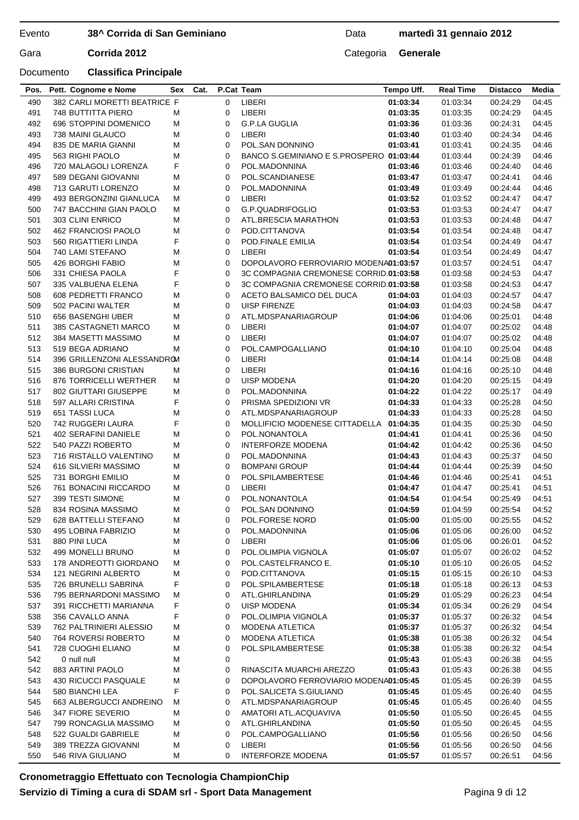## **38^ Corrida di San Geminiano**

## Data **martedì 31 gennaio 2012**

## Documento **Classifica Principale**

Gara **Corrida 2012** Categoria **Generale** 

| Pos.       | Pett. Cognome e Nome         | Sex | Cat. | P.Cat Team  |                                         | Tempo Uff. | <b>Real Time</b> | <b>Distacco</b>      | Media |
|------------|------------------------------|-----|------|-------------|-----------------------------------------|------------|------------------|----------------------|-------|
| 490        | 382 CARLI MORETTI BEATRICE F |     |      | $\mathbf 0$ | LIBERI                                  | 01:03:34   | 01:03:34         | 00:24:29             | 04:45 |
| 491        | 748 BUTTITTA PIERO           | М   |      | 0           | LIBERI                                  | 01:03:35   | 01:03:35         | 00:24:29             | 04:45 |
| 492        | 696 STOPPINI DOMENICO        | М   |      | 0           | <b>G.P.LA GUGLIA</b>                    | 01:03:36   | 01:03:36         | 00:24:31             | 04:45 |
| 493        | 738 MAINI GLAUCO             | M   |      | 0           | LIBERI                                  | 01:03:40   | 01:03:40         | 00:24:34             | 04:46 |
| 494        | 835 DE MARIA GIANNI          | M   |      | 0           | POL.SAN DONNINO                         | 01:03:41   | 01:03:41         | 00:24:35             | 04:46 |
| 495        | 563 RIGHI PAOLO              | М   |      | 0           | BANCO S.GEMINIANO E S.PROSPERO 01:03:44 |            | 01:03:44         | 00:24:39             | 04:46 |
| 496        | 720 MALAGOLI LORENZA         | F   |      | 0           | POL.MADONNINA                           | 01:03:46   | 01:03:46         | 00:24:40             | 04:46 |
| 497        | 589 DEGANI GIOVANNI          | М   |      | 0           | POL.SCANDIANESE                         | 01:03:47   | 01:03:47         | 00:24:41             | 04:46 |
| 498        | 713 GARUTI LORENZO           | М   |      | 0           | POL.MADONNINA                           | 01:03:49   | 01:03:49         | 00:24:44             | 04:46 |
| 499        | 493 BERGONZINI GIANLUCA      | M   |      | 0           | LIBERI                                  | 01:03:52   | 01:03:52         | 00:24:47             | 04:47 |
| 500        | 747 BACCHINI GIAN PAOLO      | М   |      | 0           | G.P.QUADRIFOGLIO                        | 01:03:53   | 01:03:53         | 00:24:47             | 04:47 |
| 501        | 303 CLINI ENRICO             | M   |      | 0           | ATL.BRESCIA MARATHON                    | 01:03:53   | 01:03:53         | 00:24:48             | 04:47 |
| 502        | 462 FRANCIOSI PAOLO          | M   |      | 0           | POD.CITTANOVA                           | 01:03:54   | 01:03:54         | 00:24:48             | 04:47 |
| 503        | 560 RIGATTIERI LINDA         | F   |      | 0           | POD.FINALE EMILIA                       | 01:03:54   | 01:03:54         | 00:24:49             | 04:47 |
| 504        | 740 LAMI STEFANO             | M   |      | 0           | <b>LIBERI</b>                           | 01:03:54   | 01:03:54         | 00:24:49             | 04:47 |
| 505        | 426 BORGHI FABIO             | M   |      | 0           | DOPOLAVORO FERROVIARIO MODENA01:03:57   |            | 01:03:57         | 00:24:51             | 04:47 |
| 506        | 331 CHIESA PAOLA             | F   |      | 0           | 3C COMPAGNIA CREMONESE CORRID.01:03:58  |            | 01:03:58         | 00:24:53             | 04:47 |
| 507        | 335 VALBUENA ELENA           | F   |      | 0           | 3C COMPAGNIA CREMONESE CORRID.01:03:58  |            | 01:03:58         | 00:24:53             | 04:47 |
| 508        | 608 PEDRETTI FRANCO          | М   |      | 0           | ACETO BALSAMICO DEL DUCA                | 01:04:03   | 01:04:03         | 00:24:57             | 04:47 |
| 509        | 502 PACINI WALTER            | М   |      | 0           | <b>UISP FIRENZE</b>                     | 01:04:03   | 01:04:03         | 00:24:58             | 04:47 |
| 510        | 656 BASENGHI UBER            | М   |      | 0           | ATL.MDSPANARIAGROUP                     | 01:04:06   | 01:04:06         | 00:25:01             | 04:48 |
| 511        | 385 CASTAGNETI MARCO         | М   |      | 0           | LIBERI                                  | 01:04:07   | 01:04:07         | 00:25:02             | 04:48 |
| 512        | 384 MASETTI MASSIMO          | М   |      | 0           | LIBERI                                  | 01:04:07   | 01:04:07         | 00:25:02             | 04:48 |
| 513        | 519 BEGA ADRIANO             | M   |      | 0           | POL.CAMPOGALLIANO                       | 01:04:10   | 01:04:10         | 00:25:04             | 04:48 |
| 514        | 396 GRILLENZONI ALESSANDROM  |     |      | 0           | LIBERI                                  | 01:04:14   | 01:04:14         | 00:25:08             | 04:48 |
| 515        | 386 BURGONI CRISTIAN         | М   |      | 0           | LIBERI                                  | 01:04:16   | 01:04:16         | 00:25:10             | 04:48 |
| 516        | 876 TORRICELLI WERTHER       | M   |      | 0           | <b>UISP MODENA</b>                      | 01:04:20   | 01:04:20         | 00:25:15             | 04:49 |
| 517        | 802 GIUTTARI GIUSEPPE        | M   |      | 0           | POL.MADONNINA                           | 01:04:22   | 01:04:22         | 00:25:17             | 04:49 |
| 518        | 597 ALLARI CRISTINA          | F   |      | 0           | PRISMA SPEDIZIONI VR                    | 01:04:33   | 01:04:33         | 00:25:28             | 04:50 |
| 519        | 651 TASSI LUCA               | M   |      | 0           | ATL.MDSPANARIAGROUP                     | 01:04:33   | 01:04:33         | 00:25:28             | 04:50 |
| 520        | 742 RUGGERI LAURA            | F   |      | 0           | MOLLIFICIO MODENESE CITTADELLA 01:04:35 |            | 01:04:35         | 00:25:30             | 04:50 |
| 521        | 402 SERAFINI DANIELE         | М   |      | 0           | POL.NONANTOLA                           | 01:04:41   | 01:04:41         | 00:25:36             | 04:50 |
| 522        | 540 PAZZI ROBERTO            | M   |      | 0           | <b>INTERFORZE MODENA</b>                | 01:04:42   | 01:04:42         | 00:25:36             | 04:50 |
| 523        | 716 RISTALLO VALENTINO       | М   |      | 0           | POL.MADONNINA                           | 01:04:43   | 01:04:43         | 00:25:37             | 04:50 |
| 524        | 616 SILVIERI MASSIMO         | М   |      | 0           | <b>BOMPANI GROUP</b>                    | 01:04:44   | 01:04:44         | 00:25:39             | 04:50 |
| 525        | 731 BORGHI EMILIO            | M   |      | 0           | POL.SPILAMBERTESE                       | 01:04:46   | 01:04:46         | 00:25:41             | 04:51 |
| 526        | 761 BONACINI RICCARDO        | M   |      | 0           | <b>LIBERI</b>                           | 01:04:47   | 01:04:47         | 00:25:41             | 04:51 |
| 527        | 399 TESTI SIMONE             | M   |      | 0           | POL.NONANTOLA                           | 01:04:54   | 01:04:54         | 00:25:49             | 04:51 |
| 528        | 834 ROSINA MASSIMO           | M   |      | 0           | POL.SAN DONNINO                         | 01:04:59   | 01:04:59         | 00:25:54             | 04:52 |
| 529        | 628 BATTELLI STEFANO         | М   |      | $\Omega$    | POL.FORESE NORD                         | 01:05:00   | 01:05:00         | 00:25:55             | 04:52 |
|            | 495 LOBINA FABRIZIO          | M   |      |             | POL.MADONNINA                           | 01:05:06   | 01:05:06         |                      | 04:52 |
| 530<br>531 | 880 PINI LUCA                | M   |      | 0           | LIBERI                                  | 01:05:06   | 01:05:06         | 00:26:00<br>00:26:01 | 04:52 |
| 532        | 499 MONELLI BRUNO            | M   |      | 0           | POL.OLIMPIA VIGNOLA                     |            | 01:05:07         | 00:26:02             | 04:52 |
|            |                              |     |      | 0           |                                         | 01:05:07   |                  |                      |       |
| 533        | 178 ANDREOTTI GIORDANO       | M   |      | 0           | POL.CASTELFRANCO E.                     | 01:05:10   | 01:05:10         | 00:26:05             | 04:52 |
| 534        | 121 NEGRINI ALBERTO          | M   |      | 0           | POD.CITTANOVA                           | 01:05:15   | 01:05:15         | 00:26:10             | 04:53 |
| 535        | 726 BRUNELLI SABRINA         | F   |      | 0           | POL.SPILAMBERTESE                       | 01:05:18   | 01:05:18         | 00:26:13             | 04:53 |
| 536        | 795 BERNARDONI MASSIMO       | M   |      | 0           | ATL.GHIRLANDINA                         | 01:05:29   | 01:05:29         | 00:26:23             | 04:54 |
| 537        | 391 RICCHETTI MARIANNA       | F   |      | 0           | <b>UISP MODENA</b>                      | 01:05:34   | 01:05:34         | 00:26:29             | 04:54 |
| 538        | 356 CAVALLO ANNA             | F   |      | 0           | POL.OLIMPIA VIGNOLA                     | 01:05:37   | 01:05:37         | 00:26:32             | 04:54 |
| 539        | 762 PALTRINIERI ALESSIO      | М   |      | 0           | <b>MODENA ATLETICA</b>                  | 01:05:37   | 01:05:37         | 00:26:32             | 04:54 |
| 540        | 764 ROVERSI ROBERTO          | М   |      | 0           | <b>MODENA ATLETICA</b>                  | 01:05:38   | 01:05:38         | 00:26:32             | 04:54 |
| 541        | 728 CUOGHI ELIANO            | M   |      | 0           | POL.SPILAMBERTESE                       | 01:05:38   | 01:05:38         | 00:26:32             | 04:54 |
| 542        | 0 null null                  | M   |      | 0           |                                         | 01:05:43   | 01:05:43         | 00:26:38             | 04:55 |
| 542        | 883 ARTINI PAOLO             | M   |      | 0           | RINASCITA MUARCHI AREZZO                | 01:05:43   | 01:05:43         | 00:26:38             | 04:55 |
| 543        | 430 RICUCCI PASQUALE         | M   |      | 0           | DOPOLAVORO FERROVIARIO MODENA01:05:45   |            | 01:05:45         | 00:26:39             | 04:55 |
| 544        | 580 BIANCHI LEA              | F   |      | 0           | POL.SALICETA S.GIULIANO                 | 01:05:45   | 01:05:45         | 00:26:40             | 04:55 |
| 545        | 663 ALBERGUCCI ANDREINO      | M   |      | 0           | ATL.MDSPANARIAGROUP                     | 01:05:45   | 01:05:45         | 00:26:40             | 04:55 |
| 546        | 347 FIORE SEVERIO            | M   |      | 0           | AMATORI ATL.ACQUAVIVA                   | 01:05:50   | 01:05:50         | 00:26:45             | 04:55 |
| 547        | 799 RONCAGLIA MASSIMO        | М   |      | 0           | ATL.GHIRLANDINA                         | 01:05:50   | 01:05:50         | 00:26:45             | 04:55 |
| 548        | 522 GUALDI GABRIELE          | M   |      | 0           | POL.CAMPOGALLIANO                       | 01:05:56   | 01:05:56         | 00:26:50             | 04:56 |
| 549        | 389 TREZZA GIOVANNI          | M   |      | 0           | LIBERI                                  | 01:05:56   | 01:05:56         | 00:26:50             | 04:56 |
| 550        | 546 RIVA GIULIANO            | М   |      | 0           | <b>INTERFORZE MODENA</b>                | 01:05:57   | 01:05:57         | 00:26:51             | 04:56 |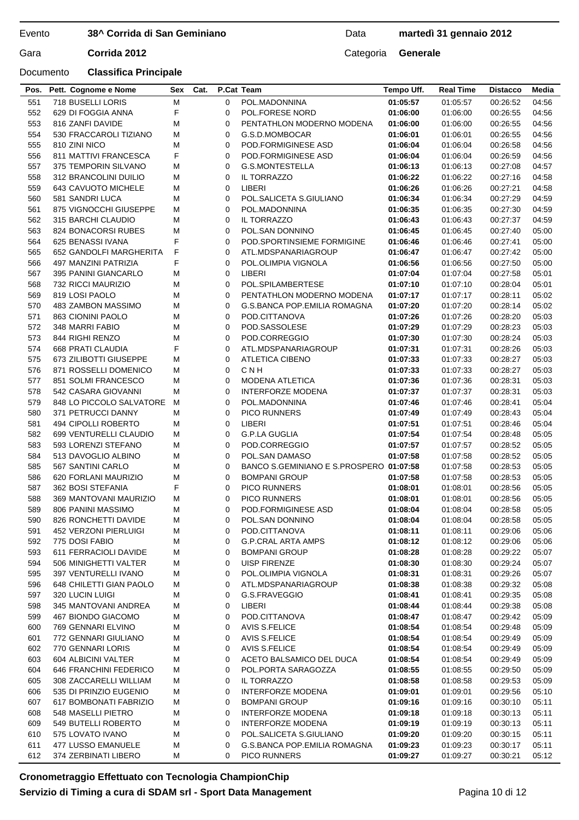## **38^ Corrida di San Geminiano**

## Data **martedì 31 gennaio 2012**

Gara **Corrida 2012** Categoria **Generale** 

## Documento **Classifica Principale**

| 551 | 718 BUSELLI LORIS            | М | 0 | POL.MADONNINA                           | 01:05:57 | 01:05:57 | 00:26:52             | 04:56          |
|-----|------------------------------|---|---|-----------------------------------------|----------|----------|----------------------|----------------|
| 552 | 629 DI FOGGIA ANNA           | F | 0 | POL.FORESE NORD                         | 01:06:00 | 01:06:00 | 00:26:55             | 04:56          |
| 553 | 816 ZANFI DAVIDE             | М | 0 | PENTATHLON MODERNO MODENA               | 01:06:00 | 01:06:00 | 00:26:55             | 04:56          |
| 554 | 530 FRACCAROLI TIZIANO       | М | 0 | G.S.D.MOMBOCAR                          | 01:06:01 | 01:06:01 | 00:26:55             | 04:56          |
| 555 | 810 ZINI NICO                | М | 0 | POD.FORMIGINESE ASD                     | 01:06:04 | 01:06:04 | 00:26:58             | 04:56          |
| 556 | <b>811 MATTIVI FRANCESCA</b> | F | 0 | POD.FORMIGINESE ASD                     | 01:06:04 | 01:06:04 | 00:26:59             | 04:56          |
| 557 | 375 TEMPORIN SILVANO         | М | 0 | G.S.MONTESTELLA                         | 01:06:13 | 01:06:13 | 00:27:08             | 04:57          |
| 558 | 312 BRANCOLINI DUILIO        | М | 0 | IL TORRAZZO                             | 01:06:22 | 01:06:22 | 00:27:16             | 04:58          |
| 559 | 643 CAVUOTO MICHELE          | М | 0 | LIBERI                                  | 01:06:26 | 01:06:26 | 00:27:21             | 04:58          |
| 560 | 581 SANDRI LUCA              | М | 0 | POL.SALICETA S.GIULIANO                 | 01:06:34 | 01:06:34 | 00:27:29             | 04:59          |
| 561 | 875 VIGNOCCHI GIUSEPPE       | М | 0 | POL.MADONNINA                           | 01:06:35 | 01:06:35 | 00:27:30             | 04:59          |
| 562 | 315 BARCHI CLAUDIO           | М | 0 | IL TORRAZZO                             | 01:06:43 | 01:06:43 | 00:27:37             | 04:59          |
| 563 | 824 BONACORSI RUBES          | М | 0 | POL.SAN DONNINO                         | 01:06:45 | 01:06:45 | 00:27:40             | 05:00          |
| 564 | 625 BENASSI IVANA            | F | 0 | POD.SPORTINSIEME FORMIGINE              | 01:06:46 | 01:06:46 | 00:27:41             | 05:00          |
| 565 | 652 GANDOLFI MARGHERITA      | F | 0 | ATL.MDSPANARIAGROUP                     | 01:06:47 | 01:06:47 | 00:27:42             | 05:00          |
| 566 | 497 MANZINI PATRIZIA         | F | 0 | POL.OLIMPIA VIGNOLA                     | 01:06:56 | 01:06:56 | 00:27:50             | 05:00          |
| 567 | 395 PANINI GIANCARLO         | М | 0 | LIBERI                                  | 01:07:04 | 01:07:04 | 00:27:58             | 05:01          |
| 568 | 732 RICCI MAURIZIO           | М | 0 | POL.SPILAMBERTESE                       | 01:07:10 | 01:07:10 | 00:28:04             | 05:01          |
| 569 | 819 LOSI PAOLO               | М | 0 | PENTATHLON MODERNO MODENA               | 01:07:17 | 01:07:17 | 00:28:11             | 05:02          |
| 570 | 483 ZAMBON MASSIMO           | М | 0 | G.S.BANCA POP.EMILIA ROMAGNA            | 01:07:20 | 01:07:20 | 00:28:14             | 05:02          |
| 571 | 863 CIONINI PAOLO            | М | 0 | POD.CITTANOVA                           | 01:07:26 | 01:07:26 | 00:28:20             | 05:03          |
| 572 | 348 MARRI FABIO              | М | 0 | POD.SASSOLESE                           | 01:07:29 | 01:07:29 | 00:28:23             | 05:03          |
| 573 | 844 RIGHI RENZO              | М | 0 | POD.CORREGGIO                           | 01:07:30 | 01:07:30 | 00:28:24             | 05:03          |
| 574 | 668 PRATI CLAUDIA            | F | 0 | ATL.MDSPANARIAGROUP                     | 01:07:31 | 01:07:31 | 00:28:26             | 05:03          |
| 575 | 673 ZILIBOTTI GIUSEPPE       | М | 0 | <b>ATLETICA CIBENO</b>                  | 01:07:33 | 01:07:33 | 00:28:27             | 05:03          |
| 576 | 871 ROSSELLI DOMENICO        | М | 0 | CNH                                     | 01:07:33 | 01:07:33 | 00:28:27             | 05:03          |
| 577 | 851 SOLMI FRANCESCO          | М | 0 | <b>MODENA ATLETICA</b>                  | 01:07:36 | 01:07:36 | 00:28:31             | 05:03          |
| 578 | 542 CASARA GIOVANNI          | M | 0 | <b>INTERFORZE MODENA</b>                | 01:07:37 | 01:07:37 | 00:28:31             | 05:03          |
| 579 | 848 LO PICCOLO SALVATORE     | М | 0 | POL.MADONNINA                           | 01:07:46 | 01:07:46 | 00:28:41             | 05:04          |
| 580 | 371 PETRUCCI DANNY           | М | 0 | <b>PICO RUNNERS</b>                     | 01:07:49 | 01:07:49 | 00:28:43             | 05:04          |
| 581 | 494 CIPOLLI ROBERTO          | М | 0 | LIBERI                                  | 01:07:51 | 01:07:51 | 00:28:46             | 05:04          |
| 582 | 699 VENTURELLI CLAUDIO       | М | 0 | <b>G.P.LA GUGLIA</b>                    | 01:07:54 | 01:07:54 | 00:28:48             | 05:05          |
| 583 | 593 LORENZI STEFANO          | М | 0 | POD.CORREGGIO                           | 01:07:57 | 01:07:57 | 00:28:52             | 05:05          |
| 584 | 513 DAVOGLIO ALBINO          | M | 0 | POL.SAN DAMASO                          | 01:07:58 | 01:07:58 | 00:28:52             | 05:05          |
| 585 | 567 SANTINI CARLO            | М | 0 | BANCO S.GEMINIANO E S.PROSPERO 01:07:58 |          | 01:07:58 | 00:28:53             | 05:05          |
| 586 | 620 FORLANI MAURIZIO         | М | 0 | <b>BOMPANI GROUP</b>                    | 01:07:58 | 01:07:58 | 00:28:53             | 05:05          |
| 587 | 362 BOSI STEFANIA            | F | 0 | <b>PICO RUNNERS</b>                     | 01:08:01 | 01:08:01 | 00:28:56             | 05:05          |
| 588 | 369 MANTOVANI MAURIZIO       | М | 0 | <b>PICO RUNNERS</b>                     | 01:08:01 | 01:08:01 | 00:28:56             | 05:05          |
| 589 | 806 PANINI MASSIMO           | М | 0 | POD.FORMIGINESE ASD                     | 01:08:04 | 01:08:04 |                      |                |
| 590 | 826 RONCHETTI DAVIDE         | М | 0 | POL.SAN DONNINO                         | 01:08:04 | 01:08:04 | 00:28:58<br>00:28:58 | 05:05<br>05:05 |
|     |                              |   |   |                                         |          |          |                      |                |
| 591 | 452 VERZONI PIERLUIGI        | М | 0 | POD.CITTANOVA                           | 01:08:11 | 01:08:11 | 00:29:06             | 05:06          |
| 592 | 775 DOSI FABIO               | М | 0 | <b>G.P.CRAL ARTA AMPS</b>               | 01:08:12 | 01:08:12 | 00:29:06             | 05:06          |
| 593 | 611 FERRACIOLI DAVIDE        | М | 0 | <b>BOMPANI GROUP</b>                    | 01:08:28 | 01:08:28 | 00:29:22             | 05:07          |
| 594 | 506 MINIGHETTI VALTER        | М | 0 | UISP FIRENZE                            | 01:08:30 | 01:08:30 | 00:29:24             | 05:07          |
| 595 | 397 VENTURELLI IVANO         | М | 0 | POL.OLIMPIA VIGNOLA                     | 01:08:31 | 01:08:31 | 00:29:26             | 05:07          |
| 596 | 648 CHILETTI GIAN PAOLO      | М | 0 | ATL.MDSPANARIAGROUP                     | 01:08:38 | 01:08:38 | 00:29:32             | 05:08          |
| 597 | 320 LUCIN LUIGI              | М | 0 | G.S.FRAVEGGIO                           | 01:08:41 | 01:08:41 | 00:29:35             | 05:08          |
| 598 | 345 MANTOVANI ANDREA         | М | 0 | LIBERI                                  | 01:08:44 | 01:08:44 | 00:29:38             | 05:08          |
| 599 | 467 BIONDO GIACOMO           | М | 0 | POD.CITTANOVA                           | 01:08:47 | 01:08:47 | 00:29:42             | 05:09          |
| 600 | 769 GENNARI ELVINO           | М | 0 | AVIS S.FELICE                           | 01:08:54 | 01:08:54 | 00:29:48             | 05:09          |
| 601 | 772 GENNARI GIULIANO         | М | 0 | AVIS S.FELICE                           | 01:08:54 | 01:08:54 | 00:29:49             | 05:09          |
| 602 | 770 GENNARI LORIS            | М | 0 | AVIS S.FELICE                           | 01:08:54 | 01:08:54 | 00:29:49             | 05:09          |
| 603 | 604 ALBICINI VALTER          | М | 0 | ACETO BALSAMICO DEL DUCA                | 01:08:54 | 01:08:54 | 00:29:49             | 05:09          |
| 604 | 646 FRANCHINI FEDERICO       | М | 0 | POL.PORTA SARAGOZZA                     | 01:08:55 | 01:08:55 | 00:29:50             | 05:09          |
| 605 | 308 ZACCARELLI WILLIAM       | М | 0 | IL TORRAZZO                             | 01:08:58 | 01:08:58 | 00:29:53             | 05:09          |
| 606 | 535 DI PRINZIO EUGENIO       | М | 0 | <b>INTERFORZE MODENA</b>                | 01:09:01 | 01:09:01 | 00:29:56             | 05:10          |
| 607 | 617 BOMBONATI FABRIZIO       | М | 0 | <b>BOMPANI GROUP</b>                    | 01:09:16 | 01:09:16 | 00:30:10             | 05:11          |
| 608 | 548 MASELLI PIETRO           | М | 0 | <b>INTERFORZE MODENA</b>                | 01:09:18 | 01:09:18 | 00:30:13             | 05:11          |
| 609 | 549 BUTELLI ROBERTO          | М | 0 | <b>INTERFORZE MODENA</b>                | 01:09:19 | 01:09:19 | 00:30:13             | 05:11          |
| 610 | 575 LOVATO IVANO             | М | 0 | POL.SALICETA S.GIULIANO                 | 01:09:20 | 01:09:20 | 00:30:15             | 05:11          |
| 611 | 477 LUSSO EMANUELE           | M | 0 | G.S.BANCA POP.EMILIA ROMAGNA            | 01:09:23 | 01:09:23 | 00:30:17             | 05:11          |
| 612 | 374 ZERBINATI LIBERO         | М | 0 | <b>PICO RUNNERS</b>                     | 01:09:27 | 01:09:27 | 00:30:21             | 05:12          |
|     |                              |   |   |                                         |          |          |                      |                |

**Pos. Pett. Cognome e Nome Sex Cat. P.Cat Team Tempo Uff. Real Time Distacco Media**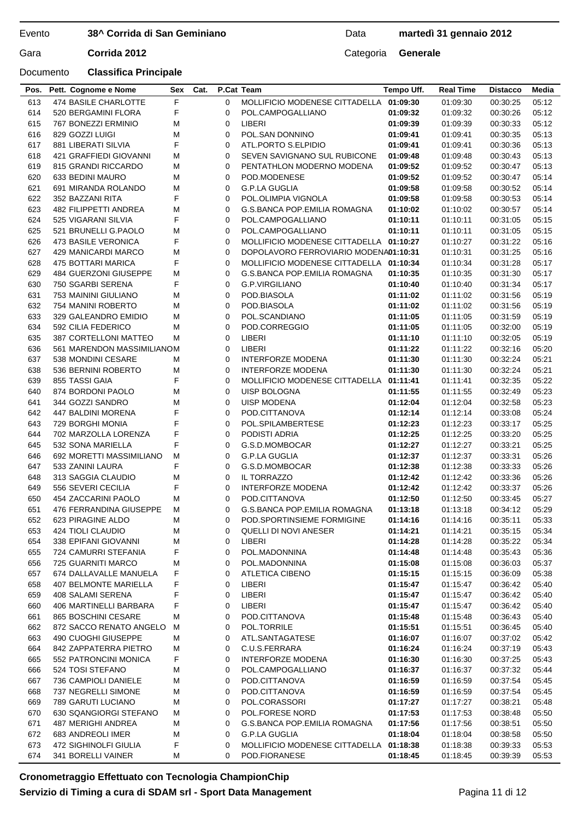## **38^ Corrida di San Geminiano**

## Data **martedì 31 gennaio 2012**

Gara **Corrida 2012** Categoria **Generale** 

| F<br>613<br>474 BASILE CHARLOTTE<br>05:12<br>$\Omega$<br>MOLLIFICIO MODENESE CITTADELLA 01:09:30<br>01:09:30<br>00:30:25<br>F<br>614<br>520 BERGAMINI FLORA<br>0<br>POL.CAMPOGALLIANO<br>01:09:32<br>01:09:32<br>00:30:26<br>05:12<br>LIBERI<br>615<br>767 BONEZZI ERMINIO<br>М<br>0<br>01:09:39<br>05:12<br>01:09:39<br>00:30:33<br>M<br>POL.SAN DONNINO<br>616<br>829 GOZZI LUIGI<br>0<br>01:09:41<br>01:09:41<br>00:30:35<br>05:13<br>F<br>617<br>881 LIBERATI SILVIA<br>0<br>ATL.PORTO S.ELPIDIO<br>01:09:41<br>01:09:41<br>00:30:36<br>05:13<br>05:13<br>618<br>421 GRAFFIEDI GIOVANNI<br>0<br>SEVEN SAVIGNANO SUL RUBICONE<br>01:09:48<br>01:09:48<br>00:30:43<br>М<br>619<br>815 GRANDI RICCARDO<br>М<br>0<br>PENTATHLON MODERNO MODENA<br>01:09:52<br>01:09:52<br>00:30:47<br>05:13<br>620<br>633 BEDINI MAURO<br>М<br>POD.MODENESE<br>01:09:52<br>05:14<br>0<br>01:09:52<br>00:30:47<br>621<br>691 MIRANDA ROLANDO<br>М<br>0<br><b>G.P.LA GUGLIA</b><br>01:09:58<br>05:14<br>01:09:58<br>00:30:52<br>F<br>622<br>352 BAZZANI RITA<br>0<br>POL.OLIMPIA VIGNOLA<br>01:09:58<br>01:09:58<br>05:14<br>00:30:53<br>623<br>482 FILIPPETTI ANDREA<br>М<br>0<br>G.S.BANCA POP.EMILIA ROMAGNA<br>01:10:02<br>01:10:02<br>00:30:57<br>05:14<br>F<br>624<br>525 VIGARANI SILVIA<br>0<br>POL.CAMPOGALLIANO<br>01:10:11<br>01:10:11<br>00:31:05<br>05:15<br>625<br>521 BRUNELLI G.PAOLO<br>М<br>0<br>POL.CAMPOGALLIANO<br>01:10:11<br>01:10:11<br>00:31:05<br>05:15<br>F<br>626<br>05:16<br>473 BASILE VERONICA<br>0<br>MOLLIFICIO MODENESE CITTADELLA 01:10:27<br>01:10:27<br>00:31:22<br>627<br>М<br>05:16<br>429 MANICARDI MARCO<br>0<br>DOPOLAVORO FERROVIARIO MODENA01:10:31<br>01:10:31<br>00:31:25<br>F<br>628<br>475 BOTTARI MARICA<br>0<br>MOLLIFICIO MODENESE CITTADELLA 01:10:34<br>01:10:34<br>00:31:28<br>05:17<br>629<br>05:17<br>484 GUERZONI GIUSEPPE<br>М<br>0<br>G.S.BANCA POP.EMILIA ROMAGNA<br>01:10:35<br>00:31:30<br>01:10:35<br>F<br>630<br>750 SGARBI SERENA<br>0<br>G.P.VIRGILIANO<br>01:10:40<br>00:31:34<br>05:17<br>01:10:40<br>631<br>753 MAININI GIULIANO<br>М<br>0<br>POD.BIASOLA<br>01:11:02<br>01:11:02<br>00:31:56<br>05:19<br>632<br>754 MANINI ROBERTO<br>М<br>0<br>POD.BIASOLA<br>01:11:02<br>05:19<br>01:11:02<br>00:31:56<br>633<br>329 GALEANDRO EMIDIO<br>М<br>0<br>POL.SCANDIANO<br>01:11:05<br>05:19<br>01:11:05<br>00:31:59<br>634<br>592 CILIA FEDERICO<br>М<br>0<br>POD.CORREGGIO<br>01:11:05<br>01:11:05<br>00:32:00<br>05:19<br>635<br>LIBERI<br>05:19<br>387 CORTELLONI MATTEO<br>М<br>0<br>01:11:10<br>01:11:10<br>00:32:05<br>636<br>0<br>LIBERI<br>01:11:22<br>00:32:16<br>05:20<br>561 MARENDON MASSIMILIANOM<br>01:11:22<br>637<br>538 MONDINI CESARE<br>0<br>INTERFORZE MODENA<br>01:11:30<br>01:11:30<br>00:32:24<br>05:21<br>м<br>638<br><b>INTERFORZE MODENA</b><br>536 BERNINI ROBERTO<br>М<br>0<br>01:11:30<br>01:11:30<br>00:32:24<br>05:21<br>F<br>855 TASSI GAIA<br>639<br>0<br>MOLLIFICIO MODENESE CITTADELLA 01:11:41<br>01:11:41<br>00:32:35<br>05:22<br>M<br>05:23<br>640<br>874 BORDONI PAOLO<br>0<br>UISP BOLOGNA<br>01:11:55<br>01:11:55<br>00:32:49<br>641<br>M<br><b>UISP MODENA</b><br>05:23<br>344 GOZZI SANDRO<br>0<br>01:12:04<br>01:12:04<br>00:32:58<br>F<br>642<br>0<br>05:24<br>447 BALDINI MORENA<br>POD.CITTANOVA<br>01:12:14<br>01:12:14<br>00:33:08<br>F<br>643<br>729 BORGHI MONIA<br>0<br>POL.SPILAMBERTESE<br>01:12:23<br>01:12:23<br>00:33:17<br>05:25<br>F<br>644<br>702 MARZOLLA LORENZA<br>0<br>PODISTI ADRIA<br>01:12:25<br>05:25<br>01:12:25<br>00:33:20<br>F<br>645<br>532 SONA MARIELLA<br>0<br>G.S.D.MOMBOCAR<br>05:25<br>01:12:27<br>01:12:27<br>00:33:21<br>646<br>692 MORETTI MASSIMILIANO<br>М<br>0<br><b>G.P.LA GUGLIA</b><br>01:12:37<br>00:33:31<br>05:26<br>01:12:37<br>F<br>647<br>533 ZANINI LAURA<br>0<br>G.S.D.MOMBOCAR<br>01:12:38<br>01:12:38<br>00:33:33<br>05:26<br>648<br>313 SAGGIA CLAUDIO<br>0<br>IL TORRAZZO<br>01:12:42<br>01:12:42<br>00:33:36<br>05:26<br>М<br>F<br>649<br>556 SEVERI CECILIA<br>0<br><b>INTERFORZE MODENA</b><br>01:12:42<br>01:12:42<br>00:33:37<br>05:26<br>650<br>454 ZACCARINI PAOLO<br>М<br>POD.CITTANOVA<br>01:12:50<br>01:12:50<br>05:27<br>0<br>00:33:45<br>651<br>476 FERRANDINA GIUSEPPE<br>0<br><b>G.S.BANCA POP.EMILIA ROMAGNA</b><br>05:29<br>М<br>01:13:18<br>01:13:18<br>00:34:12<br>652<br>05:33<br>623 PIRAGINE ALDO<br>M<br>$\mathbf{0}$<br>POD.SPORTINSIEME FORMIGINE<br>01:14:16<br>01:14:16<br>00:35:11<br>653<br>424 TIOLI CLAUDIO<br>QUELLI DI NOVI ANESER<br>М<br>01:14:21<br>01:14:21<br>00:35:15<br>05:34<br>0<br>654<br>338 EPIFANI GIOVANNI<br>М<br>LIBERI<br>05:34<br>0<br>01:14:28<br>01:14:28<br>00:35:22<br>F<br>655<br>724 CAMURRI STEFANIA<br>05:36<br>0<br>POL.MADONNINA<br>01:14:48<br>01:14:48<br>00:35:43<br>656<br>725 GUARNITI MARCO<br>М<br>POL.MADONNINA<br>01:15:08<br>0<br>01:15:08<br>00:36:03<br>05:37<br>F<br>657<br>674 DALLAVALLE MANUELA<br>ATLETICA CIBENO<br>05:38<br>0<br>01:15:15<br>01:15:15<br>00:36:09<br>F<br>658<br><b>407 BELMONTE MARIELLA</b><br>LIBERI<br>01:15:47<br>0<br>01:15:47<br>00:36:42<br>05:40<br>F<br>659<br>408 SALAMI SERENA<br>LIBERI<br>05:40<br>0<br>01:15:47<br>01:15:47<br>00:36:42<br>F<br>406 MARTINELLI BARBARA<br>LIBERI<br>05:40<br>660<br>0<br>01:15:47<br>01:15:47<br>00:36:42<br>865 BOSCHINI CESARE<br>POD.CITTANOVA<br>01:15:48<br>01:15:48<br>00:36:43<br>05:40<br>661<br>М<br>0<br>662<br>872 SACCO RENATO ANGELO<br>POL.TORRILE<br>М<br>0<br>01:15:51<br>01:15:51<br>00:36:45<br>05:40<br>663<br>490 CUOGHI GIUSEPPE<br>М<br>0<br>ATL.SANTAGATESE<br>01:16:07<br>01:16:07<br>00:37:02<br>05:42<br>664<br>842 ZAPPATERRA PIETRO<br>C.U.S.FERRARA<br>01:16:24<br>01:16:24<br>00:37:19<br>М<br>0<br>05:43<br>F<br><b>INTERFORZE MODENA</b><br>665<br>552 PATRONCINI MONICA<br>0<br>01:16:30<br>01:16:30<br>00:37:25<br>05:43<br>524 TOSI STEFANO<br>666<br>М<br>0<br>POL.CAMPOGALLIANO<br>01:16:37<br>01:16:37<br>00:37:32<br>05:44<br>667<br>736 CAMPIOLI DANIELE<br>POD.CITTANOVA<br>01:16:59<br>01:16:59<br>00:37:54<br>М<br>0<br>05:45<br>668<br>737 NEGRELLI SIMONE<br>POD.CITTANOVA<br>М<br>0<br>01:16:59<br>01:16:59<br>00:37:54<br>05:45<br>789 GARUTI LUCIANO<br>М<br>POL.CORASSORI<br>669<br>0<br>01:17:27<br>01:17:27<br>00:38:21<br>05:48<br>670<br>630 SQANGIORGI STEFANO<br>POL.FORESE NORD<br>01:17:53<br>01:17:53<br>00:38:48<br>05:50<br>М<br>0<br>671<br>487 MERIGHI ANDREA<br>G.S.BANCA POP.EMILIA ROMAGNA<br>01:17:56<br>05:50<br>М<br>0<br>01:17:56<br>00:38:51<br>672<br>G.P.LA GUGLIA<br>01:18:04<br>683 ANDREOLI IMER<br>М<br>0<br>01:18:04<br>00:38:58<br>05:50<br>673<br>F<br>472 SIGHINOLFI GIULIA<br>MOLLIFICIO MODENESE CITTADELLA<br>01:18:38<br>01:18:38<br>00:39:33<br>05:53<br>0<br>674<br>341 BORELLI VAINER<br>POD.FIORANESE<br>М<br>0<br>01:18:45<br>01:18:45<br>00:39:39<br>05:53 | Pos. | Pett. Cognome e Nome | Sex | Cat. | P.Cat Team | Tempo Uff. | <b>Real Time</b> | <b>Distacco</b> | Media |
|--------------------------------------------------------------------------------------------------------------------------------------------------------------------------------------------------------------------------------------------------------------------------------------------------------------------------------------------------------------------------------------------------------------------------------------------------------------------------------------------------------------------------------------------------------------------------------------------------------------------------------------------------------------------------------------------------------------------------------------------------------------------------------------------------------------------------------------------------------------------------------------------------------------------------------------------------------------------------------------------------------------------------------------------------------------------------------------------------------------------------------------------------------------------------------------------------------------------------------------------------------------------------------------------------------------------------------------------------------------------------------------------------------------------------------------------------------------------------------------------------------------------------------------------------------------------------------------------------------------------------------------------------------------------------------------------------------------------------------------------------------------------------------------------------------------------------------------------------------------------------------------------------------------------------------------------------------------------------------------------------------------------------------------------------------------------------------------------------------------------------------------------------------------------------------------------------------------------------------------------------------------------------------------------------------------------------------------------------------------------------------------------------------------------------------------------------------------------------------------------------------------------------------------------------------------------------------------------------------------------------------------------------------------------------------------------------------------------------------------------------------------------------------------------------------------------------------------------------------------------------------------------------------------------------------------------------------------------------------------------------------------------------------------------------------------------------------------------------------------------------------------------------------------------------------------------------------------------------------------------------------------------------------------------------------------------------------------------------------------------------------------------------------------------------------------------------------------------------------------------------------------------------------------------------------------------------------------------------------------------------------------------------------------------------------------------------------------------------------------------------------------------------------------------------------------------------------------------------------------------------------------------------------------------------------------------------------------------------------------------------------------------------------------------------------------------------------------------------------------------------------------------------------------------------------------------------------------------------------------------------------------------------------------------------------------------------------------------------------------------------------------------------------------------------------------------------------------------------------------------------------------------------------------------------------------------------------------------------------------------------------------------------------------------------------------------------------------------------------------------------------------------------------------------------------------------------------------------------------------------------------------------------------------------------------------------------------------------------------------------------------------------------------------------------------------------------------------------------------------------------------------------------------------------------------------------------------------------------------------------------------------------------------------------------------------------------------------------------------------------------------------------------------------------------------------------------------------------------------------------------------------------------------------------------------------------------------------------------------------------------------------------------------------------------------------------------------------------------------------------------------------------------------------------------------------------------------------------------------------------------------------------------------------------------------------------------------------------------------------------------------------------------------------------------------------------------------------------------------------------------------------------------------------------------------------------------------------------------------------------------------------------------------------------------------------------------------------------------------------------------------------------------------------------------------------------------------------------------------------------------------------------------------------------------------------------------------------------------------------------------------------------------------------------------------------------------------------------------------------------------------------------------------------------------------------------------------------------------------|------|----------------------|-----|------|------------|------------|------------------|-----------------|-------|
|                                                                                                                                                                                                                                                                                                                                                                                                                                                                                                                                                                                                                                                                                                                                                                                                                                                                                                                                                                                                                                                                                                                                                                                                                                                                                                                                                                                                                                                                                                                                                                                                                                                                                                                                                                                                                                                                                                                                                                                                                                                                                                                                                                                                                                                                                                                                                                                                                                                                                                                                                                                                                                                                                                                                                                                                                                                                                                                                                                                                                                                                                                                                                                                                                                                                                                                                                                                                                                                                                                                                                                                                                                                                                                                                                                                                                                                                                                                                                                                                                                                                                                                                                                                                                                                                                                                                                                                                                                                                                                                                                                                                                                                                                                                                                                                                                                                                                                                                                                                                                                                                                                                                                                                                                                                                                                                                                                                                                                                                                                                                                                                                                                                                                                                                                                                                                                                                                                                                                                                                                                                                                                                                                                                                                                                                                                                                                                                                                                                                                                                                                                                                                                                                                                                                                                                                                                                        |      |                      |     |      |            |            |                  |                 |       |
|                                                                                                                                                                                                                                                                                                                                                                                                                                                                                                                                                                                                                                                                                                                                                                                                                                                                                                                                                                                                                                                                                                                                                                                                                                                                                                                                                                                                                                                                                                                                                                                                                                                                                                                                                                                                                                                                                                                                                                                                                                                                                                                                                                                                                                                                                                                                                                                                                                                                                                                                                                                                                                                                                                                                                                                                                                                                                                                                                                                                                                                                                                                                                                                                                                                                                                                                                                                                                                                                                                                                                                                                                                                                                                                                                                                                                                                                                                                                                                                                                                                                                                                                                                                                                                                                                                                                                                                                                                                                                                                                                                                                                                                                                                                                                                                                                                                                                                                                                                                                                                                                                                                                                                                                                                                                                                                                                                                                                                                                                                                                                                                                                                                                                                                                                                                                                                                                                                                                                                                                                                                                                                                                                                                                                                                                                                                                                                                                                                                                                                                                                                                                                                                                                                                                                                                                                                                        |      |                      |     |      |            |            |                  |                 |       |
|                                                                                                                                                                                                                                                                                                                                                                                                                                                                                                                                                                                                                                                                                                                                                                                                                                                                                                                                                                                                                                                                                                                                                                                                                                                                                                                                                                                                                                                                                                                                                                                                                                                                                                                                                                                                                                                                                                                                                                                                                                                                                                                                                                                                                                                                                                                                                                                                                                                                                                                                                                                                                                                                                                                                                                                                                                                                                                                                                                                                                                                                                                                                                                                                                                                                                                                                                                                                                                                                                                                                                                                                                                                                                                                                                                                                                                                                                                                                                                                                                                                                                                                                                                                                                                                                                                                                                                                                                                                                                                                                                                                                                                                                                                                                                                                                                                                                                                                                                                                                                                                                                                                                                                                                                                                                                                                                                                                                                                                                                                                                                                                                                                                                                                                                                                                                                                                                                                                                                                                                                                                                                                                                                                                                                                                                                                                                                                                                                                                                                                                                                                                                                                                                                                                                                                                                                                                        |      |                      |     |      |            |            |                  |                 |       |
|                                                                                                                                                                                                                                                                                                                                                                                                                                                                                                                                                                                                                                                                                                                                                                                                                                                                                                                                                                                                                                                                                                                                                                                                                                                                                                                                                                                                                                                                                                                                                                                                                                                                                                                                                                                                                                                                                                                                                                                                                                                                                                                                                                                                                                                                                                                                                                                                                                                                                                                                                                                                                                                                                                                                                                                                                                                                                                                                                                                                                                                                                                                                                                                                                                                                                                                                                                                                                                                                                                                                                                                                                                                                                                                                                                                                                                                                                                                                                                                                                                                                                                                                                                                                                                                                                                                                                                                                                                                                                                                                                                                                                                                                                                                                                                                                                                                                                                                                                                                                                                                                                                                                                                                                                                                                                                                                                                                                                                                                                                                                                                                                                                                                                                                                                                                                                                                                                                                                                                                                                                                                                                                                                                                                                                                                                                                                                                                                                                                                                                                                                                                                                                                                                                                                                                                                                                                        |      |                      |     |      |            |            |                  |                 |       |
|                                                                                                                                                                                                                                                                                                                                                                                                                                                                                                                                                                                                                                                                                                                                                                                                                                                                                                                                                                                                                                                                                                                                                                                                                                                                                                                                                                                                                                                                                                                                                                                                                                                                                                                                                                                                                                                                                                                                                                                                                                                                                                                                                                                                                                                                                                                                                                                                                                                                                                                                                                                                                                                                                                                                                                                                                                                                                                                                                                                                                                                                                                                                                                                                                                                                                                                                                                                                                                                                                                                                                                                                                                                                                                                                                                                                                                                                                                                                                                                                                                                                                                                                                                                                                                                                                                                                                                                                                                                                                                                                                                                                                                                                                                                                                                                                                                                                                                                                                                                                                                                                                                                                                                                                                                                                                                                                                                                                                                                                                                                                                                                                                                                                                                                                                                                                                                                                                                                                                                                                                                                                                                                                                                                                                                                                                                                                                                                                                                                                                                                                                                                                                                                                                                                                                                                                                                                        |      |                      |     |      |            |            |                  |                 |       |
|                                                                                                                                                                                                                                                                                                                                                                                                                                                                                                                                                                                                                                                                                                                                                                                                                                                                                                                                                                                                                                                                                                                                                                                                                                                                                                                                                                                                                                                                                                                                                                                                                                                                                                                                                                                                                                                                                                                                                                                                                                                                                                                                                                                                                                                                                                                                                                                                                                                                                                                                                                                                                                                                                                                                                                                                                                                                                                                                                                                                                                                                                                                                                                                                                                                                                                                                                                                                                                                                                                                                                                                                                                                                                                                                                                                                                                                                                                                                                                                                                                                                                                                                                                                                                                                                                                                                                                                                                                                                                                                                                                                                                                                                                                                                                                                                                                                                                                                                                                                                                                                                                                                                                                                                                                                                                                                                                                                                                                                                                                                                                                                                                                                                                                                                                                                                                                                                                                                                                                                                                                                                                                                                                                                                                                                                                                                                                                                                                                                                                                                                                                                                                                                                                                                                                                                                                                                        |      |                      |     |      |            |            |                  |                 |       |
|                                                                                                                                                                                                                                                                                                                                                                                                                                                                                                                                                                                                                                                                                                                                                                                                                                                                                                                                                                                                                                                                                                                                                                                                                                                                                                                                                                                                                                                                                                                                                                                                                                                                                                                                                                                                                                                                                                                                                                                                                                                                                                                                                                                                                                                                                                                                                                                                                                                                                                                                                                                                                                                                                                                                                                                                                                                                                                                                                                                                                                                                                                                                                                                                                                                                                                                                                                                                                                                                                                                                                                                                                                                                                                                                                                                                                                                                                                                                                                                                                                                                                                                                                                                                                                                                                                                                                                                                                                                                                                                                                                                                                                                                                                                                                                                                                                                                                                                                                                                                                                                                                                                                                                                                                                                                                                                                                                                                                                                                                                                                                                                                                                                                                                                                                                                                                                                                                                                                                                                                                                                                                                                                                                                                                                                                                                                                                                                                                                                                                                                                                                                                                                                                                                                                                                                                                                                        |      |                      |     |      |            |            |                  |                 |       |
|                                                                                                                                                                                                                                                                                                                                                                                                                                                                                                                                                                                                                                                                                                                                                                                                                                                                                                                                                                                                                                                                                                                                                                                                                                                                                                                                                                                                                                                                                                                                                                                                                                                                                                                                                                                                                                                                                                                                                                                                                                                                                                                                                                                                                                                                                                                                                                                                                                                                                                                                                                                                                                                                                                                                                                                                                                                                                                                                                                                                                                                                                                                                                                                                                                                                                                                                                                                                                                                                                                                                                                                                                                                                                                                                                                                                                                                                                                                                                                                                                                                                                                                                                                                                                                                                                                                                                                                                                                                                                                                                                                                                                                                                                                                                                                                                                                                                                                                                                                                                                                                                                                                                                                                                                                                                                                                                                                                                                                                                                                                                                                                                                                                                                                                                                                                                                                                                                                                                                                                                                                                                                                                                                                                                                                                                                                                                                                                                                                                                                                                                                                                                                                                                                                                                                                                                                                                        |      |                      |     |      |            |            |                  |                 |       |
|                                                                                                                                                                                                                                                                                                                                                                                                                                                                                                                                                                                                                                                                                                                                                                                                                                                                                                                                                                                                                                                                                                                                                                                                                                                                                                                                                                                                                                                                                                                                                                                                                                                                                                                                                                                                                                                                                                                                                                                                                                                                                                                                                                                                                                                                                                                                                                                                                                                                                                                                                                                                                                                                                                                                                                                                                                                                                                                                                                                                                                                                                                                                                                                                                                                                                                                                                                                                                                                                                                                                                                                                                                                                                                                                                                                                                                                                                                                                                                                                                                                                                                                                                                                                                                                                                                                                                                                                                                                                                                                                                                                                                                                                                                                                                                                                                                                                                                                                                                                                                                                                                                                                                                                                                                                                                                                                                                                                                                                                                                                                                                                                                                                                                                                                                                                                                                                                                                                                                                                                                                                                                                                                                                                                                                                                                                                                                                                                                                                                                                                                                                                                                                                                                                                                                                                                                                                        |      |                      |     |      |            |            |                  |                 |       |
|                                                                                                                                                                                                                                                                                                                                                                                                                                                                                                                                                                                                                                                                                                                                                                                                                                                                                                                                                                                                                                                                                                                                                                                                                                                                                                                                                                                                                                                                                                                                                                                                                                                                                                                                                                                                                                                                                                                                                                                                                                                                                                                                                                                                                                                                                                                                                                                                                                                                                                                                                                                                                                                                                                                                                                                                                                                                                                                                                                                                                                                                                                                                                                                                                                                                                                                                                                                                                                                                                                                                                                                                                                                                                                                                                                                                                                                                                                                                                                                                                                                                                                                                                                                                                                                                                                                                                                                                                                                                                                                                                                                                                                                                                                                                                                                                                                                                                                                                                                                                                                                                                                                                                                                                                                                                                                                                                                                                                                                                                                                                                                                                                                                                                                                                                                                                                                                                                                                                                                                                                                                                                                                                                                                                                                                                                                                                                                                                                                                                                                                                                                                                                                                                                                                                                                                                                                                        |      |                      |     |      |            |            |                  |                 |       |
|                                                                                                                                                                                                                                                                                                                                                                                                                                                                                                                                                                                                                                                                                                                                                                                                                                                                                                                                                                                                                                                                                                                                                                                                                                                                                                                                                                                                                                                                                                                                                                                                                                                                                                                                                                                                                                                                                                                                                                                                                                                                                                                                                                                                                                                                                                                                                                                                                                                                                                                                                                                                                                                                                                                                                                                                                                                                                                                                                                                                                                                                                                                                                                                                                                                                                                                                                                                                                                                                                                                                                                                                                                                                                                                                                                                                                                                                                                                                                                                                                                                                                                                                                                                                                                                                                                                                                                                                                                                                                                                                                                                                                                                                                                                                                                                                                                                                                                                                                                                                                                                                                                                                                                                                                                                                                                                                                                                                                                                                                                                                                                                                                                                                                                                                                                                                                                                                                                                                                                                                                                                                                                                                                                                                                                                                                                                                                                                                                                                                                                                                                                                                                                                                                                                                                                                                                                                        |      |                      |     |      |            |            |                  |                 |       |
|                                                                                                                                                                                                                                                                                                                                                                                                                                                                                                                                                                                                                                                                                                                                                                                                                                                                                                                                                                                                                                                                                                                                                                                                                                                                                                                                                                                                                                                                                                                                                                                                                                                                                                                                                                                                                                                                                                                                                                                                                                                                                                                                                                                                                                                                                                                                                                                                                                                                                                                                                                                                                                                                                                                                                                                                                                                                                                                                                                                                                                                                                                                                                                                                                                                                                                                                                                                                                                                                                                                                                                                                                                                                                                                                                                                                                                                                                                                                                                                                                                                                                                                                                                                                                                                                                                                                                                                                                                                                                                                                                                                                                                                                                                                                                                                                                                                                                                                                                                                                                                                                                                                                                                                                                                                                                                                                                                                                                                                                                                                                                                                                                                                                                                                                                                                                                                                                                                                                                                                                                                                                                                                                                                                                                                                                                                                                                                                                                                                                                                                                                                                                                                                                                                                                                                                                                                                        |      |                      |     |      |            |            |                  |                 |       |
|                                                                                                                                                                                                                                                                                                                                                                                                                                                                                                                                                                                                                                                                                                                                                                                                                                                                                                                                                                                                                                                                                                                                                                                                                                                                                                                                                                                                                                                                                                                                                                                                                                                                                                                                                                                                                                                                                                                                                                                                                                                                                                                                                                                                                                                                                                                                                                                                                                                                                                                                                                                                                                                                                                                                                                                                                                                                                                                                                                                                                                                                                                                                                                                                                                                                                                                                                                                                                                                                                                                                                                                                                                                                                                                                                                                                                                                                                                                                                                                                                                                                                                                                                                                                                                                                                                                                                                                                                                                                                                                                                                                                                                                                                                                                                                                                                                                                                                                                                                                                                                                                                                                                                                                                                                                                                                                                                                                                                                                                                                                                                                                                                                                                                                                                                                                                                                                                                                                                                                                                                                                                                                                                                                                                                                                                                                                                                                                                                                                                                                                                                                                                                                                                                                                                                                                                                                                        |      |                      |     |      |            |            |                  |                 |       |
|                                                                                                                                                                                                                                                                                                                                                                                                                                                                                                                                                                                                                                                                                                                                                                                                                                                                                                                                                                                                                                                                                                                                                                                                                                                                                                                                                                                                                                                                                                                                                                                                                                                                                                                                                                                                                                                                                                                                                                                                                                                                                                                                                                                                                                                                                                                                                                                                                                                                                                                                                                                                                                                                                                                                                                                                                                                                                                                                                                                                                                                                                                                                                                                                                                                                                                                                                                                                                                                                                                                                                                                                                                                                                                                                                                                                                                                                                                                                                                                                                                                                                                                                                                                                                                                                                                                                                                                                                                                                                                                                                                                                                                                                                                                                                                                                                                                                                                                                                                                                                                                                                                                                                                                                                                                                                                                                                                                                                                                                                                                                                                                                                                                                                                                                                                                                                                                                                                                                                                                                                                                                                                                                                                                                                                                                                                                                                                                                                                                                                                                                                                                                                                                                                                                                                                                                                                                        |      |                      |     |      |            |            |                  |                 |       |
|                                                                                                                                                                                                                                                                                                                                                                                                                                                                                                                                                                                                                                                                                                                                                                                                                                                                                                                                                                                                                                                                                                                                                                                                                                                                                                                                                                                                                                                                                                                                                                                                                                                                                                                                                                                                                                                                                                                                                                                                                                                                                                                                                                                                                                                                                                                                                                                                                                                                                                                                                                                                                                                                                                                                                                                                                                                                                                                                                                                                                                                                                                                                                                                                                                                                                                                                                                                                                                                                                                                                                                                                                                                                                                                                                                                                                                                                                                                                                                                                                                                                                                                                                                                                                                                                                                                                                                                                                                                                                                                                                                                                                                                                                                                                                                                                                                                                                                                                                                                                                                                                                                                                                                                                                                                                                                                                                                                                                                                                                                                                                                                                                                                                                                                                                                                                                                                                                                                                                                                                                                                                                                                                                                                                                                                                                                                                                                                                                                                                                                                                                                                                                                                                                                                                                                                                                                                        |      |                      |     |      |            |            |                  |                 |       |
|                                                                                                                                                                                                                                                                                                                                                                                                                                                                                                                                                                                                                                                                                                                                                                                                                                                                                                                                                                                                                                                                                                                                                                                                                                                                                                                                                                                                                                                                                                                                                                                                                                                                                                                                                                                                                                                                                                                                                                                                                                                                                                                                                                                                                                                                                                                                                                                                                                                                                                                                                                                                                                                                                                                                                                                                                                                                                                                                                                                                                                                                                                                                                                                                                                                                                                                                                                                                                                                                                                                                                                                                                                                                                                                                                                                                                                                                                                                                                                                                                                                                                                                                                                                                                                                                                                                                                                                                                                                                                                                                                                                                                                                                                                                                                                                                                                                                                                                                                                                                                                                                                                                                                                                                                                                                                                                                                                                                                                                                                                                                                                                                                                                                                                                                                                                                                                                                                                                                                                                                                                                                                                                                                                                                                                                                                                                                                                                                                                                                                                                                                                                                                                                                                                                                                                                                                                                        |      |                      |     |      |            |            |                  |                 |       |
|                                                                                                                                                                                                                                                                                                                                                                                                                                                                                                                                                                                                                                                                                                                                                                                                                                                                                                                                                                                                                                                                                                                                                                                                                                                                                                                                                                                                                                                                                                                                                                                                                                                                                                                                                                                                                                                                                                                                                                                                                                                                                                                                                                                                                                                                                                                                                                                                                                                                                                                                                                                                                                                                                                                                                                                                                                                                                                                                                                                                                                                                                                                                                                                                                                                                                                                                                                                                                                                                                                                                                                                                                                                                                                                                                                                                                                                                                                                                                                                                                                                                                                                                                                                                                                                                                                                                                                                                                                                                                                                                                                                                                                                                                                                                                                                                                                                                                                                                                                                                                                                                                                                                                                                                                                                                                                                                                                                                                                                                                                                                                                                                                                                                                                                                                                                                                                                                                                                                                                                                                                                                                                                                                                                                                                                                                                                                                                                                                                                                                                                                                                                                                                                                                                                                                                                                                                                        |      |                      |     |      |            |            |                  |                 |       |
|                                                                                                                                                                                                                                                                                                                                                                                                                                                                                                                                                                                                                                                                                                                                                                                                                                                                                                                                                                                                                                                                                                                                                                                                                                                                                                                                                                                                                                                                                                                                                                                                                                                                                                                                                                                                                                                                                                                                                                                                                                                                                                                                                                                                                                                                                                                                                                                                                                                                                                                                                                                                                                                                                                                                                                                                                                                                                                                                                                                                                                                                                                                                                                                                                                                                                                                                                                                                                                                                                                                                                                                                                                                                                                                                                                                                                                                                                                                                                                                                                                                                                                                                                                                                                                                                                                                                                                                                                                                                                                                                                                                                                                                                                                                                                                                                                                                                                                                                                                                                                                                                                                                                                                                                                                                                                                                                                                                                                                                                                                                                                                                                                                                                                                                                                                                                                                                                                                                                                                                                                                                                                                                                                                                                                                                                                                                                                                                                                                                                                                                                                                                                                                                                                                                                                                                                                                                        |      |                      |     |      |            |            |                  |                 |       |
|                                                                                                                                                                                                                                                                                                                                                                                                                                                                                                                                                                                                                                                                                                                                                                                                                                                                                                                                                                                                                                                                                                                                                                                                                                                                                                                                                                                                                                                                                                                                                                                                                                                                                                                                                                                                                                                                                                                                                                                                                                                                                                                                                                                                                                                                                                                                                                                                                                                                                                                                                                                                                                                                                                                                                                                                                                                                                                                                                                                                                                                                                                                                                                                                                                                                                                                                                                                                                                                                                                                                                                                                                                                                                                                                                                                                                                                                                                                                                                                                                                                                                                                                                                                                                                                                                                                                                                                                                                                                                                                                                                                                                                                                                                                                                                                                                                                                                                                                                                                                                                                                                                                                                                                                                                                                                                                                                                                                                                                                                                                                                                                                                                                                                                                                                                                                                                                                                                                                                                                                                                                                                                                                                                                                                                                                                                                                                                                                                                                                                                                                                                                                                                                                                                                                                                                                                                                        |      |                      |     |      |            |            |                  |                 |       |
|                                                                                                                                                                                                                                                                                                                                                                                                                                                                                                                                                                                                                                                                                                                                                                                                                                                                                                                                                                                                                                                                                                                                                                                                                                                                                                                                                                                                                                                                                                                                                                                                                                                                                                                                                                                                                                                                                                                                                                                                                                                                                                                                                                                                                                                                                                                                                                                                                                                                                                                                                                                                                                                                                                                                                                                                                                                                                                                                                                                                                                                                                                                                                                                                                                                                                                                                                                                                                                                                                                                                                                                                                                                                                                                                                                                                                                                                                                                                                                                                                                                                                                                                                                                                                                                                                                                                                                                                                                                                                                                                                                                                                                                                                                                                                                                                                                                                                                                                                                                                                                                                                                                                                                                                                                                                                                                                                                                                                                                                                                                                                                                                                                                                                                                                                                                                                                                                                                                                                                                                                                                                                                                                                                                                                                                                                                                                                                                                                                                                                                                                                                                                                                                                                                                                                                                                                                                        |      |                      |     |      |            |            |                  |                 |       |
|                                                                                                                                                                                                                                                                                                                                                                                                                                                                                                                                                                                                                                                                                                                                                                                                                                                                                                                                                                                                                                                                                                                                                                                                                                                                                                                                                                                                                                                                                                                                                                                                                                                                                                                                                                                                                                                                                                                                                                                                                                                                                                                                                                                                                                                                                                                                                                                                                                                                                                                                                                                                                                                                                                                                                                                                                                                                                                                                                                                                                                                                                                                                                                                                                                                                                                                                                                                                                                                                                                                                                                                                                                                                                                                                                                                                                                                                                                                                                                                                                                                                                                                                                                                                                                                                                                                                                                                                                                                                                                                                                                                                                                                                                                                                                                                                                                                                                                                                                                                                                                                                                                                                                                                                                                                                                                                                                                                                                                                                                                                                                                                                                                                                                                                                                                                                                                                                                                                                                                                                                                                                                                                                                                                                                                                                                                                                                                                                                                                                                                                                                                                                                                                                                                                                                                                                                                                        |      |                      |     |      |            |            |                  |                 |       |
|                                                                                                                                                                                                                                                                                                                                                                                                                                                                                                                                                                                                                                                                                                                                                                                                                                                                                                                                                                                                                                                                                                                                                                                                                                                                                                                                                                                                                                                                                                                                                                                                                                                                                                                                                                                                                                                                                                                                                                                                                                                                                                                                                                                                                                                                                                                                                                                                                                                                                                                                                                                                                                                                                                                                                                                                                                                                                                                                                                                                                                                                                                                                                                                                                                                                                                                                                                                                                                                                                                                                                                                                                                                                                                                                                                                                                                                                                                                                                                                                                                                                                                                                                                                                                                                                                                                                                                                                                                                                                                                                                                                                                                                                                                                                                                                                                                                                                                                                                                                                                                                                                                                                                                                                                                                                                                                                                                                                                                                                                                                                                                                                                                                                                                                                                                                                                                                                                                                                                                                                                                                                                                                                                                                                                                                                                                                                                                                                                                                                                                                                                                                                                                                                                                                                                                                                                                                        |      |                      |     |      |            |            |                  |                 |       |
|                                                                                                                                                                                                                                                                                                                                                                                                                                                                                                                                                                                                                                                                                                                                                                                                                                                                                                                                                                                                                                                                                                                                                                                                                                                                                                                                                                                                                                                                                                                                                                                                                                                                                                                                                                                                                                                                                                                                                                                                                                                                                                                                                                                                                                                                                                                                                                                                                                                                                                                                                                                                                                                                                                                                                                                                                                                                                                                                                                                                                                                                                                                                                                                                                                                                                                                                                                                                                                                                                                                                                                                                                                                                                                                                                                                                                                                                                                                                                                                                                                                                                                                                                                                                                                                                                                                                                                                                                                                                                                                                                                                                                                                                                                                                                                                                                                                                                                                                                                                                                                                                                                                                                                                                                                                                                                                                                                                                                                                                                                                                                                                                                                                                                                                                                                                                                                                                                                                                                                                                                                                                                                                                                                                                                                                                                                                                                                                                                                                                                                                                                                                                                                                                                                                                                                                                                                                        |      |                      |     |      |            |            |                  |                 |       |
|                                                                                                                                                                                                                                                                                                                                                                                                                                                                                                                                                                                                                                                                                                                                                                                                                                                                                                                                                                                                                                                                                                                                                                                                                                                                                                                                                                                                                                                                                                                                                                                                                                                                                                                                                                                                                                                                                                                                                                                                                                                                                                                                                                                                                                                                                                                                                                                                                                                                                                                                                                                                                                                                                                                                                                                                                                                                                                                                                                                                                                                                                                                                                                                                                                                                                                                                                                                                                                                                                                                                                                                                                                                                                                                                                                                                                                                                                                                                                                                                                                                                                                                                                                                                                                                                                                                                                                                                                                                                                                                                                                                                                                                                                                                                                                                                                                                                                                                                                                                                                                                                                                                                                                                                                                                                                                                                                                                                                                                                                                                                                                                                                                                                                                                                                                                                                                                                                                                                                                                                                                                                                                                                                                                                                                                                                                                                                                                                                                                                                                                                                                                                                                                                                                                                                                                                                                                        |      |                      |     |      |            |            |                  |                 |       |
|                                                                                                                                                                                                                                                                                                                                                                                                                                                                                                                                                                                                                                                                                                                                                                                                                                                                                                                                                                                                                                                                                                                                                                                                                                                                                                                                                                                                                                                                                                                                                                                                                                                                                                                                                                                                                                                                                                                                                                                                                                                                                                                                                                                                                                                                                                                                                                                                                                                                                                                                                                                                                                                                                                                                                                                                                                                                                                                                                                                                                                                                                                                                                                                                                                                                                                                                                                                                                                                                                                                                                                                                                                                                                                                                                                                                                                                                                                                                                                                                                                                                                                                                                                                                                                                                                                                                                                                                                                                                                                                                                                                                                                                                                                                                                                                                                                                                                                                                                                                                                                                                                                                                                                                                                                                                                                                                                                                                                                                                                                                                                                                                                                                                                                                                                                                                                                                                                                                                                                                                                                                                                                                                                                                                                                                                                                                                                                                                                                                                                                                                                                                                                                                                                                                                                                                                                                                        |      |                      |     |      |            |            |                  |                 |       |
|                                                                                                                                                                                                                                                                                                                                                                                                                                                                                                                                                                                                                                                                                                                                                                                                                                                                                                                                                                                                                                                                                                                                                                                                                                                                                                                                                                                                                                                                                                                                                                                                                                                                                                                                                                                                                                                                                                                                                                                                                                                                                                                                                                                                                                                                                                                                                                                                                                                                                                                                                                                                                                                                                                                                                                                                                                                                                                                                                                                                                                                                                                                                                                                                                                                                                                                                                                                                                                                                                                                                                                                                                                                                                                                                                                                                                                                                                                                                                                                                                                                                                                                                                                                                                                                                                                                                                                                                                                                                                                                                                                                                                                                                                                                                                                                                                                                                                                                                                                                                                                                                                                                                                                                                                                                                                                                                                                                                                                                                                                                                                                                                                                                                                                                                                                                                                                                                                                                                                                                                                                                                                                                                                                                                                                                                                                                                                                                                                                                                                                                                                                                                                                                                                                                                                                                                                                                        |      |                      |     |      |            |            |                  |                 |       |
|                                                                                                                                                                                                                                                                                                                                                                                                                                                                                                                                                                                                                                                                                                                                                                                                                                                                                                                                                                                                                                                                                                                                                                                                                                                                                                                                                                                                                                                                                                                                                                                                                                                                                                                                                                                                                                                                                                                                                                                                                                                                                                                                                                                                                                                                                                                                                                                                                                                                                                                                                                                                                                                                                                                                                                                                                                                                                                                                                                                                                                                                                                                                                                                                                                                                                                                                                                                                                                                                                                                                                                                                                                                                                                                                                                                                                                                                                                                                                                                                                                                                                                                                                                                                                                                                                                                                                                                                                                                                                                                                                                                                                                                                                                                                                                                                                                                                                                                                                                                                                                                                                                                                                                                                                                                                                                                                                                                                                                                                                                                                                                                                                                                                                                                                                                                                                                                                                                                                                                                                                                                                                                                                                                                                                                                                                                                                                                                                                                                                                                                                                                                                                                                                                                                                                                                                                                                        |      |                      |     |      |            |            |                  |                 |       |
|                                                                                                                                                                                                                                                                                                                                                                                                                                                                                                                                                                                                                                                                                                                                                                                                                                                                                                                                                                                                                                                                                                                                                                                                                                                                                                                                                                                                                                                                                                                                                                                                                                                                                                                                                                                                                                                                                                                                                                                                                                                                                                                                                                                                                                                                                                                                                                                                                                                                                                                                                                                                                                                                                                                                                                                                                                                                                                                                                                                                                                                                                                                                                                                                                                                                                                                                                                                                                                                                                                                                                                                                                                                                                                                                                                                                                                                                                                                                                                                                                                                                                                                                                                                                                                                                                                                                                                                                                                                                                                                                                                                                                                                                                                                                                                                                                                                                                                                                                                                                                                                                                                                                                                                                                                                                                                                                                                                                                                                                                                                                                                                                                                                                                                                                                                                                                                                                                                                                                                                                                                                                                                                                                                                                                                                                                                                                                                                                                                                                                                                                                                                                                                                                                                                                                                                                                                                        |      |                      |     |      |            |            |                  |                 |       |
|                                                                                                                                                                                                                                                                                                                                                                                                                                                                                                                                                                                                                                                                                                                                                                                                                                                                                                                                                                                                                                                                                                                                                                                                                                                                                                                                                                                                                                                                                                                                                                                                                                                                                                                                                                                                                                                                                                                                                                                                                                                                                                                                                                                                                                                                                                                                                                                                                                                                                                                                                                                                                                                                                                                                                                                                                                                                                                                                                                                                                                                                                                                                                                                                                                                                                                                                                                                                                                                                                                                                                                                                                                                                                                                                                                                                                                                                                                                                                                                                                                                                                                                                                                                                                                                                                                                                                                                                                                                                                                                                                                                                                                                                                                                                                                                                                                                                                                                                                                                                                                                                                                                                                                                                                                                                                                                                                                                                                                                                                                                                                                                                                                                                                                                                                                                                                                                                                                                                                                                                                                                                                                                                                                                                                                                                                                                                                                                                                                                                                                                                                                                                                                                                                                                                                                                                                                                        |      |                      |     |      |            |            |                  |                 |       |
|                                                                                                                                                                                                                                                                                                                                                                                                                                                                                                                                                                                                                                                                                                                                                                                                                                                                                                                                                                                                                                                                                                                                                                                                                                                                                                                                                                                                                                                                                                                                                                                                                                                                                                                                                                                                                                                                                                                                                                                                                                                                                                                                                                                                                                                                                                                                                                                                                                                                                                                                                                                                                                                                                                                                                                                                                                                                                                                                                                                                                                                                                                                                                                                                                                                                                                                                                                                                                                                                                                                                                                                                                                                                                                                                                                                                                                                                                                                                                                                                                                                                                                                                                                                                                                                                                                                                                                                                                                                                                                                                                                                                                                                                                                                                                                                                                                                                                                                                                                                                                                                                                                                                                                                                                                                                                                                                                                                                                                                                                                                                                                                                                                                                                                                                                                                                                                                                                                                                                                                                                                                                                                                                                                                                                                                                                                                                                                                                                                                                                                                                                                                                                                                                                                                                                                                                                                                        |      |                      |     |      |            |            |                  |                 |       |
|                                                                                                                                                                                                                                                                                                                                                                                                                                                                                                                                                                                                                                                                                                                                                                                                                                                                                                                                                                                                                                                                                                                                                                                                                                                                                                                                                                                                                                                                                                                                                                                                                                                                                                                                                                                                                                                                                                                                                                                                                                                                                                                                                                                                                                                                                                                                                                                                                                                                                                                                                                                                                                                                                                                                                                                                                                                                                                                                                                                                                                                                                                                                                                                                                                                                                                                                                                                                                                                                                                                                                                                                                                                                                                                                                                                                                                                                                                                                                                                                                                                                                                                                                                                                                                                                                                                                                                                                                                                                                                                                                                                                                                                                                                                                                                                                                                                                                                                                                                                                                                                                                                                                                                                                                                                                                                                                                                                                                                                                                                                                                                                                                                                                                                                                                                                                                                                                                                                                                                                                                                                                                                                                                                                                                                                                                                                                                                                                                                                                                                                                                                                                                                                                                                                                                                                                                                                        |      |                      |     |      |            |            |                  |                 |       |
|                                                                                                                                                                                                                                                                                                                                                                                                                                                                                                                                                                                                                                                                                                                                                                                                                                                                                                                                                                                                                                                                                                                                                                                                                                                                                                                                                                                                                                                                                                                                                                                                                                                                                                                                                                                                                                                                                                                                                                                                                                                                                                                                                                                                                                                                                                                                                                                                                                                                                                                                                                                                                                                                                                                                                                                                                                                                                                                                                                                                                                                                                                                                                                                                                                                                                                                                                                                                                                                                                                                                                                                                                                                                                                                                                                                                                                                                                                                                                                                                                                                                                                                                                                                                                                                                                                                                                                                                                                                                                                                                                                                                                                                                                                                                                                                                                                                                                                                                                                                                                                                                                                                                                                                                                                                                                                                                                                                                                                                                                                                                                                                                                                                                                                                                                                                                                                                                                                                                                                                                                                                                                                                                                                                                                                                                                                                                                                                                                                                                                                                                                                                                                                                                                                                                                                                                                                                        |      |                      |     |      |            |            |                  |                 |       |
|                                                                                                                                                                                                                                                                                                                                                                                                                                                                                                                                                                                                                                                                                                                                                                                                                                                                                                                                                                                                                                                                                                                                                                                                                                                                                                                                                                                                                                                                                                                                                                                                                                                                                                                                                                                                                                                                                                                                                                                                                                                                                                                                                                                                                                                                                                                                                                                                                                                                                                                                                                                                                                                                                                                                                                                                                                                                                                                                                                                                                                                                                                                                                                                                                                                                                                                                                                                                                                                                                                                                                                                                                                                                                                                                                                                                                                                                                                                                                                                                                                                                                                                                                                                                                                                                                                                                                                                                                                                                                                                                                                                                                                                                                                                                                                                                                                                                                                                                                                                                                                                                                                                                                                                                                                                                                                                                                                                                                                                                                                                                                                                                                                                                                                                                                                                                                                                                                                                                                                                                                                                                                                                                                                                                                                                                                                                                                                                                                                                                                                                                                                                                                                                                                                                                                                                                                                                        |      |                      |     |      |            |            |                  |                 |       |
|                                                                                                                                                                                                                                                                                                                                                                                                                                                                                                                                                                                                                                                                                                                                                                                                                                                                                                                                                                                                                                                                                                                                                                                                                                                                                                                                                                                                                                                                                                                                                                                                                                                                                                                                                                                                                                                                                                                                                                                                                                                                                                                                                                                                                                                                                                                                                                                                                                                                                                                                                                                                                                                                                                                                                                                                                                                                                                                                                                                                                                                                                                                                                                                                                                                                                                                                                                                                                                                                                                                                                                                                                                                                                                                                                                                                                                                                                                                                                                                                                                                                                                                                                                                                                                                                                                                                                                                                                                                                                                                                                                                                                                                                                                                                                                                                                                                                                                                                                                                                                                                                                                                                                                                                                                                                                                                                                                                                                                                                                                                                                                                                                                                                                                                                                                                                                                                                                                                                                                                                                                                                                                                                                                                                                                                                                                                                                                                                                                                                                                                                                                                                                                                                                                                                                                                                                                                        |      |                      |     |      |            |            |                  |                 |       |
|                                                                                                                                                                                                                                                                                                                                                                                                                                                                                                                                                                                                                                                                                                                                                                                                                                                                                                                                                                                                                                                                                                                                                                                                                                                                                                                                                                                                                                                                                                                                                                                                                                                                                                                                                                                                                                                                                                                                                                                                                                                                                                                                                                                                                                                                                                                                                                                                                                                                                                                                                                                                                                                                                                                                                                                                                                                                                                                                                                                                                                                                                                                                                                                                                                                                                                                                                                                                                                                                                                                                                                                                                                                                                                                                                                                                                                                                                                                                                                                                                                                                                                                                                                                                                                                                                                                                                                                                                                                                                                                                                                                                                                                                                                                                                                                                                                                                                                                                                                                                                                                                                                                                                                                                                                                                                                                                                                                                                                                                                                                                                                                                                                                                                                                                                                                                                                                                                                                                                                                                                                                                                                                                                                                                                                                                                                                                                                                                                                                                                                                                                                                                                                                                                                                                                                                                                                                        |      |                      |     |      |            |            |                  |                 |       |
|                                                                                                                                                                                                                                                                                                                                                                                                                                                                                                                                                                                                                                                                                                                                                                                                                                                                                                                                                                                                                                                                                                                                                                                                                                                                                                                                                                                                                                                                                                                                                                                                                                                                                                                                                                                                                                                                                                                                                                                                                                                                                                                                                                                                                                                                                                                                                                                                                                                                                                                                                                                                                                                                                                                                                                                                                                                                                                                                                                                                                                                                                                                                                                                                                                                                                                                                                                                                                                                                                                                                                                                                                                                                                                                                                                                                                                                                                                                                                                                                                                                                                                                                                                                                                                                                                                                                                                                                                                                                                                                                                                                                                                                                                                                                                                                                                                                                                                                                                                                                                                                                                                                                                                                                                                                                                                                                                                                                                                                                                                                                                                                                                                                                                                                                                                                                                                                                                                                                                                                                                                                                                                                                                                                                                                                                                                                                                                                                                                                                                                                                                                                                                                                                                                                                                                                                                                                        |      |                      |     |      |            |            |                  |                 |       |
|                                                                                                                                                                                                                                                                                                                                                                                                                                                                                                                                                                                                                                                                                                                                                                                                                                                                                                                                                                                                                                                                                                                                                                                                                                                                                                                                                                                                                                                                                                                                                                                                                                                                                                                                                                                                                                                                                                                                                                                                                                                                                                                                                                                                                                                                                                                                                                                                                                                                                                                                                                                                                                                                                                                                                                                                                                                                                                                                                                                                                                                                                                                                                                                                                                                                                                                                                                                                                                                                                                                                                                                                                                                                                                                                                                                                                                                                                                                                                                                                                                                                                                                                                                                                                                                                                                                                                                                                                                                                                                                                                                                                                                                                                                                                                                                                                                                                                                                                                                                                                                                                                                                                                                                                                                                                                                                                                                                                                                                                                                                                                                                                                                                                                                                                                                                                                                                                                                                                                                                                                                                                                                                                                                                                                                                                                                                                                                                                                                                                                                                                                                                                                                                                                                                                                                                                                                                        |      |                      |     |      |            |            |                  |                 |       |
|                                                                                                                                                                                                                                                                                                                                                                                                                                                                                                                                                                                                                                                                                                                                                                                                                                                                                                                                                                                                                                                                                                                                                                                                                                                                                                                                                                                                                                                                                                                                                                                                                                                                                                                                                                                                                                                                                                                                                                                                                                                                                                                                                                                                                                                                                                                                                                                                                                                                                                                                                                                                                                                                                                                                                                                                                                                                                                                                                                                                                                                                                                                                                                                                                                                                                                                                                                                                                                                                                                                                                                                                                                                                                                                                                                                                                                                                                                                                                                                                                                                                                                                                                                                                                                                                                                                                                                                                                                                                                                                                                                                                                                                                                                                                                                                                                                                                                                                                                                                                                                                                                                                                                                                                                                                                                                                                                                                                                                                                                                                                                                                                                                                                                                                                                                                                                                                                                                                                                                                                                                                                                                                                                                                                                                                                                                                                                                                                                                                                                                                                                                                                                                                                                                                                                                                                                                                        |      |                      |     |      |            |            |                  |                 |       |
|                                                                                                                                                                                                                                                                                                                                                                                                                                                                                                                                                                                                                                                                                                                                                                                                                                                                                                                                                                                                                                                                                                                                                                                                                                                                                                                                                                                                                                                                                                                                                                                                                                                                                                                                                                                                                                                                                                                                                                                                                                                                                                                                                                                                                                                                                                                                                                                                                                                                                                                                                                                                                                                                                                                                                                                                                                                                                                                                                                                                                                                                                                                                                                                                                                                                                                                                                                                                                                                                                                                                                                                                                                                                                                                                                                                                                                                                                                                                                                                                                                                                                                                                                                                                                                                                                                                                                                                                                                                                                                                                                                                                                                                                                                                                                                                                                                                                                                                                                                                                                                                                                                                                                                                                                                                                                                                                                                                                                                                                                                                                                                                                                                                                                                                                                                                                                                                                                                                                                                                                                                                                                                                                                                                                                                                                                                                                                                                                                                                                                                                                                                                                                                                                                                                                                                                                                                                        |      |                      |     |      |            |            |                  |                 |       |
|                                                                                                                                                                                                                                                                                                                                                                                                                                                                                                                                                                                                                                                                                                                                                                                                                                                                                                                                                                                                                                                                                                                                                                                                                                                                                                                                                                                                                                                                                                                                                                                                                                                                                                                                                                                                                                                                                                                                                                                                                                                                                                                                                                                                                                                                                                                                                                                                                                                                                                                                                                                                                                                                                                                                                                                                                                                                                                                                                                                                                                                                                                                                                                                                                                                                                                                                                                                                                                                                                                                                                                                                                                                                                                                                                                                                                                                                                                                                                                                                                                                                                                                                                                                                                                                                                                                                                                                                                                                                                                                                                                                                                                                                                                                                                                                                                                                                                                                                                                                                                                                                                                                                                                                                                                                                                                                                                                                                                                                                                                                                                                                                                                                                                                                                                                                                                                                                                                                                                                                                                                                                                                                                                                                                                                                                                                                                                                                                                                                                                                                                                                                                                                                                                                                                                                                                                                                        |      |                      |     |      |            |            |                  |                 |       |
|                                                                                                                                                                                                                                                                                                                                                                                                                                                                                                                                                                                                                                                                                                                                                                                                                                                                                                                                                                                                                                                                                                                                                                                                                                                                                                                                                                                                                                                                                                                                                                                                                                                                                                                                                                                                                                                                                                                                                                                                                                                                                                                                                                                                                                                                                                                                                                                                                                                                                                                                                                                                                                                                                                                                                                                                                                                                                                                                                                                                                                                                                                                                                                                                                                                                                                                                                                                                                                                                                                                                                                                                                                                                                                                                                                                                                                                                                                                                                                                                                                                                                                                                                                                                                                                                                                                                                                                                                                                                                                                                                                                                                                                                                                                                                                                                                                                                                                                                                                                                                                                                                                                                                                                                                                                                                                                                                                                                                                                                                                                                                                                                                                                                                                                                                                                                                                                                                                                                                                                                                                                                                                                                                                                                                                                                                                                                                                                                                                                                                                                                                                                                                                                                                                                                                                                                                                                        |      |                      |     |      |            |            |                  |                 |       |
|                                                                                                                                                                                                                                                                                                                                                                                                                                                                                                                                                                                                                                                                                                                                                                                                                                                                                                                                                                                                                                                                                                                                                                                                                                                                                                                                                                                                                                                                                                                                                                                                                                                                                                                                                                                                                                                                                                                                                                                                                                                                                                                                                                                                                                                                                                                                                                                                                                                                                                                                                                                                                                                                                                                                                                                                                                                                                                                                                                                                                                                                                                                                                                                                                                                                                                                                                                                                                                                                                                                                                                                                                                                                                                                                                                                                                                                                                                                                                                                                                                                                                                                                                                                                                                                                                                                                                                                                                                                                                                                                                                                                                                                                                                                                                                                                                                                                                                                                                                                                                                                                                                                                                                                                                                                                                                                                                                                                                                                                                                                                                                                                                                                                                                                                                                                                                                                                                                                                                                                                                                                                                                                                                                                                                                                                                                                                                                                                                                                                                                                                                                                                                                                                                                                                                                                                                                                        |      |                      |     |      |            |            |                  |                 |       |
|                                                                                                                                                                                                                                                                                                                                                                                                                                                                                                                                                                                                                                                                                                                                                                                                                                                                                                                                                                                                                                                                                                                                                                                                                                                                                                                                                                                                                                                                                                                                                                                                                                                                                                                                                                                                                                                                                                                                                                                                                                                                                                                                                                                                                                                                                                                                                                                                                                                                                                                                                                                                                                                                                                                                                                                                                                                                                                                                                                                                                                                                                                                                                                                                                                                                                                                                                                                                                                                                                                                                                                                                                                                                                                                                                                                                                                                                                                                                                                                                                                                                                                                                                                                                                                                                                                                                                                                                                                                                                                                                                                                                                                                                                                                                                                                                                                                                                                                                                                                                                                                                                                                                                                                                                                                                                                                                                                                                                                                                                                                                                                                                                                                                                                                                                                                                                                                                                                                                                                                                                                                                                                                                                                                                                                                                                                                                                                                                                                                                                                                                                                                                                                                                                                                                                                                                                                                        |      |                      |     |      |            |            |                  |                 |       |
|                                                                                                                                                                                                                                                                                                                                                                                                                                                                                                                                                                                                                                                                                                                                                                                                                                                                                                                                                                                                                                                                                                                                                                                                                                                                                                                                                                                                                                                                                                                                                                                                                                                                                                                                                                                                                                                                                                                                                                                                                                                                                                                                                                                                                                                                                                                                                                                                                                                                                                                                                                                                                                                                                                                                                                                                                                                                                                                                                                                                                                                                                                                                                                                                                                                                                                                                                                                                                                                                                                                                                                                                                                                                                                                                                                                                                                                                                                                                                                                                                                                                                                                                                                                                                                                                                                                                                                                                                                                                                                                                                                                                                                                                                                                                                                                                                                                                                                                                                                                                                                                                                                                                                                                                                                                                                                                                                                                                                                                                                                                                                                                                                                                                                                                                                                                                                                                                                                                                                                                                                                                                                                                                                                                                                                                                                                                                                                                                                                                                                                                                                                                                                                                                                                                                                                                                                                                        |      |                      |     |      |            |            |                  |                 |       |
|                                                                                                                                                                                                                                                                                                                                                                                                                                                                                                                                                                                                                                                                                                                                                                                                                                                                                                                                                                                                                                                                                                                                                                                                                                                                                                                                                                                                                                                                                                                                                                                                                                                                                                                                                                                                                                                                                                                                                                                                                                                                                                                                                                                                                                                                                                                                                                                                                                                                                                                                                                                                                                                                                                                                                                                                                                                                                                                                                                                                                                                                                                                                                                                                                                                                                                                                                                                                                                                                                                                                                                                                                                                                                                                                                                                                                                                                                                                                                                                                                                                                                                                                                                                                                                                                                                                                                                                                                                                                                                                                                                                                                                                                                                                                                                                                                                                                                                                                                                                                                                                                                                                                                                                                                                                                                                                                                                                                                                                                                                                                                                                                                                                                                                                                                                                                                                                                                                                                                                                                                                                                                                                                                                                                                                                                                                                                                                                                                                                                                                                                                                                                                                                                                                                                                                                                                                                        |      |                      |     |      |            |            |                  |                 |       |
|                                                                                                                                                                                                                                                                                                                                                                                                                                                                                                                                                                                                                                                                                                                                                                                                                                                                                                                                                                                                                                                                                                                                                                                                                                                                                                                                                                                                                                                                                                                                                                                                                                                                                                                                                                                                                                                                                                                                                                                                                                                                                                                                                                                                                                                                                                                                                                                                                                                                                                                                                                                                                                                                                                                                                                                                                                                                                                                                                                                                                                                                                                                                                                                                                                                                                                                                                                                                                                                                                                                                                                                                                                                                                                                                                                                                                                                                                                                                                                                                                                                                                                                                                                                                                                                                                                                                                                                                                                                                                                                                                                                                                                                                                                                                                                                                                                                                                                                                                                                                                                                                                                                                                                                                                                                                                                                                                                                                                                                                                                                                                                                                                                                                                                                                                                                                                                                                                                                                                                                                                                                                                                                                                                                                                                                                                                                                                                                                                                                                                                                                                                                                                                                                                                                                                                                                                                                        |      |                      |     |      |            |            |                  |                 |       |
|                                                                                                                                                                                                                                                                                                                                                                                                                                                                                                                                                                                                                                                                                                                                                                                                                                                                                                                                                                                                                                                                                                                                                                                                                                                                                                                                                                                                                                                                                                                                                                                                                                                                                                                                                                                                                                                                                                                                                                                                                                                                                                                                                                                                                                                                                                                                                                                                                                                                                                                                                                                                                                                                                                                                                                                                                                                                                                                                                                                                                                                                                                                                                                                                                                                                                                                                                                                                                                                                                                                                                                                                                                                                                                                                                                                                                                                                                                                                                                                                                                                                                                                                                                                                                                                                                                                                                                                                                                                                                                                                                                                                                                                                                                                                                                                                                                                                                                                                                                                                                                                                                                                                                                                                                                                                                                                                                                                                                                                                                                                                                                                                                                                                                                                                                                                                                                                                                                                                                                                                                                                                                                                                                                                                                                                                                                                                                                                                                                                                                                                                                                                                                                                                                                                                                                                                                                                        |      |                      |     |      |            |            |                  |                 |       |
|                                                                                                                                                                                                                                                                                                                                                                                                                                                                                                                                                                                                                                                                                                                                                                                                                                                                                                                                                                                                                                                                                                                                                                                                                                                                                                                                                                                                                                                                                                                                                                                                                                                                                                                                                                                                                                                                                                                                                                                                                                                                                                                                                                                                                                                                                                                                                                                                                                                                                                                                                                                                                                                                                                                                                                                                                                                                                                                                                                                                                                                                                                                                                                                                                                                                                                                                                                                                                                                                                                                                                                                                                                                                                                                                                                                                                                                                                                                                                                                                                                                                                                                                                                                                                                                                                                                                                                                                                                                                                                                                                                                                                                                                                                                                                                                                                                                                                                                                                                                                                                                                                                                                                                                                                                                                                                                                                                                                                                                                                                                                                                                                                                                                                                                                                                                                                                                                                                                                                                                                                                                                                                                                                                                                                                                                                                                                                                                                                                                                                                                                                                                                                                                                                                                                                                                                                                                        |      |                      |     |      |            |            |                  |                 |       |
|                                                                                                                                                                                                                                                                                                                                                                                                                                                                                                                                                                                                                                                                                                                                                                                                                                                                                                                                                                                                                                                                                                                                                                                                                                                                                                                                                                                                                                                                                                                                                                                                                                                                                                                                                                                                                                                                                                                                                                                                                                                                                                                                                                                                                                                                                                                                                                                                                                                                                                                                                                                                                                                                                                                                                                                                                                                                                                                                                                                                                                                                                                                                                                                                                                                                                                                                                                                                                                                                                                                                                                                                                                                                                                                                                                                                                                                                                                                                                                                                                                                                                                                                                                                                                                                                                                                                                                                                                                                                                                                                                                                                                                                                                                                                                                                                                                                                                                                                                                                                                                                                                                                                                                                                                                                                                                                                                                                                                                                                                                                                                                                                                                                                                                                                                                                                                                                                                                                                                                                                                                                                                                                                                                                                                                                                                                                                                                                                                                                                                                                                                                                                                                                                                                                                                                                                                                                        |      |                      |     |      |            |            |                  |                 |       |
|                                                                                                                                                                                                                                                                                                                                                                                                                                                                                                                                                                                                                                                                                                                                                                                                                                                                                                                                                                                                                                                                                                                                                                                                                                                                                                                                                                                                                                                                                                                                                                                                                                                                                                                                                                                                                                                                                                                                                                                                                                                                                                                                                                                                                                                                                                                                                                                                                                                                                                                                                                                                                                                                                                                                                                                                                                                                                                                                                                                                                                                                                                                                                                                                                                                                                                                                                                                                                                                                                                                                                                                                                                                                                                                                                                                                                                                                                                                                                                                                                                                                                                                                                                                                                                                                                                                                                                                                                                                                                                                                                                                                                                                                                                                                                                                                                                                                                                                                                                                                                                                                                                                                                                                                                                                                                                                                                                                                                                                                                                                                                                                                                                                                                                                                                                                                                                                                                                                                                                                                                                                                                                                                                                                                                                                                                                                                                                                                                                                                                                                                                                                                                                                                                                                                                                                                                                                        |      |                      |     |      |            |            |                  |                 |       |
|                                                                                                                                                                                                                                                                                                                                                                                                                                                                                                                                                                                                                                                                                                                                                                                                                                                                                                                                                                                                                                                                                                                                                                                                                                                                                                                                                                                                                                                                                                                                                                                                                                                                                                                                                                                                                                                                                                                                                                                                                                                                                                                                                                                                                                                                                                                                                                                                                                                                                                                                                                                                                                                                                                                                                                                                                                                                                                                                                                                                                                                                                                                                                                                                                                                                                                                                                                                                                                                                                                                                                                                                                                                                                                                                                                                                                                                                                                                                                                                                                                                                                                                                                                                                                                                                                                                                                                                                                                                                                                                                                                                                                                                                                                                                                                                                                                                                                                                                                                                                                                                                                                                                                                                                                                                                                                                                                                                                                                                                                                                                                                                                                                                                                                                                                                                                                                                                                                                                                                                                                                                                                                                                                                                                                                                                                                                                                                                                                                                                                                                                                                                                                                                                                                                                                                                                                                                        |      |                      |     |      |            |            |                  |                 |       |
|                                                                                                                                                                                                                                                                                                                                                                                                                                                                                                                                                                                                                                                                                                                                                                                                                                                                                                                                                                                                                                                                                                                                                                                                                                                                                                                                                                                                                                                                                                                                                                                                                                                                                                                                                                                                                                                                                                                                                                                                                                                                                                                                                                                                                                                                                                                                                                                                                                                                                                                                                                                                                                                                                                                                                                                                                                                                                                                                                                                                                                                                                                                                                                                                                                                                                                                                                                                                                                                                                                                                                                                                                                                                                                                                                                                                                                                                                                                                                                                                                                                                                                                                                                                                                                                                                                                                                                                                                                                                                                                                                                                                                                                                                                                                                                                                                                                                                                                                                                                                                                                                                                                                                                                                                                                                                                                                                                                                                                                                                                                                                                                                                                                                                                                                                                                                                                                                                                                                                                                                                                                                                                                                                                                                                                                                                                                                                                                                                                                                                                                                                                                                                                                                                                                                                                                                                                                        |      |                      |     |      |            |            |                  |                 |       |
|                                                                                                                                                                                                                                                                                                                                                                                                                                                                                                                                                                                                                                                                                                                                                                                                                                                                                                                                                                                                                                                                                                                                                                                                                                                                                                                                                                                                                                                                                                                                                                                                                                                                                                                                                                                                                                                                                                                                                                                                                                                                                                                                                                                                                                                                                                                                                                                                                                                                                                                                                                                                                                                                                                                                                                                                                                                                                                                                                                                                                                                                                                                                                                                                                                                                                                                                                                                                                                                                                                                                                                                                                                                                                                                                                                                                                                                                                                                                                                                                                                                                                                                                                                                                                                                                                                                                                                                                                                                                                                                                                                                                                                                                                                                                                                                                                                                                                                                                                                                                                                                                                                                                                                                                                                                                                                                                                                                                                                                                                                                                                                                                                                                                                                                                                                                                                                                                                                                                                                                                                                                                                                                                                                                                                                                                                                                                                                                                                                                                                                                                                                                                                                                                                                                                                                                                                                                        |      |                      |     |      |            |            |                  |                 |       |
|                                                                                                                                                                                                                                                                                                                                                                                                                                                                                                                                                                                                                                                                                                                                                                                                                                                                                                                                                                                                                                                                                                                                                                                                                                                                                                                                                                                                                                                                                                                                                                                                                                                                                                                                                                                                                                                                                                                                                                                                                                                                                                                                                                                                                                                                                                                                                                                                                                                                                                                                                                                                                                                                                                                                                                                                                                                                                                                                                                                                                                                                                                                                                                                                                                                                                                                                                                                                                                                                                                                                                                                                                                                                                                                                                                                                                                                                                                                                                                                                                                                                                                                                                                                                                                                                                                                                                                                                                                                                                                                                                                                                                                                                                                                                                                                                                                                                                                                                                                                                                                                                                                                                                                                                                                                                                                                                                                                                                                                                                                                                                                                                                                                                                                                                                                                                                                                                                                                                                                                                                                                                                                                                                                                                                                                                                                                                                                                                                                                                                                                                                                                                                                                                                                                                                                                                                                                        |      |                      |     |      |            |            |                  |                 |       |
|                                                                                                                                                                                                                                                                                                                                                                                                                                                                                                                                                                                                                                                                                                                                                                                                                                                                                                                                                                                                                                                                                                                                                                                                                                                                                                                                                                                                                                                                                                                                                                                                                                                                                                                                                                                                                                                                                                                                                                                                                                                                                                                                                                                                                                                                                                                                                                                                                                                                                                                                                                                                                                                                                                                                                                                                                                                                                                                                                                                                                                                                                                                                                                                                                                                                                                                                                                                                                                                                                                                                                                                                                                                                                                                                                                                                                                                                                                                                                                                                                                                                                                                                                                                                                                                                                                                                                                                                                                                                                                                                                                                                                                                                                                                                                                                                                                                                                                                                                                                                                                                                                                                                                                                                                                                                                                                                                                                                                                                                                                                                                                                                                                                                                                                                                                                                                                                                                                                                                                                                                                                                                                                                                                                                                                                                                                                                                                                                                                                                                                                                                                                                                                                                                                                                                                                                                                                        |      |                      |     |      |            |            |                  |                 |       |
|                                                                                                                                                                                                                                                                                                                                                                                                                                                                                                                                                                                                                                                                                                                                                                                                                                                                                                                                                                                                                                                                                                                                                                                                                                                                                                                                                                                                                                                                                                                                                                                                                                                                                                                                                                                                                                                                                                                                                                                                                                                                                                                                                                                                                                                                                                                                                                                                                                                                                                                                                                                                                                                                                                                                                                                                                                                                                                                                                                                                                                                                                                                                                                                                                                                                                                                                                                                                                                                                                                                                                                                                                                                                                                                                                                                                                                                                                                                                                                                                                                                                                                                                                                                                                                                                                                                                                                                                                                                                                                                                                                                                                                                                                                                                                                                                                                                                                                                                                                                                                                                                                                                                                                                                                                                                                                                                                                                                                                                                                                                                                                                                                                                                                                                                                                                                                                                                                                                                                                                                                                                                                                                                                                                                                                                                                                                                                                                                                                                                                                                                                                                                                                                                                                                                                                                                                                                        |      |                      |     |      |            |            |                  |                 |       |
|                                                                                                                                                                                                                                                                                                                                                                                                                                                                                                                                                                                                                                                                                                                                                                                                                                                                                                                                                                                                                                                                                                                                                                                                                                                                                                                                                                                                                                                                                                                                                                                                                                                                                                                                                                                                                                                                                                                                                                                                                                                                                                                                                                                                                                                                                                                                                                                                                                                                                                                                                                                                                                                                                                                                                                                                                                                                                                                                                                                                                                                                                                                                                                                                                                                                                                                                                                                                                                                                                                                                                                                                                                                                                                                                                                                                                                                                                                                                                                                                                                                                                                                                                                                                                                                                                                                                                                                                                                                                                                                                                                                                                                                                                                                                                                                                                                                                                                                                                                                                                                                                                                                                                                                                                                                                                                                                                                                                                                                                                                                                                                                                                                                                                                                                                                                                                                                                                                                                                                                                                                                                                                                                                                                                                                                                                                                                                                                                                                                                                                                                                                                                                                                                                                                                                                                                                                                        |      |                      |     |      |            |            |                  |                 |       |
|                                                                                                                                                                                                                                                                                                                                                                                                                                                                                                                                                                                                                                                                                                                                                                                                                                                                                                                                                                                                                                                                                                                                                                                                                                                                                                                                                                                                                                                                                                                                                                                                                                                                                                                                                                                                                                                                                                                                                                                                                                                                                                                                                                                                                                                                                                                                                                                                                                                                                                                                                                                                                                                                                                                                                                                                                                                                                                                                                                                                                                                                                                                                                                                                                                                                                                                                                                                                                                                                                                                                                                                                                                                                                                                                                                                                                                                                                                                                                                                                                                                                                                                                                                                                                                                                                                                                                                                                                                                                                                                                                                                                                                                                                                                                                                                                                                                                                                                                                                                                                                                                                                                                                                                                                                                                                                                                                                                                                                                                                                                                                                                                                                                                                                                                                                                                                                                                                                                                                                                                                                                                                                                                                                                                                                                                                                                                                                                                                                                                                                                                                                                                                                                                                                                                                                                                                                                        |      |                      |     |      |            |            |                  |                 |       |
|                                                                                                                                                                                                                                                                                                                                                                                                                                                                                                                                                                                                                                                                                                                                                                                                                                                                                                                                                                                                                                                                                                                                                                                                                                                                                                                                                                                                                                                                                                                                                                                                                                                                                                                                                                                                                                                                                                                                                                                                                                                                                                                                                                                                                                                                                                                                                                                                                                                                                                                                                                                                                                                                                                                                                                                                                                                                                                                                                                                                                                                                                                                                                                                                                                                                                                                                                                                                                                                                                                                                                                                                                                                                                                                                                                                                                                                                                                                                                                                                                                                                                                                                                                                                                                                                                                                                                                                                                                                                                                                                                                                                                                                                                                                                                                                                                                                                                                                                                                                                                                                                                                                                                                                                                                                                                                                                                                                                                                                                                                                                                                                                                                                                                                                                                                                                                                                                                                                                                                                                                                                                                                                                                                                                                                                                                                                                                                                                                                                                                                                                                                                                                                                                                                                                                                                                                                                        |      |                      |     |      |            |            |                  |                 |       |
|                                                                                                                                                                                                                                                                                                                                                                                                                                                                                                                                                                                                                                                                                                                                                                                                                                                                                                                                                                                                                                                                                                                                                                                                                                                                                                                                                                                                                                                                                                                                                                                                                                                                                                                                                                                                                                                                                                                                                                                                                                                                                                                                                                                                                                                                                                                                                                                                                                                                                                                                                                                                                                                                                                                                                                                                                                                                                                                                                                                                                                                                                                                                                                                                                                                                                                                                                                                                                                                                                                                                                                                                                                                                                                                                                                                                                                                                                                                                                                                                                                                                                                                                                                                                                                                                                                                                                                                                                                                                                                                                                                                                                                                                                                                                                                                                                                                                                                                                                                                                                                                                                                                                                                                                                                                                                                                                                                                                                                                                                                                                                                                                                                                                                                                                                                                                                                                                                                                                                                                                                                                                                                                                                                                                                                                                                                                                                                                                                                                                                                                                                                                                                                                                                                                                                                                                                                                        |      |                      |     |      |            |            |                  |                 |       |
|                                                                                                                                                                                                                                                                                                                                                                                                                                                                                                                                                                                                                                                                                                                                                                                                                                                                                                                                                                                                                                                                                                                                                                                                                                                                                                                                                                                                                                                                                                                                                                                                                                                                                                                                                                                                                                                                                                                                                                                                                                                                                                                                                                                                                                                                                                                                                                                                                                                                                                                                                                                                                                                                                                                                                                                                                                                                                                                                                                                                                                                                                                                                                                                                                                                                                                                                                                                                                                                                                                                                                                                                                                                                                                                                                                                                                                                                                                                                                                                                                                                                                                                                                                                                                                                                                                                                                                                                                                                                                                                                                                                                                                                                                                                                                                                                                                                                                                                                                                                                                                                                                                                                                                                                                                                                                                                                                                                                                                                                                                                                                                                                                                                                                                                                                                                                                                                                                                                                                                                                                                                                                                                                                                                                                                                                                                                                                                                                                                                                                                                                                                                                                                                                                                                                                                                                                                                        |      |                      |     |      |            |            |                  |                 |       |
|                                                                                                                                                                                                                                                                                                                                                                                                                                                                                                                                                                                                                                                                                                                                                                                                                                                                                                                                                                                                                                                                                                                                                                                                                                                                                                                                                                                                                                                                                                                                                                                                                                                                                                                                                                                                                                                                                                                                                                                                                                                                                                                                                                                                                                                                                                                                                                                                                                                                                                                                                                                                                                                                                                                                                                                                                                                                                                                                                                                                                                                                                                                                                                                                                                                                                                                                                                                                                                                                                                                                                                                                                                                                                                                                                                                                                                                                                                                                                                                                                                                                                                                                                                                                                                                                                                                                                                                                                                                                                                                                                                                                                                                                                                                                                                                                                                                                                                                                                                                                                                                                                                                                                                                                                                                                                                                                                                                                                                                                                                                                                                                                                                                                                                                                                                                                                                                                                                                                                                                                                                                                                                                                                                                                                                                                                                                                                                                                                                                                                                                                                                                                                                                                                                                                                                                                                                                        |      |                      |     |      |            |            |                  |                 |       |